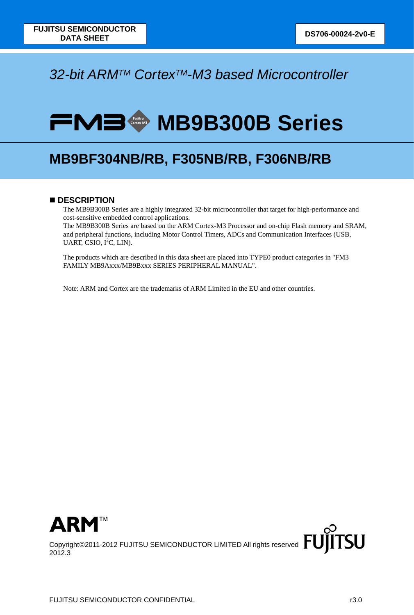# *32-bit ARMTM CortexTM-M3 based Microcontroller*

# **FMB MB9B300B** Series

# **MB9BF304NB/RB, F305NB/RB, F306NB/RB**

# ■ **DESCRIPTION**

The MB9B300B Series are a highly integrated 32-bit microcontroller that target for high-performance and cost-sensitive embedded control applications.

The MB9B300B Series are based on the ARM Cortex-M3 Processor and on-chip Flash memory and SRAM, and peripheral functions, including Motor Control Timers, ADCs and Communication Interfaces (USB, UART, CSIO, I<sup>2</sup>C, LIN).

The products which are described in this data sheet are placed into TYPE0 product categories in "FM3 FAMILY MB9Axxx/MB9Bxxx SERIES PERIPHERAL MANUAL".

Note: ARM and Cortex are the trademarks of ARM Limited in the EU and other countries.



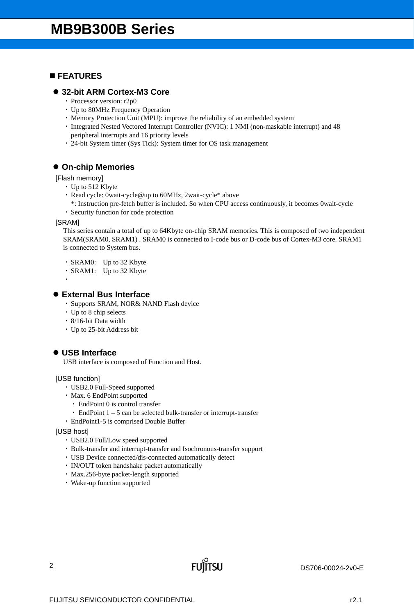# **FEATURES**

# **32-bit ARM Cortex-M3 Core**

- ・ Processor version: r2p0
- ・ Up to 80MHz Frequency Operation
- ・ Memory Protection Unit (MPU): improve the reliability of an embedded system
- ・ Integrated Nested Vectored Interrupt Controller (NVIC): 1 NMI (non-maskable interrupt) and 48 peripheral interrupts and 16 priority levels
- ・ 24-bit System timer (Sys Tick): System timer for OS task management

# **On-chip Memories**

[Flash memory]

- ・ Up to 512 Kbyte
- ・ Read cycle: 0wait-cycle@up to 60MHz, 2wait-cycle\* above
- \*: Instruction pre-fetch buffer is included. So when CPU access continuously, it becomes 0wait-cycle
- ・ Security function for code protection

#### [SRAM]

This series contain a total of up to 64Kbyte on-chip SRAM memories. This is composed of two independent SRAM(SRAM0, SRAM1) . SRAM0 is connected to I-code bus or D-code bus of Cortex-M3 core. SRAM1 is connected to System bus.

・ SRAM0: Up to 32 Kbyte

- ・ SRAM1: Up to 32 Kbyte
- ・

#### **External Bus Interface**

- ・ Supports SRAM, NOR& NAND Flash device
- ・ Up to 8 chip selects
- ・ 8/16-bit Data width
- ・ Up to 25-bit Address bit

# **USB Interface**

USB interface is composed of Function and Host.

#### [USB function]

- ・ USB2.0 Full-Speed supported
- ・ Max. 6 EndPoint supported
	- ・ EndPoint 0 is control transfer
	- $\cdot$  EndPoint 1 5 can be selected bulk-transfer or interrupt-transfer
- ・ EndPoint1-5 is comprised Double Buffer

[USB host]

- ・ USB2.0 Full/Low speed supported
- ・ Bulk-transfer and interrupt-transfer and Isochronous-transfer support

**FUILTSU** 

- ・ USB Device connected/dis-connected automatically detect
- ・ IN/OUT token handshake packet automatically
- ・ Max.256-byte packet-length supported
- ・ Wake-up function supported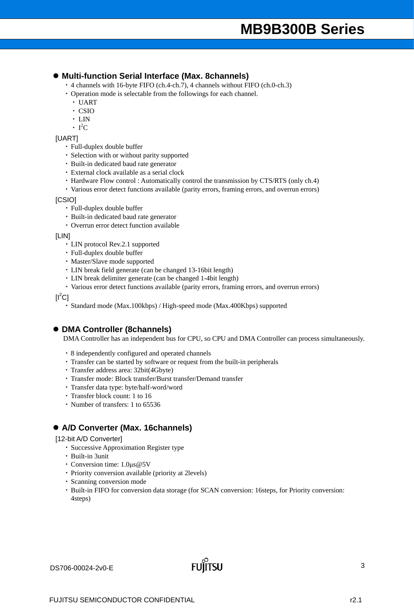### **Multi-function Serial Interface (Max. 8channels)**

- ・ 4 channels with 16-byte FIFO (ch.4-ch.7), 4 channels without FIFO (ch.0-ch.3)
- ・ Operation mode is selectable from the followings for each channel.
	- ・ UART
	- ・ CSIO
	- ・ LIN
	- $\cdot$  I<sup>2</sup>C

#### [UART]

- ・ Full-duplex double buffer
- ・ Selection with or without parity supported
- ・ Built-in dedicated baud rate generator
- ・ External clock available as a serial clock
- ・ Hardware Flow control : Automatically control the transmission by CTS/RTS (only ch.4)
- ・ Various error detect functions available (parity errors, framing errors, and overrun errors)

#### [CSIO]

- ・ Full-duplex double buffer
- ・ Built-in dedicated baud rate generator
- ・ Overrun error detect function available

#### [LIN]

- ・ LIN protocol Rev.2.1 supported
- ・ Full-duplex double buffer
- ・ Master/Slave mode supported
- ・ LIN break field generate (can be changed 13-16bit length)
- ・ LIN break delimiter generate (can be changed 1-4bit length)
- ・ Various error detect functions available (parity errors, framing errors, and overrun errors)

 $[I^2C]$ 

・ Standard mode (Max.100kbps) / High-speed mode (Max.400Kbps) supported

### **DMA Controller (8channels)**

DMA Controller has an independent bus for CPU, so CPU and DMA Controller can process simultaneously.

- ・ 8 independently configured and operated channels
- ・ Transfer can be started by software or request from the built-in peripherals
- ・ Transfer address area: 32bit(4Gbyte)
- ・ Transfer mode: Block transfer/Burst transfer/Demand transfer
- ・ Transfer data type: byte/half-word/word
- ・ Transfer block count: 1 to 16
- ・ Number of transfers: 1 to 65536

### **A/D Converter (Max. 16channels)**

#### [12-bit A/D Converter]

- ・ Successive Approximation Register type
- ・ Built-in 3unit
- ・ Conversion time: 1.0μs@5V
- ・ Priority conversion available (priority at 2levels)
- ・ Scanning conversion mode
- ・ Built-in FIFO for conversion data storage (for SCAN conversion: 16steps, for Priority conversion: 4steps)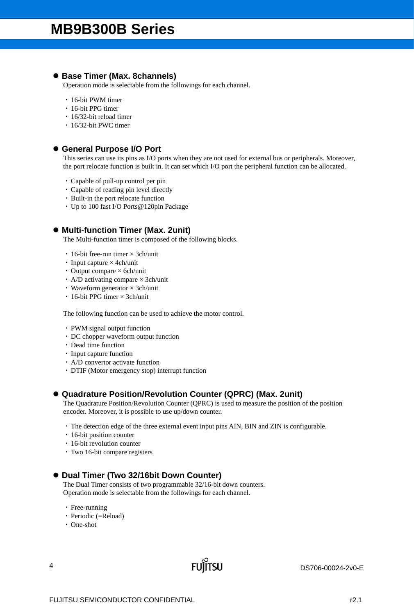# **Base Timer (Max. 8channels)**

Operation mode is selectable from the followings for each channel.

- ・ 16-bit PWM timer
- ・ 16-bit PPG timer
- ・ 16/32-bit reload timer
- ・ 16/32-bit PWC timer

### **General Purpose I/O Port**

This series can use its pins as I/O ports when they are not used for external bus or peripherals. Moreover, the port relocate function is built in. It can set which I/O port the peripheral function can be allocated.

- ・ Capable of pull-up control per pin
- ・ Capable of reading pin level directly
- ・ Built-in the port relocate function
- ・ Up to 100 fast I/O Ports@120pin Package

# **Multi-function Timer (Max. 2unit)**

The Multi-function timer is composed of the following blocks.

- $\cdot$  16-bit free-run timer  $\times$  3ch/unit
- Input capture  $\times$  4ch/unit
- Output compare  $\times$  6ch/unit
- A/D activating compare  $\times$  3ch/unit
- Waveform generator  $\times$  3ch/unit
- ・ 16-bit PPG timer × 3ch/unit

The following function can be used to achieve the motor control.

- ・ PWM signal output function
- ・ DC chopper waveform output function
- ・ Dead time function
- ・ Input capture function
- ・ A/D convertor activate function
- ・ DTIF (Motor emergency stop) interrupt function

# **Quadrature Position/Revolution Counter (QPRC) (Max. 2unit)**

The Quadrature Position/Revolution Counter (QPRC) is used to measure the position of the position encoder. Moreover, it is possible to use up/down counter.

・ The detection edge of the three external event input pins AIN, BIN and ZIN is configurable.

- 16-bit position counter
- ・ 16-bit revolution counter
- ・ Two 16-bit compare registers

### **Dual Timer (Two 32/16bit Down Counter)**

The Dual Timer consists of two programmable 32/16-bit down counters. Operation mode is selectable from the followings for each channel.

- ・ Free-running
- ・ Periodic (=Reload)
- ・ One-shot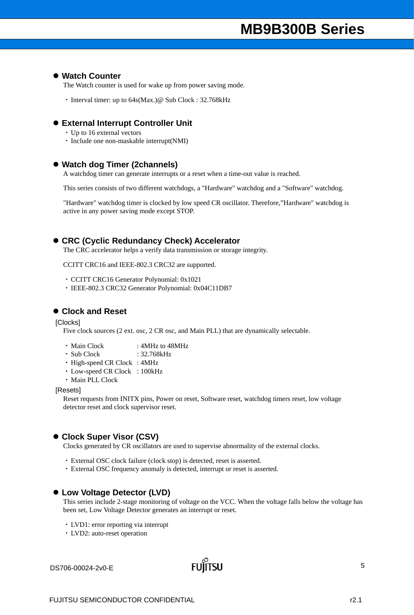#### **Watch Counter**

The Watch counter is used for wake up from power saving mode.

• Interval timer: up to 64s(Max.)@ Sub Clock : 32.768kHz

#### **External Interrupt Controller Unit**

- ・ Up to 16 external vectors
- ・ Include one non-maskable interrupt(NMI)

#### **Watch dog Timer (2channels)**

A watchdog timer can generate interrupts or a reset when a time-out value is reached.

This series consists of two different watchdogs, a "Hardware" watchdog and a "Software" watchdog.

"Hardware" watchdog timer is clocked by low speed CR oscillator. Therefore,"Hardware" watchdog is active in any power saving mode except STOP.

#### **CRC (Cyclic Redundancy Check) Accelerator**

The CRC accelerator helps a verify data transmission or storage integrity.

CCITT CRC16 and IEEE-802.3 CRC32 are supported.

- ・ CCITT CRC16 Generator Polynomial: 0x1021
- ・ IEEE-802.3 CRC32 Generator Polynomial: 0x04C11DB7

### **Clock and Reset**

[Clocks]

Five clock sources (2 ext. osc, 2 CR osc, and Main PLL) that are dynamically selectable.

- Main Clock : 4MHz to 48MHz
- ・ Sub Clock : 32.768kHz
- ・ High-speed CR Clock : 4MHz
- ・ Low-speed CR Clock : 100kHz
- ・ Main PLL Clock

[Resets]

Reset requests from INITX pins, Power on reset, Software reset, watchdog timers reset, low voltage detector reset and clock supervisor reset.

#### ● Clock Super Visor (CSV)

Clocks generated by CR oscillators are used to supervise abnormality of the external clocks.

- ・ External OSC clock failure (clock stop) is detected, reset is asserted.
- ・ External OSC frequency anomaly is detected, interrupt or reset is asserted.

#### **Low Voltage Detector (LVD)**

This series include 2-stage monitoring of voltage on the VCC. When the voltage falls below the voltage has been set, Low Voltage Detector generates an interrupt or reset.

- ・ LVD1: error reporting via interrupt
- ・ LVD2: auto-reset operation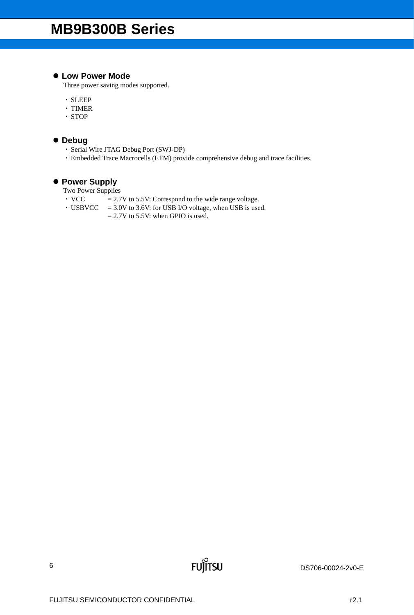# **Low Power Mode**

Three power saving modes supported.

- ・ SLEEP
- ・ TIMER
- ・ STOP

# **Debug**

- ・ Serial Wire JTAG Debug Port (SWJ-DP)
- ・ Embedded Trace Macrocells (ETM) provide comprehensive debug and trace facilities.

**FUJITSU** 

# **Power Supply**

Two Power Supplies

- $\cdot$  VCC  $= 2.7V$  to 5.5V: Correspond to the wide range voltage.
- $\cdot$  USBVCC = 3.0V to 3.6V: for USB I/O voltage, when USB is used.
	- $= 2.7V$  to 5.5V: when GPIO is used.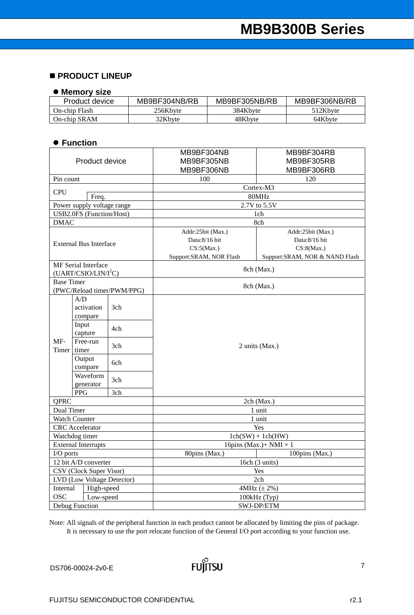# **PRODUCT LINEUP**

#### **Memory size**

| Product device | MB9BF304NB/RB | MB9BF305NB/RB | MB9BF306NB/RB |
|----------------|---------------|---------------|---------------|
| On-chip Flash  | 256Kbyte      | 384Kbyte      | 512Kbyte      |
| On-chip SRAM   | 32Kbvte       | 48Kbvte       | 64Kbyte       |

### **Function**

| Product device                |                                                                |                            | MB9BF304NB<br>MB9BF304RB<br>MB9BF305NB<br>MB9BF305RB<br>MB9BF306NB<br>MB9BF306RB |                                                                                    |  |  |  |
|-------------------------------|----------------------------------------------------------------|----------------------------|----------------------------------------------------------------------------------|------------------------------------------------------------------------------------|--|--|--|
| Pin count                     |                                                                |                            | 100                                                                              | 120                                                                                |  |  |  |
|                               |                                                                |                            |                                                                                  | Cortex-M3                                                                          |  |  |  |
| <b>CPU</b>                    | Freq.                                                          |                            |                                                                                  | 80MHz                                                                              |  |  |  |
|                               | Power supply voltage range                                     |                            |                                                                                  | 2.7V to 5.5V                                                                       |  |  |  |
|                               | <b>USB2.0FS</b> (Function/Host)                                |                            |                                                                                  | 1ch                                                                                |  |  |  |
| <b>DMAC</b>                   |                                                                |                            |                                                                                  | 8ch                                                                                |  |  |  |
| <b>External Bus Interface</b> |                                                                |                            | Addr:25bit (Max.)<br>Data:8/16 bit<br>CS:5(Max.)<br>Support:SRAM, NOR Flash      | Addr:25bit (Max.)<br>Data:8/16 bit<br>CS:8(Max.)<br>Support:SRAM, NOR & NAND Flash |  |  |  |
|                               | <b>MF</b> Serial Interface<br>(UART/CSIO/LIN/I <sup>2</sup> C) |                            |                                                                                  | 8ch (Max.)                                                                         |  |  |  |
| <b>Base Timer</b>             |                                                                | (PWC/Reload timer/PWM/PPG) |                                                                                  | 8ch (Max.)                                                                         |  |  |  |
|                               | A/D<br>activation<br>compare                                   | 3ch                        |                                                                                  |                                                                                    |  |  |  |
|                               | Input<br>capture                                               | 4ch                        |                                                                                  |                                                                                    |  |  |  |
| MF-<br>Timer                  | Free-run<br>timer                                              | 3ch                        |                                                                                  | 2 units (Max.)                                                                     |  |  |  |
|                               | Output<br>compare                                              | 6ch                        |                                                                                  |                                                                                    |  |  |  |
|                               | Waveform<br>generator                                          | 3ch                        |                                                                                  |                                                                                    |  |  |  |
|                               | <b>PPG</b>                                                     | 3ch                        |                                                                                  |                                                                                    |  |  |  |
| <b>OPRC</b>                   |                                                                |                            |                                                                                  | 2ch (Max.)                                                                         |  |  |  |
| Dual Timer                    | <b>Watch Counter</b>                                           |                            |                                                                                  | 1 unit<br>1 unit                                                                   |  |  |  |
|                               | <b>CRC</b> Accelerator                                         |                            |                                                                                  | Yes                                                                                |  |  |  |
|                               | Watchdog timer                                                 |                            |                                                                                  | $1ch(SW) + 1ch(HW)$                                                                |  |  |  |
|                               | <b>External Interrupts</b>                                     |                            |                                                                                  | 16pins (Max.)+ NMI $\times$ 1                                                      |  |  |  |
| I/O ports                     |                                                                |                            | 80pins (Max.)                                                                    | 100pins (Max.)                                                                     |  |  |  |
|                               | 12 bit A/D converter                                           |                            |                                                                                  | 16ch (3 units)                                                                     |  |  |  |
|                               | CSV (Clock Super Visor)                                        |                            |                                                                                  | Yes                                                                                |  |  |  |
|                               | LVD (Low Voltage Detector)                                     |                            |                                                                                  | 2ch                                                                                |  |  |  |
| Internal                      | High-speed                                                     |                            |                                                                                  | 4MHz $(\pm 2\%)$                                                                   |  |  |  |
| <b>OSC</b>                    | Low-speed                                                      |                            | 100kHz (Typ)                                                                     |                                                                                    |  |  |  |
|                               | Debug Function                                                 |                            | SWJ-DP/ETM                                                                       |                                                                                    |  |  |  |

Note: All signals of the peripheral function in each product cannot be allocated by limiting the pins of package. It is necessary to use the port relocate function of the General I/O port according to your function use.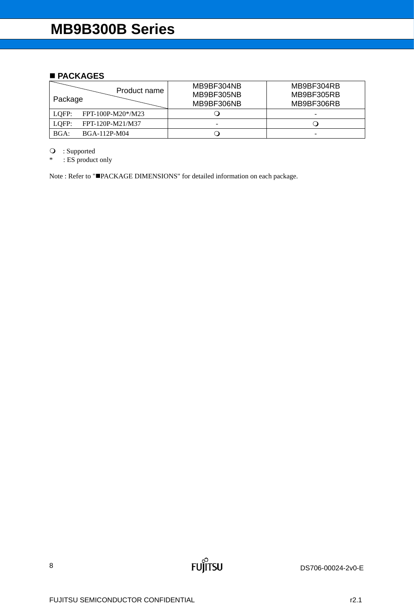# ■ **PACKAGES**

| Product name<br>Package    | MB9BF304NB<br>MB9BF305NB<br>MB9BF306NB | MB9BF304RB<br>MB9BF305RB<br>MB9BF306RB |
|----------------------------|----------------------------------------|----------------------------------------|
| FPT-100P-M20*/M23<br>LOFP: |                                        | -                                      |
| FPT-120P-M21/M37<br>LOFP:  | -                                      |                                        |
| BGA:<br>BGA-112P-M04       |                                        | -                                      |

**FUJITSU** 

: Supported

\* : ES product only

Note : Refer to "PACKAGE DIMENSIONS" for detailed information on each package.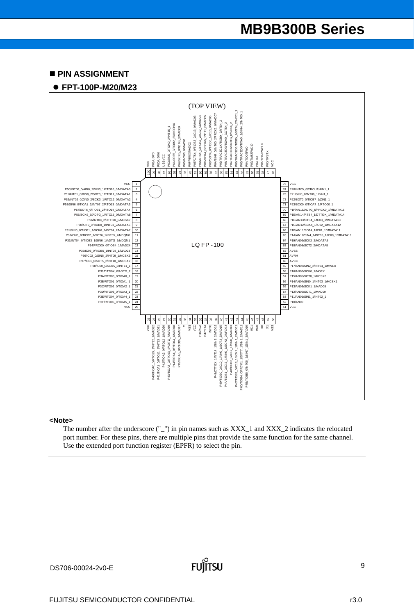#### **PIN ASSIGNMENT**

#### **FPT-100P-M20/M23**



#### **<Note>**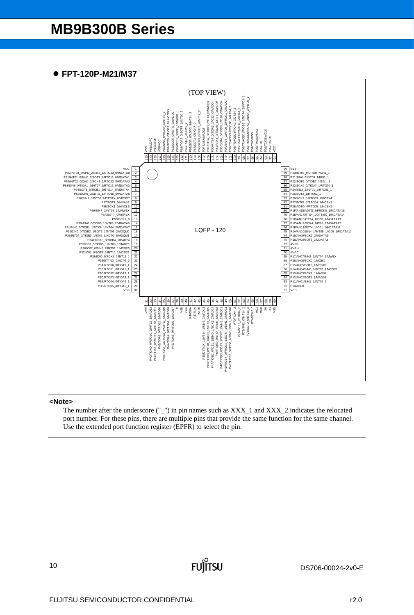# **FPT-120P-M21/M37**



#### **<Note>**

The number after the underscore ("\_") in pin names such as XXX\_1 and XXX\_2 indicates the relocated port number. For these pins, there are multiple pins that provide the same function for the same channel. Use the extended port function register (EPFR) to select the pin.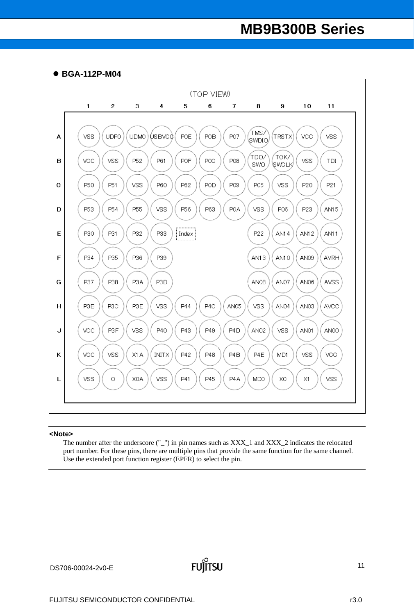



#### **<Note>**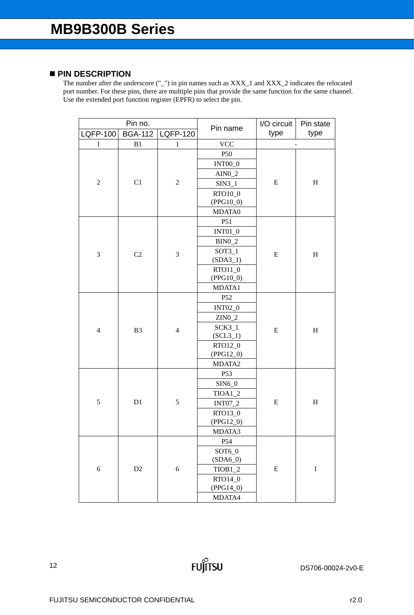# **PIN DESCRIPTION**

The number after the underscore ("\_") in pin names such as XXX\_1 and XXX\_2 indicates the relocated port number. For these pins, there are multiple pins that provide the same function for the same channel. Use the extended port function register (EPFR) to select the pin.

| Pin no.          |                | Pin name        | I/O circuit          | Pin state |                              |
|------------------|----------------|-----------------|----------------------|-----------|------------------------------|
| <b>LQFP-100</b>  | <b>BGA-112</b> | <b>LQFP-120</b> |                      | type      | type                         |
| $\mathbf{1}$     | B1             | $\mathbf{1}$    | <b>VCC</b>           |           | $\qquad \qquad \blacksquare$ |
|                  |                |                 | P50                  |           |                              |
|                  |                |                 | <b>INT00_0</b>       |           |                              |
|                  |                |                 | $AIN0_2$             |           |                              |
| $\boldsymbol{2}$ | C1             | $\sqrt{2}$      | $SIN3_1$             | ${\bf E}$ | $H_{\rm}$                    |
|                  |                |                 | RTO10_0              |           |                              |
|                  |                |                 | $(PPG10_0)$          |           |                              |
|                  |                |                 | MDATA0               |           |                              |
|                  |                |                 | P51                  |           |                              |
|                  |                |                 | <b>INT01_0</b>       |           |                              |
|                  |                |                 | $BIN0_2$             |           |                              |
| 3                | C2             | 3               | $SOT3_1$             | ${\bf E}$ | $\boldsymbol{\mathrm{H}}$    |
|                  |                |                 | $(SDA3_1)$           |           |                              |
|                  |                |                 | RTO11_0              |           |                              |
|                  |                |                 | $(PPG10_0)$          |           |                              |
|                  |                |                 | MDATA1               |           |                              |
|                  | B <sub>3</sub> | $\overline{4}$  | P <sub>52</sub>      | ${\bf E}$ |                              |
|                  |                |                 | <b>INT02_0</b>       |           | $H_{\rm}$                    |
|                  |                |                 | $ZIN0_2$             |           |                              |
| $\overline{4}$   |                |                 | $SCK3_1$             |           |                              |
|                  |                |                 | $(SCL3_1)$           |           |                              |
|                  |                |                 | RTO12_0              |           |                              |
|                  |                |                 | $(PPG12_0)$          |           |                              |
|                  |                |                 | MDATA2               |           |                              |
|                  |                |                 | P <sub>53</sub>      |           |                              |
|                  |                |                 | $SIM6_0$             |           |                              |
| 5                | D1             | 5               | $TIOA1_2$            | ${\bf E}$ | $H_{\rm}$                    |
|                  |                |                 | <b>INT07_2</b>       |           |                              |
|                  |                |                 | RTO13_0              |           |                              |
|                  |                |                 | $(PPG12_0)$          |           |                              |
| 6                |                |                 | MDATA3               |           |                              |
|                  |                |                 | P54                  |           |                              |
|                  |                |                 | SOT6_0<br>$(SDA6_0)$ | ${\bf E}$ |                              |
|                  | D2             | $\sqrt{6}$      | $TIOB1_2$            |           | $\bf I$                      |
|                  |                |                 | RTO14_0              |           |                              |
|                  |                |                 | $(PPG14_0)$          |           |                              |
|                  |                |                 |                      |           |                              |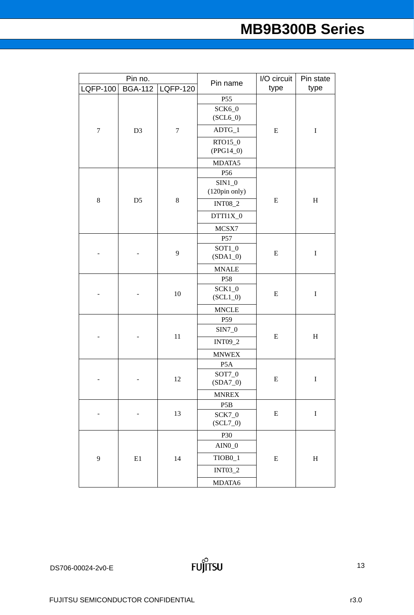| type<br><b>LQFP-100</b><br><b>BGA-112</b><br><b>LQFP-120</b><br>P55<br>SCK6_0<br>$(SCL6_0)$<br>$ADTG_1$<br>$\boldsymbol{7}$<br>D <sub>3</sub><br>$\tau$<br>${\bf E}$<br>$\bf I$<br>RTO15_0<br>$(PPG14_0)$<br>MDATA5<br>P56<br>$SIM1_0$<br>(120pin only)<br>$\bf 8$<br>D <sub>5</sub><br>$\,$ 8 $\,$<br>${\bf E}$<br>$\boldsymbol{\mathrm{H}}$<br><b>INT08_2</b><br>DTTI1X_0<br>MCSX7<br>P57<br>$SOT1_0$<br>9<br>${\bf E}$<br>$\bf I$<br>$(SDA1_0)$<br><b>MNALE</b><br>P58<br>$SCK1_0$<br>$10\,$<br>${\bf E}$<br>$\rm I$<br>$(SCL1_0)$<br><b>MNCLE</b><br>P <sub>59</sub><br>$SIN7_0$<br>$11\,$<br>$\rm H$<br>${\bf E}$<br><b>INT09_2</b><br><b>MNWEX</b><br>P <sub>5</sub> A<br>SOT7_0<br>12<br>${\bf E}$<br>$\bf I$<br>$(SDA7_0)$<br><b>MNREX</b><br>P <sub>5</sub> B<br>$\bf I$<br>13<br>${\bf E}$<br>$SCK7_0$<br>$(SCL7_0)$<br>P30<br>$AIN0_0$<br>TIOB <sub>0_1</sub><br>$\mathbf{9}$<br>$\rm E1$<br>14<br>${\bf E}$<br>$H_{\rm}$<br>INT03_2<br>MDATA6 | Pin no. |  | Pin name | I/O circuit | Pin state |  |
|-----------------------------------------------------------------------------------------------------------------------------------------------------------------------------------------------------------------------------------------------------------------------------------------------------------------------------------------------------------------------------------------------------------------------------------------------------------------------------------------------------------------------------------------------------------------------------------------------------------------------------------------------------------------------------------------------------------------------------------------------------------------------------------------------------------------------------------------------------------------------------------------------------------------------------------------------------------|---------|--|----------|-------------|-----------|--|
|                                                                                                                                                                                                                                                                                                                                                                                                                                                                                                                                                                                                                                                                                                                                                                                                                                                                                                                                                           |         |  |          |             | type      |  |
|                                                                                                                                                                                                                                                                                                                                                                                                                                                                                                                                                                                                                                                                                                                                                                                                                                                                                                                                                           |         |  |          |             |           |  |
|                                                                                                                                                                                                                                                                                                                                                                                                                                                                                                                                                                                                                                                                                                                                                                                                                                                                                                                                                           |         |  |          |             |           |  |
|                                                                                                                                                                                                                                                                                                                                                                                                                                                                                                                                                                                                                                                                                                                                                                                                                                                                                                                                                           |         |  |          |             |           |  |
|                                                                                                                                                                                                                                                                                                                                                                                                                                                                                                                                                                                                                                                                                                                                                                                                                                                                                                                                                           |         |  |          |             |           |  |
|                                                                                                                                                                                                                                                                                                                                                                                                                                                                                                                                                                                                                                                                                                                                                                                                                                                                                                                                                           |         |  |          |             |           |  |
|                                                                                                                                                                                                                                                                                                                                                                                                                                                                                                                                                                                                                                                                                                                                                                                                                                                                                                                                                           |         |  |          |             |           |  |
|                                                                                                                                                                                                                                                                                                                                                                                                                                                                                                                                                                                                                                                                                                                                                                                                                                                                                                                                                           |         |  |          |             |           |  |
|                                                                                                                                                                                                                                                                                                                                                                                                                                                                                                                                                                                                                                                                                                                                                                                                                                                                                                                                                           |         |  |          |             |           |  |
|                                                                                                                                                                                                                                                                                                                                                                                                                                                                                                                                                                                                                                                                                                                                                                                                                                                                                                                                                           |         |  |          |             |           |  |
|                                                                                                                                                                                                                                                                                                                                                                                                                                                                                                                                                                                                                                                                                                                                                                                                                                                                                                                                                           |         |  |          |             |           |  |
|                                                                                                                                                                                                                                                                                                                                                                                                                                                                                                                                                                                                                                                                                                                                                                                                                                                                                                                                                           |         |  |          |             |           |  |
|                                                                                                                                                                                                                                                                                                                                                                                                                                                                                                                                                                                                                                                                                                                                                                                                                                                                                                                                                           |         |  |          |             |           |  |
|                                                                                                                                                                                                                                                                                                                                                                                                                                                                                                                                                                                                                                                                                                                                                                                                                                                                                                                                                           |         |  |          |             |           |  |
|                                                                                                                                                                                                                                                                                                                                                                                                                                                                                                                                                                                                                                                                                                                                                                                                                                                                                                                                                           |         |  |          |             |           |  |
|                                                                                                                                                                                                                                                                                                                                                                                                                                                                                                                                                                                                                                                                                                                                                                                                                                                                                                                                                           |         |  |          |             |           |  |
|                                                                                                                                                                                                                                                                                                                                                                                                                                                                                                                                                                                                                                                                                                                                                                                                                                                                                                                                                           |         |  |          |             |           |  |
|                                                                                                                                                                                                                                                                                                                                                                                                                                                                                                                                                                                                                                                                                                                                                                                                                                                                                                                                                           |         |  |          |             |           |  |
|                                                                                                                                                                                                                                                                                                                                                                                                                                                                                                                                                                                                                                                                                                                                                                                                                                                                                                                                                           |         |  |          |             |           |  |
|                                                                                                                                                                                                                                                                                                                                                                                                                                                                                                                                                                                                                                                                                                                                                                                                                                                                                                                                                           |         |  |          |             |           |  |
|                                                                                                                                                                                                                                                                                                                                                                                                                                                                                                                                                                                                                                                                                                                                                                                                                                                                                                                                                           |         |  |          |             |           |  |
|                                                                                                                                                                                                                                                                                                                                                                                                                                                                                                                                                                                                                                                                                                                                                                                                                                                                                                                                                           |         |  |          |             |           |  |
|                                                                                                                                                                                                                                                                                                                                                                                                                                                                                                                                                                                                                                                                                                                                                                                                                                                                                                                                                           |         |  |          |             |           |  |
|                                                                                                                                                                                                                                                                                                                                                                                                                                                                                                                                                                                                                                                                                                                                                                                                                                                                                                                                                           |         |  |          |             |           |  |
|                                                                                                                                                                                                                                                                                                                                                                                                                                                                                                                                                                                                                                                                                                                                                                                                                                                                                                                                                           |         |  |          |             |           |  |
|                                                                                                                                                                                                                                                                                                                                                                                                                                                                                                                                                                                                                                                                                                                                                                                                                                                                                                                                                           |         |  |          |             |           |  |
|                                                                                                                                                                                                                                                                                                                                                                                                                                                                                                                                                                                                                                                                                                                                                                                                                                                                                                                                                           |         |  |          |             |           |  |
|                                                                                                                                                                                                                                                                                                                                                                                                                                                                                                                                                                                                                                                                                                                                                                                                                                                                                                                                                           |         |  |          |             |           |  |
|                                                                                                                                                                                                                                                                                                                                                                                                                                                                                                                                                                                                                                                                                                                                                                                                                                                                                                                                                           |         |  |          |             |           |  |
|                                                                                                                                                                                                                                                                                                                                                                                                                                                                                                                                                                                                                                                                                                                                                                                                                                                                                                                                                           |         |  |          |             |           |  |
|                                                                                                                                                                                                                                                                                                                                                                                                                                                                                                                                                                                                                                                                                                                                                                                                                                                                                                                                                           |         |  |          |             |           |  |
|                                                                                                                                                                                                                                                                                                                                                                                                                                                                                                                                                                                                                                                                                                                                                                                                                                                                                                                                                           |         |  |          |             |           |  |
|                                                                                                                                                                                                                                                                                                                                                                                                                                                                                                                                                                                                                                                                                                                                                                                                                                                                                                                                                           |         |  |          |             |           |  |
|                                                                                                                                                                                                                                                                                                                                                                                                                                                                                                                                                                                                                                                                                                                                                                                                                                                                                                                                                           |         |  |          |             |           |  |
|                                                                                                                                                                                                                                                                                                                                                                                                                                                                                                                                                                                                                                                                                                                                                                                                                                                                                                                                                           |         |  |          |             |           |  |
|                                                                                                                                                                                                                                                                                                                                                                                                                                                                                                                                                                                                                                                                                                                                                                                                                                                                                                                                                           |         |  |          |             |           |  |
|                                                                                                                                                                                                                                                                                                                                                                                                                                                                                                                                                                                                                                                                                                                                                                                                                                                                                                                                                           |         |  |          |             |           |  |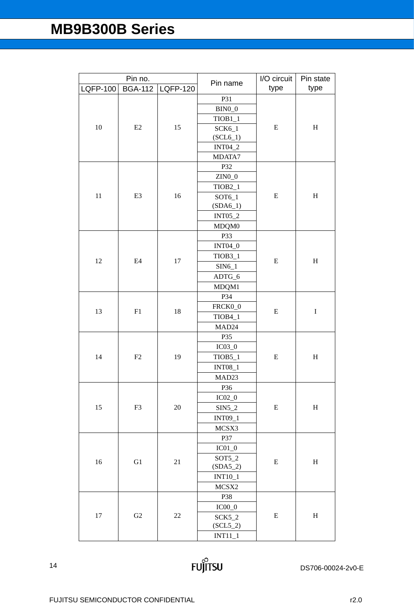| Pin no.         |                | I/O circuit     | Pin state           |           |           |
|-----------------|----------------|-----------------|---------------------|-----------|-----------|
| <b>LQFP-100</b> | <b>BGA-112</b> | <b>LQFP-120</b> | Pin name            | type      | type      |
|                 |                |                 | P31                 |           |           |
|                 |                |                 | $BIN0_0$            |           |           |
|                 |                |                 | $TIOB1_1$           |           |           |
| 10              | E2             | 15              | $SCK6_1$            | ${\bf E}$ | $H_{\rm}$ |
|                 |                |                 | $(SCL6_1)$          |           |           |
|                 |                |                 | <b>INT04_2</b>      |           |           |
|                 |                |                 | MDATA7              |           |           |
|                 |                |                 | P32                 |           |           |
|                 |                |                 | $ZINO_0$            |           |           |
|                 |                |                 | $TIOB2_1$           |           |           |
| 11              | E <sub>3</sub> | 16              | SOT6_1              | E         | $H_{\rm}$ |
|                 |                |                 | $(SDA6_1)$          |           |           |
|                 |                |                 | <b>INT05_2</b>      |           |           |
|                 |                |                 | MDQM0               |           |           |
|                 |                |                 | P33                 |           |           |
|                 |                |                 | <b>INT04_0</b>      |           | $H_{\rm}$ |
| 12              | E4             | 17              | TIOB <sub>3_1</sub> | ${\bf E}$ |           |
|                 |                |                 | $SIN6_1$            |           |           |
|                 |                |                 | ADTG_6              |           |           |
|                 |                |                 | MDQM1               |           |           |
|                 |                | 18              | P34                 | ${\bf E}$ |           |
| 13              | F1             |                 | FRCK0_0             |           | $\bf I$   |
|                 |                |                 | TIOB4_1             |           |           |
|                 |                |                 | MAD <sub>24</sub>   |           |           |
|                 |                |                 | P35                 | ${\bf E}$ | $H_{\rm}$ |
|                 |                |                 | $IC03_0$            |           |           |
| 14              | F2             | 19              | TIOB5_1             |           |           |
|                 |                |                 | <b>INT08_1</b>      |           |           |
|                 |                |                 | MAD <sub>23</sub>   |           |           |
|                 |                |                 | P36                 |           |           |
|                 |                |                 | $IC02_0$            |           |           |
| 15              | F3             | 20              | $SIN5_2$            | ${\bf E}$ | $H_{\rm}$ |
|                 |                |                 | INT09_1             |           |           |
|                 |                |                 | MCSX3               |           |           |
|                 |                |                 | P37                 |           |           |
| 16<br>G1        |                |                 | $IC01_0$            |           |           |
|                 |                | 21              | $SOT5_2$            | E         | $H_{\rm}$ |
|                 |                |                 | $(SDA5_2)$          |           |           |
|                 |                |                 | <b>INT10_1</b>      |           |           |
|                 |                |                 | MCSX2               |           |           |
|                 |                |                 | P38                 |           |           |
|                 |                |                 | $IC00_0$            |           |           |
| 17              | G2             | 22              | $SCK5_2$            | ${\bf E}$ | $H_{\rm}$ |
|                 |                |                 | $(SCL5_2)$          |           |           |
|                 |                |                 | $INT11_1$           |           |           |

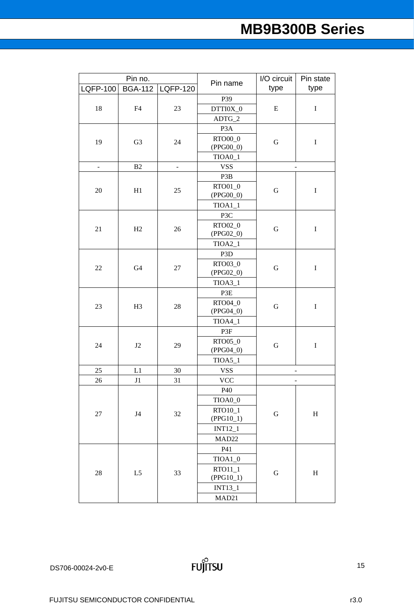| Pin no.         |                | Pin name        | I/O circuit            | Pin state                |                           |
|-----------------|----------------|-----------------|------------------------|--------------------------|---------------------------|
| <b>LQFP-100</b> | <b>BGA-112</b> | <b>LQFP-120</b> |                        | type                     | type                      |
|                 |                |                 | P39                    |                          |                           |
| 18              | F4             | 23              | DTTI0X_0               | ${\bf E}$                | $\bf I$                   |
|                 |                |                 | ADTG_2                 |                          |                           |
|                 |                |                 | P <sub>3</sub> A       |                          |                           |
| 19              | G <sub>3</sub> | 24              | RTO00_0                | ${\bf G}$                | $\bf I$                   |
|                 |                |                 | $(PPG00_0)$            |                          |                           |
|                 |                |                 | TIOA0_1                |                          |                           |
| ÷               | B2             | $\blacksquare$  | <b>VSS</b>             |                          | $\frac{1}{2}$             |
|                 |                |                 | P3B                    |                          |                           |
| 20              | H1             | 25              | RTO01_0                | $\mathbf G$              | $\rm I$                   |
|                 |                |                 | $(PPG00_0)$            |                          |                           |
|                 |                |                 | $TIOA1_1$              |                          |                           |
|                 |                |                 | P3C                    |                          |                           |
| 21              | H2             | 26              | RTO02_0                | ${\bf G}$                | $\bf I$                   |
|                 |                |                 | $(PPG02_0)$            |                          |                           |
|                 |                |                 | $TIOA2_1$              |                          |                           |
|                 |                |                 | P <sub>3</sub> D       |                          |                           |
| $22\,$          | G <sub>4</sub> | $27\,$          | RTO03_0<br>$(PPG02_0)$ | ${\bf G}$                | $\rm I$                   |
|                 |                |                 | $TIOA3_1$              |                          |                           |
|                 |                | 28              | P3E                    | ${\bf G}$                | $\bf I$                   |
|                 |                |                 | RTO04_0                |                          |                           |
| 23              | H <sub>3</sub> |                 | $(PPG04_0)$            |                          |                           |
|                 |                |                 | $TIOA4_1$              |                          |                           |
|                 |                |                 | P3F                    |                          |                           |
|                 | J2             |                 | RTO05_0                | ${\bf G}$                | $\bf I$                   |
| 24              |                | 29              | $(PPG04_0)$            |                          |                           |
|                 |                |                 | $TIOA5_1$              |                          |                           |
| 25              | L1             | $30\,$          | <b>VSS</b>             | -                        |                           |
| 26              | J1             | 31              | <b>VCC</b>             | $\overline{\phantom{0}}$ |                           |
|                 |                |                 | P40                    |                          |                           |
|                 |                |                 | TIOA0_0                |                          |                           |
|                 |                |                 | RTO10_1                |                          | $\boldsymbol{\mathrm{H}}$ |
| 27              | J <sub>4</sub> | $32\,$          | $(PPG10_1)$            | ${\bf G}$                |                           |
|                 |                |                 | <b>INT12_1</b>         |                          |                           |
|                 |                |                 | MAD <sub>22</sub>      |                          |                           |
| $28\,$          |                |                 | P41                    |                          |                           |
|                 |                |                 | $TIOA1_0$              | ${\bf G}$                |                           |
|                 | L5             | 33              | $RTO11_1$              |                          | $H_{\rm}$                 |
|                 |                |                 | $(PPG10_1)$            |                          |                           |
|                 |                |                 | INT13_1                |                          |                           |
|                 |                |                 | MAD21                  |                          |                           |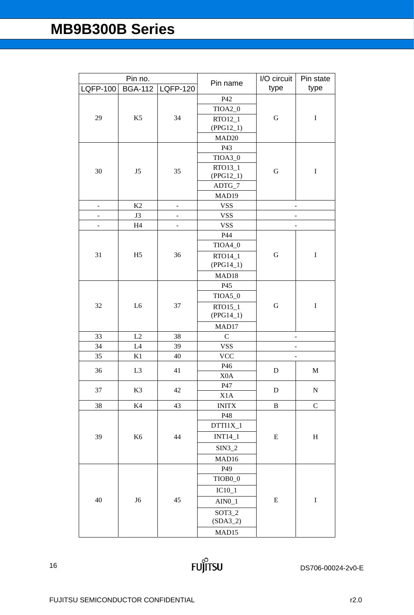| Pin no.                  |                |                          | I/O circuit           | Pin state      |             |
|--------------------------|----------------|--------------------------|-----------------------|----------------|-------------|
| <b>LQFP-100</b>          | <b>BGA-112</b> | LQFP-120                 | Pin name              | type           | type        |
|                          |                |                          | P42                   |                |             |
|                          |                |                          | TIOA2_0               |                |             |
| 29                       | K <sub>5</sub> | 34                       | RTO12_1               | ${\bf G}$      | $\bf I$     |
|                          |                |                          | $(PPG12_1)$           |                |             |
|                          |                |                          | MAD <sub>20</sub>     |                |             |
|                          |                |                          | P43                   |                |             |
|                          |                |                          | TIOA3_0               |                |             |
| 30                       | J5             | 35                       | RTO13_1               | ${\bf G}$      | $\mathbf I$ |
|                          |                |                          | $(PPG12_1)$<br>ADTG_7 |                |             |
|                          |                |                          | MAD19                 |                |             |
| $\blacksquare$           | K2             | $\overline{\phantom{0}}$ | <b>VSS</b>            | $\overline{a}$ |             |
| $\overline{\phantom{0}}$ | J3             | $\overline{\phantom{0}}$ | <b>VSS</b>            | -              |             |
| $\overline{\phantom{0}}$ | H <sub>4</sub> | -                        | <b>VSS</b>            |                |             |
|                          |                |                          | P44                   |                |             |
|                          |                |                          | TIOA4_0               |                |             |
| 31                       | H <sub>5</sub> | 36                       | RTO14_1               | G              | $\bf I$     |
|                          |                |                          | $(PPG14_1)$           |                |             |
|                          |                |                          | MAD18                 |                |             |
|                          |                | 37                       | P45                   | ${\bf G}$      |             |
|                          |                |                          | TIOA5_0               |                |             |
| 32                       | L <sub>6</sub> |                          | RTO15_1               |                | $\bf I$     |
|                          |                |                          | $(PPG14_1)$           |                |             |
|                          |                |                          | MAD17                 |                |             |
| 33                       | L2             | 38                       | $\mathcal{C}$         | -              |             |
| 34                       | L4             | 39                       | <b>VSS</b>            |                |             |
| 35                       | K1             | 40                       | <b>VCC</b>            |                |             |
| 36                       | L <sub>3</sub> | 41                       | P46                   | ${\bf D}$      | $\mathbf M$ |
|                          |                |                          | X <sub>0</sub> A      |                |             |
| 37                       | K3             | 42                       | P47                   | ${\bf D}$      | ${\bf N}$   |
|                          |                |                          | $\rm X1A$             |                |             |
| 38                       | $\rm K4$       | 43                       | <b>INITX</b>          | $\, {\bf B}$   | ${\bf C}$   |
|                          |                |                          | P48                   |                |             |
|                          |                |                          | DTTI1X_1              |                |             |
| 39                       | K <sub>6</sub> | 44                       | <b>INT14_1</b>        | ${\bf E}$      | $H_{\rm}$   |
|                          |                |                          | $SIN3_2$              |                |             |
|                          |                |                          | MAD16                 |                |             |
|                          |                |                          | P49                   |                |             |
|                          |                |                          | TIOB <sub>0</sub> _0  | ${\bf E}$      |             |
|                          |                |                          | $IC10_1$              |                |             |
| 40                       | J6             | 45                       | $AIN0_1$              |                | $\bf I$     |
|                          |                |                          | $SOT3_2$              |                |             |
|                          |                |                          | $(SDA3_2)$            |                |             |
|                          |                |                          | MAD15                 |                |             |

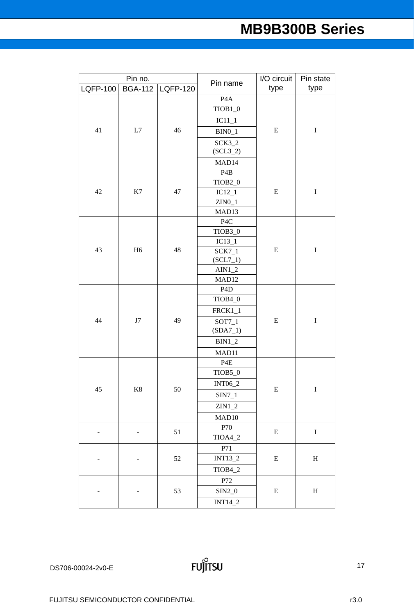|          | Pin no.        |          | Pin name               | I/O circuit | Pin state   |
|----------|----------------|----------|------------------------|-------------|-------------|
| LQFP-100 | <b>BGA-112</b> | LQFP-120 |                        | type        | type        |
|          |                |          | P <sub>4</sub> A       |             |             |
|          |                |          | $TIOB1_0$              |             |             |
|          |                |          | $IC11_1$               |             |             |
| 41       | L7             | 46       | $BIN0_1$               | E           | $\bf I$     |
|          |                |          | $SCK3_2$               |             |             |
|          |                |          | $(SCL3_2)$             |             |             |
|          |                |          | MAD <sub>14</sub>      |             |             |
|          |                |          | P <sub>4</sub> B       |             |             |
|          |                |          | TIOB <sub>2_0</sub>    |             |             |
| 42       | K7             | 47       | $IC12_1$               | ${\bf E}$   | $\bf I$     |
|          |                |          | $ZINO_1$               |             |             |
|          |                |          | MAD13                  |             |             |
|          |                |          | P4C                    |             |             |
|          |                |          | TIOB3_0                |             |             |
| 43       | H <sub>6</sub> | 48       | $IC13_1$               |             | $\bf I$     |
|          |                |          | $SCK7_1$<br>$(SCL7_1)$ | ${\bf E}$   |             |
|          |                |          | $AIN1_2$               |             |             |
|          |                |          | MAD12                  |             |             |
|          |                |          | P <sub>4</sub> D       | ${\bf E}$   |             |
|          |                |          | TIOB4_0                |             |             |
|          | $\rm J7$       | 49       | $FRCK1_1$              |             | $\bf I$     |
| 44       |                |          | $SOT7_1$               |             |             |
|          |                |          | $(SDA7_1)$             |             |             |
|          |                |          | $BIN1_2$               |             |             |
|          |                |          | MAD11                  |             |             |
|          |                |          | P <sub>4</sub> E       |             |             |
|          |                |          | TIOB5_0                |             |             |
|          |                |          | <b>INT06_2</b>         |             |             |
| 45       | $\rm K8$       | 50       | SIN7_1                 | E           | $\rm I$     |
|          |                |          | $ZIN1_2$               |             |             |
|          |                |          | MAD <sub>10</sub>      |             |             |
|          |                |          | P70                    |             |             |
|          |                | 51       | TIOA4_2                | ${\bf E}$   | $\bf I$     |
|          |                |          | P71                    |             |             |
|          |                | 52       | INT13_2                | ${\bf E}$   | $H_{\rm}$   |
|          |                |          | TIOB4_2                |             |             |
|          |                |          | P72                    |             |             |
|          |                | 53       | $SIN2_0$               | ${\bf E}$   | $\mathbf H$ |
|          |                |          |                        |             |             |
|          |                |          | INT14_2                |             |             |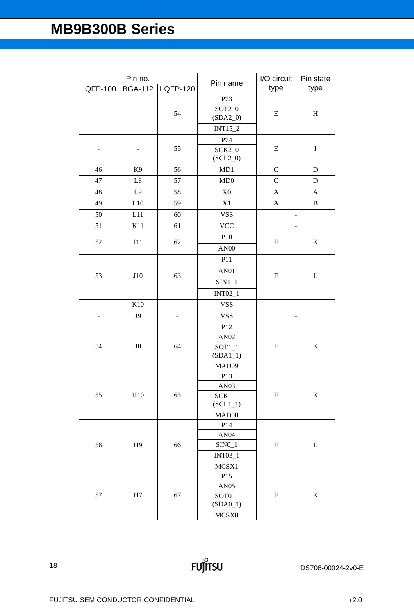| Pin no.         |                | Pin name                 | I/O circuit            | Pin state                 |              |
|-----------------|----------------|--------------------------|------------------------|---------------------------|--------------|
| <b>LQFP-100</b> | <b>BGA-112</b> | <b>LQFP-120</b>          |                        | type                      | type         |
|                 |                |                          | P73                    |                           |              |
|                 |                | 54                       | $SOT2_0$               | E                         | $\, {\rm H}$ |
|                 |                |                          | $(SDA2_0)$             |                           |              |
|                 |                |                          | INT15_2                |                           |              |
|                 |                |                          | P74                    |                           |              |
|                 |                | 55                       | $SCK2_0$<br>$(SCL2_0)$ | E                         | $\bf I$      |
| 46              | K <sub>9</sub> | 56                       | MD1                    | $\mathsf{C}$              | $\mathbf D$  |
| 47              | $\rm L8$       | 57                       | MD0                    | $\mathcal{C}$             | D            |
| 48              | L9             | 58                       | X <sub>0</sub>         | $\mathbf A$               | $\mathbf{A}$ |
| 49              | L10            | 59                       | X1                     | $\boldsymbol{\mathsf{A}}$ | $\, {\bf B}$ |
| 50              | L11            | 60                       | <b>VSS</b>             | $\overline{\phantom{0}}$  |              |
| 51              | K11            | 61                       | <b>VCC</b>             |                           |              |
|                 |                |                          | P10                    |                           |              |
| 52              | J11            | 62                       | <b>AN00</b>            | $\boldsymbol{\mathrm{F}}$ | $\bf K$      |
|                 |                |                          | P11                    |                           |              |
|                 |                |                          | <b>AN01</b>            |                           | $\mathbf L$  |
| 53              | J10            | 63                       |                        | $\boldsymbol{\mathrm{F}}$ |              |
|                 |                |                          | $SIN1_1$               |                           |              |
|                 |                |                          | INT02_1                |                           |              |
| $\Box$          | K10            | $\overline{\phantom{0}}$ | <b>VSS</b>             |                           |              |
| ÷,              | J9             | $\qquad \qquad -$        | <b>VSS</b>             |                           |              |
|                 |                |                          | P12                    | $\boldsymbol{\mathrm{F}}$ | $\bf K$      |
| 54              | ${\rm J}8$     | 64                       | AN02                   |                           |              |
|                 |                |                          | $SOT1_1$<br>$(SDA1_1)$ |                           |              |
|                 |                |                          | MAD09                  |                           |              |
|                 |                |                          | P13                    |                           |              |
|                 |                |                          | AN03                   |                           |              |
| 55              | H10            | 65                       | $SCK1_1$               | $\boldsymbol{\mathrm{F}}$ | $\bf K$      |
|                 |                |                          | $(SCL1_1)$             |                           |              |
|                 |                |                          | MAD08                  |                           |              |
|                 |                |                          | P14                    |                           |              |
| 56              |                |                          | AN04                   |                           |              |
|                 | H <sub>9</sub> | 66                       | $SINO_1$<br>INT03_1    | F                         | L            |
|                 |                |                          |                        |                           |              |
|                 |                |                          | MCSX1<br>P15           |                           |              |
|                 |                |                          | <b>AN05</b>            |                           |              |
| 57              | H7             | 67                       | $SOTO_1$               | F                         | K            |
|                 |                |                          | $(SDA0_1)$             |                           |              |
|                 |                |                          | MCSX0                  |                           |              |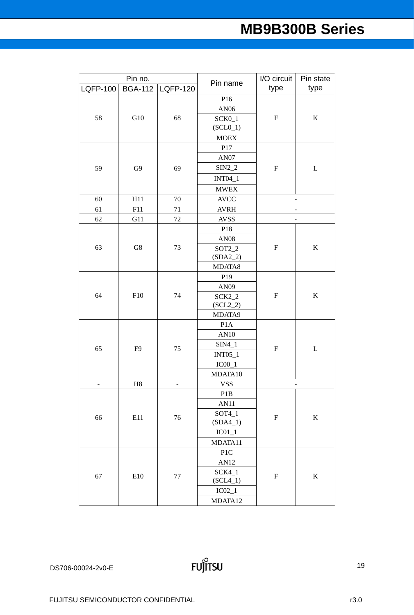| Pin no.         |                | Pin name        | I/O circuit          | Pin state                 |                          |
|-----------------|----------------|-----------------|----------------------|---------------------------|--------------------------|
| <b>LQFP-100</b> | <b>BGA-112</b> | <b>LQFP-120</b> |                      | type                      | type                     |
|                 |                |                 | P16                  |                           |                          |
|                 |                |                 | AN06                 |                           |                          |
| 58              | G10            | 68              | $SCK0_1$             | ${\bf F}$                 | $\bf K$                  |
|                 |                |                 | $(SCL0_1)$           |                           |                          |
|                 |                |                 | <b>MOEX</b>          |                           |                          |
|                 |                |                 | P17                  |                           |                          |
|                 |                |                 | AN07                 |                           |                          |
| 59              | G9             | 69              | $SIN2_2$             | ${\bf F}$                 | L                        |
|                 |                |                 | <b>INT04_1</b>       |                           |                          |
|                 |                |                 | <b>MWEX</b>          |                           |                          |
| 60              | H11            | 70              | <b>AVCC</b>          |                           | $\overline{\phantom{0}}$ |
| 61              | F11            | 71              | <b>AVRH</b>          |                           |                          |
| 62              | G11            | 72              | <b>AVSS</b>          |                           |                          |
|                 |                |                 | P18                  |                           |                          |
|                 |                |                 | <b>AN08</b>          |                           | $\bf K$                  |
| 63              | ${\rm G}8$     | 73              | $SOT2_2$             | $\boldsymbol{\mathrm{F}}$ |                          |
|                 |                |                 | $(SDA2_2)$           |                           |                          |
|                 |                |                 | MDATA8               |                           |                          |
|                 |                | 74              | P19                  | ${\bf F}$<br>${\bf F}$    |                          |
|                 | F10            |                 | AN09                 |                           |                          |
| 64              |                |                 | $SCK2_2$             |                           | $\bf K$                  |
|                 |                |                 | $(SCL2_2)$<br>MDATA9 |                           |                          |
|                 |                |                 | P <sub>1</sub> A     |                           |                          |
|                 |                |                 | AN10                 |                           | $\mathbf L$              |
|                 |                |                 | $SIM4_1$             |                           |                          |
| 65              | F <sub>9</sub> | 75              | <b>INT05_1</b>       |                           |                          |
|                 |                |                 | $IC00_1$             |                           |                          |
|                 |                |                 | MDATA10              |                           |                          |
| $\overline{a}$  | H <sub>8</sub> | -               | <b>VSS</b>           | -                         |                          |
|                 |                |                 | P <sub>1</sub> B     |                           |                          |
|                 |                |                 | AN11                 |                           |                          |
|                 |                |                 | $SOT4_1$             |                           |                          |
| 66              | E11            | 76              | $(SDA4_1)$           | $\boldsymbol{\mathrm{F}}$ | $\bf K$                  |
|                 |                |                 | $IC01_1$             |                           |                          |
|                 |                |                 | MDATA11              |                           |                          |
|                 |                |                 | P <sub>1</sub> C     |                           |                          |
| 67              |                |                 | AN12                 | $\boldsymbol{\mathrm{F}}$ |                          |
|                 | E10            | $77\,$          | $SCK4_1$             |                           | $\bf K$                  |
|                 |                |                 | $(SCL4_1)$           |                           |                          |
|                 |                |                 | $IC02_1$             |                           |                          |
|                 |                |                 | MDATA12              |                           |                          |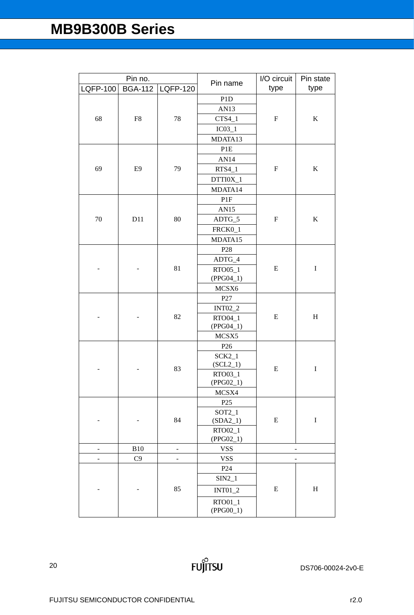| Pin no.         |                | Pin name | I/O circuit              | Pin state                 |                           |
|-----------------|----------------|----------|--------------------------|---------------------------|---------------------------|
| <b>LQFP-100</b> | <b>BGA-112</b> | LQFP-120 |                          | type                      | type                      |
|                 |                |          | P1D                      |                           |                           |
|                 |                |          | AN13                     |                           |                           |
| 68              | F8             | 78       | $CTS4_1$                 | $\boldsymbol{\mathrm{F}}$ | $\bf K$                   |
|                 |                |          | $IC03_1$                 |                           |                           |
|                 |                |          | MDATA13                  |                           |                           |
|                 |                |          | P1E                      |                           |                           |
|                 |                |          | AN14                     |                           |                           |
| 69              | E <sub>9</sub> | 79       | $RTS4_1$                 | $\boldsymbol{\mathrm{F}}$ | $\bf K$                   |
|                 |                |          | DTTI0X_1                 |                           |                           |
|                 |                |          | MDATA14                  |                           |                           |
|                 |                |          | PIF                      |                           |                           |
|                 |                |          | AN15                     |                           |                           |
| 70              | D11            | 80       | ADTG_5                   | ${\bf F}$                 | $\bf K$                   |
|                 |                |          | FRCK0_1                  |                           |                           |
|                 |                |          | MDATA15                  |                           |                           |
|                 |                |          | P <sub>28</sub>          |                           | $\bf I$                   |
|                 |                |          | $ADTG_4$                 |                           |                           |
|                 |                | 81       | RTO05_1                  | ${\bf E}$                 |                           |
|                 |                |          | $(PPG04_1)$              |                           |                           |
|                 |                |          | MCSX6                    |                           |                           |
|                 |                | 82       | P27                      | ${\bf E}$                 | $\boldsymbol{\mathrm{H}}$ |
|                 |                |          | <b>INT02_2</b>           |                           |                           |
|                 |                |          | RTO04_1                  |                           |                           |
|                 |                |          | $(PPG04_1)$              |                           |                           |
|                 |                |          | MCSX5                    |                           |                           |
|                 |                |          | P <sub>26</sub>          | E                         |                           |
|                 |                |          | $SCK2_1$                 |                           |                           |
|                 |                | 83       | $(SCL2_1)$               |                           | $\bf I$                   |
|                 |                |          | RTO03_1                  |                           |                           |
|                 |                |          | (PPG02 1)                |                           |                           |
|                 |                |          | MCSX4<br>P <sub>25</sub> |                           |                           |
|                 |                |          | $SOT2_1$                 |                           |                           |
|                 |                | 84       | $(SDA2_1)$               | ${\bf E}$                 | $\mathbf I$               |
|                 |                |          | RTO02_1                  |                           |                           |
|                 |                |          | $(PPG02_1)$              |                           |                           |
|                 | <b>B10</b>     | -        | <b>VSS</b>               |                           |                           |
|                 | C9             |          | <b>VSS</b>               |                           |                           |
|                 |                |          | P <sub>24</sub>          |                           |                           |
|                 |                |          | $SIN2_1$                 |                           |                           |
|                 |                | 85       | $INT01_2$                | E                         | $H_{\rm}$                 |
|                 |                |          | RTO01_1                  |                           |                           |
|                 |                |          | $(PPG00_1)$              |                           |                           |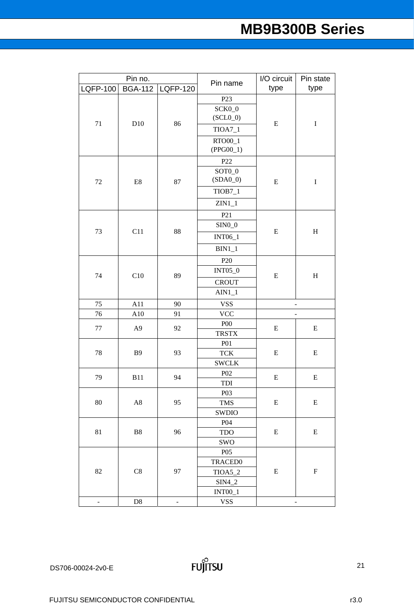| LQFP-120<br>type<br>type<br><b>BGA-112</b><br><b>LQFP-100</b><br>P <sub>23</sub><br>SCK0_0<br>$(SCL0_0)$<br>71<br>86<br>${\bf E}$<br>$\bf I$<br>D10<br>$TIOA7_1$<br>RTO00_1<br>$(PPG00_1)$<br>P22<br>SOT <sub>0</sub> _0<br>$(SDA0_0)$<br>$72\,$<br>$\rm E8$<br>87<br>${\bf E}$<br>$\bf I$<br>$TIOB7_1$<br>$ZIN1_1$<br>P21<br>$SIM0_0$<br>73<br>C11<br>${\bf E}$<br>88<br>$H_{\rm}$<br><b>INT06_1</b><br>$BIN1_1$<br>P <sub>20</sub><br><b>INT05_0</b><br>C10<br>89<br>${\bf E}$<br>$\boldsymbol{\mathrm{H}}$<br>74<br><b>CROUT</b><br>$AIN1_1$<br>75<br>A11<br>90<br><b>VSS</b><br>$\qquad \qquad \blacksquare$<br><b>VCC</b><br>76<br>A10<br>91<br><b>P00</b><br>77<br>A <sub>9</sub><br>92<br>${\bf E}$<br>E<br><b>TRSTX</b><br><b>P01</b><br>78<br>93<br><b>B</b> 9<br>${\bf E}$<br>E<br><b>TCK</b><br><b>SWCLK</b><br>P <sub>02</sub><br>79<br>94<br>${\bf E}$<br><b>B11</b><br>E<br>TDI<br>P <sub>0</sub> 3<br>80<br>95<br>$\rm A8$<br>${\bf E}$<br>E<br><b>TMS</b><br>SWDIO<br>P <sub>04</sub><br>81<br>B8<br>96<br>E<br>E<br><b>TDO</b><br>SWO<br>P <sub>05</sub><br><b>TRACED0</b><br>82<br>C8<br>97<br>E<br>$\boldsymbol{\mathrm{F}}$<br>TIOA5_2<br>$SIM4_2$<br>$INT00_1$ | Pin no. |  |  | Pin name | I/O circuit | Pin state |  |
|-------------------------------------------------------------------------------------------------------------------------------------------------------------------------------------------------------------------------------------------------------------------------------------------------------------------------------------------------------------------------------------------------------------------------------------------------------------------------------------------------------------------------------------------------------------------------------------------------------------------------------------------------------------------------------------------------------------------------------------------------------------------------------------------------------------------------------------------------------------------------------------------------------------------------------------------------------------------------------------------------------------------------------------------------------------------------------------------------------------------------------------------------------------------------------------|---------|--|--|----------|-------------|-----------|--|
|                                                                                                                                                                                                                                                                                                                                                                                                                                                                                                                                                                                                                                                                                                                                                                                                                                                                                                                                                                                                                                                                                                                                                                                     |         |  |  |          |             |           |  |
|                                                                                                                                                                                                                                                                                                                                                                                                                                                                                                                                                                                                                                                                                                                                                                                                                                                                                                                                                                                                                                                                                                                                                                                     |         |  |  |          |             |           |  |
|                                                                                                                                                                                                                                                                                                                                                                                                                                                                                                                                                                                                                                                                                                                                                                                                                                                                                                                                                                                                                                                                                                                                                                                     |         |  |  |          |             |           |  |
|                                                                                                                                                                                                                                                                                                                                                                                                                                                                                                                                                                                                                                                                                                                                                                                                                                                                                                                                                                                                                                                                                                                                                                                     |         |  |  |          |             |           |  |
|                                                                                                                                                                                                                                                                                                                                                                                                                                                                                                                                                                                                                                                                                                                                                                                                                                                                                                                                                                                                                                                                                                                                                                                     |         |  |  |          |             |           |  |
|                                                                                                                                                                                                                                                                                                                                                                                                                                                                                                                                                                                                                                                                                                                                                                                                                                                                                                                                                                                                                                                                                                                                                                                     |         |  |  |          |             |           |  |
|                                                                                                                                                                                                                                                                                                                                                                                                                                                                                                                                                                                                                                                                                                                                                                                                                                                                                                                                                                                                                                                                                                                                                                                     |         |  |  |          |             |           |  |
|                                                                                                                                                                                                                                                                                                                                                                                                                                                                                                                                                                                                                                                                                                                                                                                                                                                                                                                                                                                                                                                                                                                                                                                     |         |  |  |          |             |           |  |
|                                                                                                                                                                                                                                                                                                                                                                                                                                                                                                                                                                                                                                                                                                                                                                                                                                                                                                                                                                                                                                                                                                                                                                                     |         |  |  |          |             |           |  |
|                                                                                                                                                                                                                                                                                                                                                                                                                                                                                                                                                                                                                                                                                                                                                                                                                                                                                                                                                                                                                                                                                                                                                                                     |         |  |  |          |             |           |  |
|                                                                                                                                                                                                                                                                                                                                                                                                                                                                                                                                                                                                                                                                                                                                                                                                                                                                                                                                                                                                                                                                                                                                                                                     |         |  |  |          |             |           |  |
|                                                                                                                                                                                                                                                                                                                                                                                                                                                                                                                                                                                                                                                                                                                                                                                                                                                                                                                                                                                                                                                                                                                                                                                     |         |  |  |          |             |           |  |
|                                                                                                                                                                                                                                                                                                                                                                                                                                                                                                                                                                                                                                                                                                                                                                                                                                                                                                                                                                                                                                                                                                                                                                                     |         |  |  |          |             |           |  |
|                                                                                                                                                                                                                                                                                                                                                                                                                                                                                                                                                                                                                                                                                                                                                                                                                                                                                                                                                                                                                                                                                                                                                                                     |         |  |  |          |             |           |  |
|                                                                                                                                                                                                                                                                                                                                                                                                                                                                                                                                                                                                                                                                                                                                                                                                                                                                                                                                                                                                                                                                                                                                                                                     |         |  |  |          |             |           |  |
|                                                                                                                                                                                                                                                                                                                                                                                                                                                                                                                                                                                                                                                                                                                                                                                                                                                                                                                                                                                                                                                                                                                                                                                     |         |  |  |          |             |           |  |
|                                                                                                                                                                                                                                                                                                                                                                                                                                                                                                                                                                                                                                                                                                                                                                                                                                                                                                                                                                                                                                                                                                                                                                                     |         |  |  |          |             |           |  |
|                                                                                                                                                                                                                                                                                                                                                                                                                                                                                                                                                                                                                                                                                                                                                                                                                                                                                                                                                                                                                                                                                                                                                                                     |         |  |  |          |             |           |  |
|                                                                                                                                                                                                                                                                                                                                                                                                                                                                                                                                                                                                                                                                                                                                                                                                                                                                                                                                                                                                                                                                                                                                                                                     |         |  |  |          |             |           |  |
|                                                                                                                                                                                                                                                                                                                                                                                                                                                                                                                                                                                                                                                                                                                                                                                                                                                                                                                                                                                                                                                                                                                                                                                     |         |  |  |          |             |           |  |
|                                                                                                                                                                                                                                                                                                                                                                                                                                                                                                                                                                                                                                                                                                                                                                                                                                                                                                                                                                                                                                                                                                                                                                                     |         |  |  |          |             |           |  |
|                                                                                                                                                                                                                                                                                                                                                                                                                                                                                                                                                                                                                                                                                                                                                                                                                                                                                                                                                                                                                                                                                                                                                                                     |         |  |  |          |             |           |  |
|                                                                                                                                                                                                                                                                                                                                                                                                                                                                                                                                                                                                                                                                                                                                                                                                                                                                                                                                                                                                                                                                                                                                                                                     |         |  |  |          |             |           |  |
|                                                                                                                                                                                                                                                                                                                                                                                                                                                                                                                                                                                                                                                                                                                                                                                                                                                                                                                                                                                                                                                                                                                                                                                     |         |  |  |          |             |           |  |
|                                                                                                                                                                                                                                                                                                                                                                                                                                                                                                                                                                                                                                                                                                                                                                                                                                                                                                                                                                                                                                                                                                                                                                                     |         |  |  |          |             |           |  |
|                                                                                                                                                                                                                                                                                                                                                                                                                                                                                                                                                                                                                                                                                                                                                                                                                                                                                                                                                                                                                                                                                                                                                                                     |         |  |  |          |             |           |  |
|                                                                                                                                                                                                                                                                                                                                                                                                                                                                                                                                                                                                                                                                                                                                                                                                                                                                                                                                                                                                                                                                                                                                                                                     |         |  |  |          |             |           |  |
|                                                                                                                                                                                                                                                                                                                                                                                                                                                                                                                                                                                                                                                                                                                                                                                                                                                                                                                                                                                                                                                                                                                                                                                     |         |  |  |          |             |           |  |
|                                                                                                                                                                                                                                                                                                                                                                                                                                                                                                                                                                                                                                                                                                                                                                                                                                                                                                                                                                                                                                                                                                                                                                                     |         |  |  |          |             |           |  |
|                                                                                                                                                                                                                                                                                                                                                                                                                                                                                                                                                                                                                                                                                                                                                                                                                                                                                                                                                                                                                                                                                                                                                                                     |         |  |  |          |             |           |  |
|                                                                                                                                                                                                                                                                                                                                                                                                                                                                                                                                                                                                                                                                                                                                                                                                                                                                                                                                                                                                                                                                                                                                                                                     |         |  |  |          |             |           |  |
|                                                                                                                                                                                                                                                                                                                                                                                                                                                                                                                                                                                                                                                                                                                                                                                                                                                                                                                                                                                                                                                                                                                                                                                     |         |  |  |          |             |           |  |
|                                                                                                                                                                                                                                                                                                                                                                                                                                                                                                                                                                                                                                                                                                                                                                                                                                                                                                                                                                                                                                                                                                                                                                                     |         |  |  |          |             |           |  |
|                                                                                                                                                                                                                                                                                                                                                                                                                                                                                                                                                                                                                                                                                                                                                                                                                                                                                                                                                                                                                                                                                                                                                                                     |         |  |  |          |             |           |  |
|                                                                                                                                                                                                                                                                                                                                                                                                                                                                                                                                                                                                                                                                                                                                                                                                                                                                                                                                                                                                                                                                                                                                                                                     |         |  |  |          |             |           |  |
|                                                                                                                                                                                                                                                                                                                                                                                                                                                                                                                                                                                                                                                                                                                                                                                                                                                                                                                                                                                                                                                                                                                                                                                     |         |  |  |          |             |           |  |
|                                                                                                                                                                                                                                                                                                                                                                                                                                                                                                                                                                                                                                                                                                                                                                                                                                                                                                                                                                                                                                                                                                                                                                                     |         |  |  |          |             |           |  |
|                                                                                                                                                                                                                                                                                                                                                                                                                                                                                                                                                                                                                                                                                                                                                                                                                                                                                                                                                                                                                                                                                                                                                                                     |         |  |  |          |             |           |  |
|                                                                                                                                                                                                                                                                                                                                                                                                                                                                                                                                                                                                                                                                                                                                                                                                                                                                                                                                                                                                                                                                                                                                                                                     |         |  |  |          |             |           |  |
| <b>VSS</b><br>D <sub>8</sub><br>۳<br>-<br>$\qquad \qquad \blacksquare$                                                                                                                                                                                                                                                                                                                                                                                                                                                                                                                                                                                                                                                                                                                                                                                                                                                                                                                                                                                                                                                                                                              |         |  |  |          |             |           |  |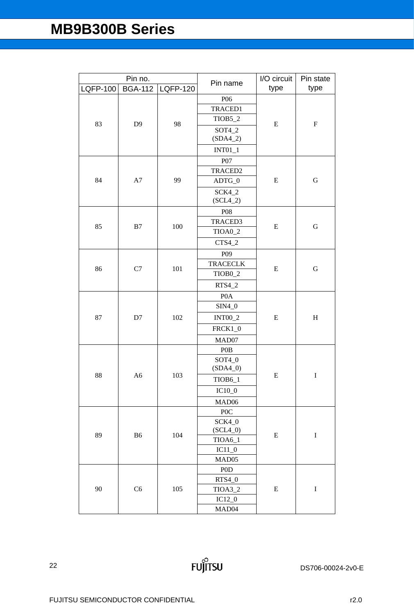| Pin no.         |                | Pin name        | I/O circuit                 | Pin state |             |         |  |     |                |           |                           |
|-----------------|----------------|-----------------|-----------------------------|-----------|-------------|---------|--|-----|----------------|-----------|---------------------------|
| <b>LQFP-100</b> | <b>BGA-112</b> | <b>LQFP-120</b> |                             | type      | type        |         |  |     |                |           |                           |
|                 |                |                 | P06                         |           |             |         |  |     |                |           |                           |
|                 |                |                 | TRACED1                     |           |             |         |  |     |                |           |                           |
| 83              | D <sub>9</sub> | 98              | TIOB5_2                     | E         | $\mathbf F$ |         |  |     |                |           |                           |
|                 |                |                 | $SOT4_2$                    |           |             |         |  |     |                |           |                           |
|                 |                |                 | $(SDA4_2)$                  |           |             |         |  |     |                |           |                           |
|                 |                |                 | $INT01_1$                   |           |             |         |  |     |                |           |                           |
|                 |                |                 | P07                         |           |             |         |  |     |                |           |                           |
|                 |                |                 | TRACED2                     |           |             |         |  |     |                |           |                           |
| 84              | A7             | 99              | ADTG_0                      | E         | ${\bf G}$   |         |  |     |                |           |                           |
|                 |                |                 | <b>SCK4_2</b><br>$(SCL4_2)$ |           |             |         |  |     |                |           |                           |
|                 |                |                 | P08                         |           |             |         |  |     |                |           |                           |
|                 |                |                 | TRACED3                     |           |             |         |  |     |                |           |                           |
| 85              | B7             | 100             | TIOA0_2                     | ${\bf E}$ | ${\bf G}$   |         |  |     |                |           |                           |
|                 |                |                 | $CTS4_2$                    |           |             |         |  |     |                |           |                           |
|                 |                |                 | P <sub>09</sub>             |           |             |         |  |     |                |           |                           |
|                 |                | 101<br>C7       | <b>TRACECLK</b>             | ${\bf E}$ | ${\bf G}$   |         |  |     |                |           |                           |
| 86              |                |                 | TIOB <sub>0_2</sub>         |           |             |         |  |     |                |           |                           |
|                 |                |                 | $RTS4_2$                    |           |             |         |  |     |                |           |                           |
|                 | D7             |                 | P <sub>0</sub> A            |           |             |         |  |     |                |           |                           |
|                 |                |                 | $SIM4_0$                    |           |             |         |  |     |                |           |                           |
| 87              |                |                 |                             |           |             |         |  | 102 | <b>INT00_2</b> | ${\bf E}$ | $\boldsymbol{\mathrm{H}}$ |
|                 |                |                 |                             |           |             | FRCK1_0 |  |     |                |           |                           |
|                 |                |                 | MAD07                       |           |             |         |  |     |                |           |                           |
|                 |                |                 | P <sub>0</sub> B            |           |             |         |  |     |                |           |                           |
|                 |                |                 | $SOT4_0$                    |           |             |         |  |     |                |           |                           |
| 88              | A6             | 103             | $(SDA4_0)$                  | ${\bf E}$ | $\mathbf I$ |         |  |     |                |           |                           |
|                 |                |                 | TIOB6_1                     |           |             |         |  |     |                |           |                           |
|                 |                |                 | $IC10_0$                    |           |             |         |  |     |                |           |                           |
|                 |                |                 | MAD06                       |           |             |         |  |     |                |           |                           |
|                 |                |                 | P <sub>0</sub> C            |           |             |         |  |     |                |           |                           |
|                 |                |                 | SCK4_0                      |           |             |         |  |     |                |           |                           |
| 89              | <b>B6</b>      | 104             | $(SCL4_0)$                  | ${\bf E}$ | $\bf I$     |         |  |     |                |           |                           |
|                 |                |                 | TIOA6_1                     |           |             |         |  |     |                |           |                           |
|                 |                |                 | $IC11_0$<br>MAD05           |           |             |         |  |     |                |           |                           |
|                 |                |                 | P <sub>0</sub> D            |           |             |         |  |     |                |           |                           |
|                 | C <sub>6</sub> |                 | $RTS4_0$                    |           |             |         |  |     |                |           |                           |
| 90              |                |                 | 105                         | TIOA3_2   | ${\bf E}$   | $\bf I$ |  |     |                |           |                           |
|                 |                |                 |                             | $IC12_0$  |             |         |  |     |                |           |                           |
|                 |                |                 | MAD <sub>04</sub>           |           |             |         |  |     |                |           |                           |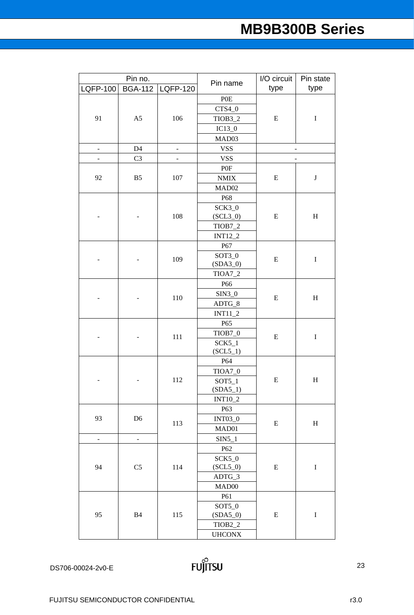|                 | Pin no.                  |                              | Pin name                | I/O circuit | Pin state    |
|-----------------|--------------------------|------------------------------|-------------------------|-------------|--------------|
| <b>LQFP-100</b> | <b>BGA-112</b>           | <b>LQFP-120</b>              |                         | type        | type         |
|                 |                          |                              | P <sub>O</sub> E        |             |              |
|                 |                          |                              | $\text{CTS4}\_\text{0}$ |             |              |
| 91              | A5                       | 106                          | TIOB3_2                 | ${\bf E}$   | $\bf I$      |
|                 |                          |                              | $IC13_0$                |             |              |
|                 |                          |                              | MAD03                   |             |              |
| $\frac{1}{2}$   | D4                       | $\blacksquare$               | <b>VSS</b>              |             |              |
| -               | C <sub>3</sub>           | $\qquad \qquad \blacksquare$ | <b>VSS</b>              |             |              |
|                 |                          |                              | P0F                     |             |              |
| 92              | B <sub>5</sub>           | 107                          | $\textit{NMIX}$         | ${\bf E}$   | $\bf J$      |
|                 |                          |                              | MAD <sub>02</sub>       |             |              |
|                 |                          |                              | P68                     |             |              |
|                 |                          |                              | $SCK3_0$                |             |              |
|                 |                          | 108                          | $(SCL3_0)$              | E           | $H_{\rm}$    |
|                 |                          |                              | TIOB7_2                 |             |              |
|                 |                          |                              | <b>INT12_2</b>          |             |              |
|                 |                          |                              | P67                     |             |              |
|                 |                          | 109                          | $SOT3_0$                | ${\bf E}$   | $\bf I$      |
|                 |                          |                              | $(SDA3_0)$              |             |              |
|                 |                          |                              | <b>TIOA7_2</b>          |             |              |
|                 |                          |                              | P <sub>66</sub>         |             |              |
|                 |                          | 110                          | $SIN3_0$                | ${\bf E}$   | $H_{\rm}$    |
|                 |                          |                              | ADTG_8                  |             |              |
|                 |                          |                              | $INT11_2$               |             |              |
|                 |                          |                              | P65                     |             |              |
|                 |                          | 111                          | TIOB7_0                 | ${\bf E}$   | $\bf I$      |
|                 |                          |                              | $SCK5_1$                |             |              |
|                 |                          |                              | $(SCL5_1)$              |             |              |
|                 |                          |                              | P64                     |             |              |
|                 |                          |                              | TIOA7_0                 |             |              |
|                 |                          | 112                          | $SOT5_1$                | ${\bf E}$   | $\, {\rm H}$ |
|                 |                          |                              | $(SDA5_1)$              |             |              |
|                 |                          |                              | INT10_2                 |             |              |
|                 |                          |                              | P63                     |             |              |
| 93              | D <sub>6</sub>           | 113                          | <b>INT03_0</b>          | ${\bf E}$   | $H_{\rm}$    |
|                 |                          |                              | MAD01                   |             |              |
| $\blacksquare$  | $\overline{\phantom{a}}$ |                              | $SIN5_1$                |             |              |
|                 |                          |                              | P <sub>62</sub>         |             |              |
|                 |                          |                              | SCK5_0                  |             |              |
| 94              | C <sub>5</sub>           | 114                          | $(SCL5_0)$              | E           | $\bf I$      |
|                 |                          |                              | ADTG_3                  |             |              |
|                 |                          |                              | MAD00                   |             |              |
|                 |                          |                              | P61                     |             |              |
|                 |                          |                              | $SOT5_0$                |             |              |
| 95              | <b>B4</b>                | 115                          | $(SDA5_0)$              | E           | $\bf I$      |
|                 |                          |                              | TIOB <sub>2_2</sub>     |             |              |
|                 |                          |                              | <b>UHCONX</b>           |             |              |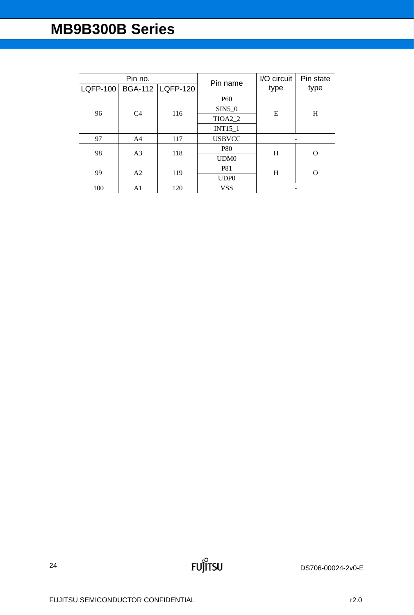|                 | Pin no.        |                    | Pin name         | I/O circuit | Pin state |
|-----------------|----------------|--------------------|------------------|-------------|-----------|
| <b>LQFP-100</b> |                | BGA-112   LQFP-120 |                  | type        | type      |
|                 |                |                    | P <sub>60</sub>  |             |           |
| 96              | C <sub>4</sub> | 116                | $SIN5_0$         | Ε           | H         |
|                 |                |                    | TIOA2_2          |             |           |
|                 |                |                    | <b>INT15 1</b>   |             |           |
| 97              | A <sub>4</sub> | 117                | <b>USBVCC</b>    |             |           |
| 98              | A <sub>3</sub> | 118                | <b>P80</b>       | H           |           |
|                 |                |                    | UDM <sub>0</sub> |             |           |
| 99              | A2             | 119                | <b>P81</b>       | H           |           |
|                 |                |                    | UDP <sub>0</sub> |             |           |
| 100             | A1             | 120                | <b>VSS</b>       |             |           |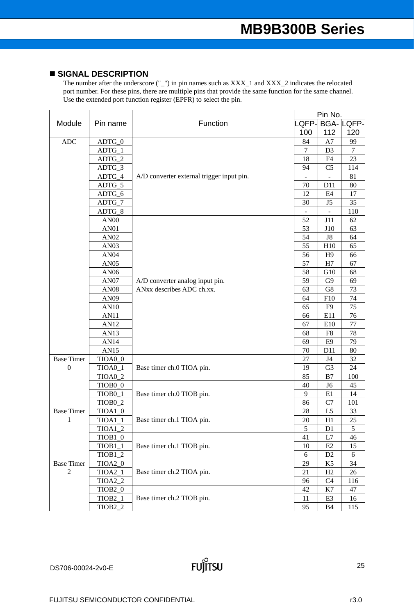# **SIGNAL DESCRIPTION**

|                                  |                      |                                           |                | Pin No.        |                  |
|----------------------------------|----------------------|-------------------------------------------|----------------|----------------|------------------|
| Module                           | Pin name             | Function                                  | LQFP-          |                | <b>BGA-LQFP-</b> |
|                                  |                      |                                           | 100            | 112            | 120              |
| $\mathbf{A}\mathbf{D}\mathbf{C}$ | ADTG_0               |                                           | 84             | A7             | 99               |
|                                  | $ADTG_1$             |                                           | $\overline{7}$ | D <sub>3</sub> | $\tau$           |
|                                  | ADTG_2               |                                           | 18             | F4             | 23               |
|                                  | ADTG_3               |                                           | 94             | C <sub>5</sub> | 114              |
|                                  | ADTG_4               | A/D converter external trigger input pin. |                |                | 81               |
|                                  | ADTG_5               |                                           | 70             | D11            | 80               |
|                                  | ADTG_6               |                                           | 12             | E4             | 17               |
|                                  | ADTG_7               |                                           | 30             | J5             | 35               |
|                                  | ADTG_8               |                                           |                |                | 110              |
|                                  | AN <sub>00</sub>     |                                           | 52             | J11            | 62               |
|                                  | AN01                 |                                           | 53             | J10            | 63               |
|                                  | AN <sub>02</sub>     |                                           | 54             | J8             | 64               |
|                                  | AN <sub>03</sub>     |                                           | 55             | H10            | 65               |
|                                  | AN <sub>04</sub>     |                                           | 56             | H <sub>9</sub> | 66               |
|                                  | AN <sub>05</sub>     |                                           | 57             | H7             | 67               |
|                                  | AN06                 |                                           | 58             | G10            | 68               |
|                                  | AN07                 | A/D converter analog input pin.           | 59             | G <sub>9</sub> | 69               |
|                                  | <b>AN08</b>          | ANxx describes ADC ch.xx.                 | 63             | G8             | 73               |
|                                  | AN09                 |                                           | 64             | F10            | 74               |
|                                  | AN10                 |                                           | 65             | F <sub>9</sub> | 75               |
|                                  | <b>AN11</b>          |                                           | 66             | E11            | 76               |
|                                  | AN12                 |                                           | 67             | E10            | $77 \,$          |
|                                  | AN13                 |                                           | 68             | F <sub>8</sub> | 78               |
|                                  | AN14                 |                                           | 69             | E <sub>9</sub> | 79               |
|                                  | AN15                 |                                           | 70             | D11            | 80               |
| <b>Base Timer</b>                | TIOA0_0              |                                           | 27             | J <sub>4</sub> | 32               |
| $\boldsymbol{0}$                 | TIOA0_1              | Base timer ch.0 TIOA pin.                 | 19             | G <sub>3</sub> | 24               |
|                                  | TIOA0_2              |                                           | 85             | B7             | 100              |
|                                  | TIOB <sub>0</sub> _0 |                                           | 40             | J <sub>6</sub> | 45               |
|                                  | TIOB <sub>0_1</sub>  | Base timer ch.0 TIOB pin.                 | 9              | E1             | 14               |
|                                  | TIOB <sub>0_2</sub>  |                                           | 86             | C7             | 101              |
| <b>Base Timer</b>                | $TIOA1_0$            |                                           | 28             | <u>L5</u>      | <u>33</u>        |
| 1                                | $TIOA1_1$            | Base timer ch.1 TIOA pin.                 | 20             | H1             | 25               |
|                                  | $TIOA1_2$            |                                           | $\sqrt{5}$     | D1             | $\sqrt{5}$       |
|                                  | TIOB <sub>1_0</sub>  |                                           | 41             | L7             | 46               |
|                                  | $TIOB1_1$            | Base timer ch.1 TIOB pin.                 | 10             | E2             | 15               |
|                                  | $TIOB1_2$            |                                           | 6              | D <sub>2</sub> | 6                |
| <b>Base Timer</b>                | TIOA2_0              |                                           | 29             | K <sub>5</sub> | 34               |
| $\overline{2}$                   | TIOA2_1              | Base timer ch.2 TIOA pin.                 | 21             | H2             | 26               |
|                                  | TIOA2_2              |                                           | 96             | C4             | 116              |
|                                  | TIOB <sub>2_0</sub>  |                                           | 42             | K7             | 47               |
|                                  | $TIOB2_1$            | Base timer ch.2 TIOB pin.                 | 11             | E <sub>3</sub> | 16               |
|                                  | TIOB <sub>2_2</sub>  |                                           | 95             | <b>B4</b>      | 115              |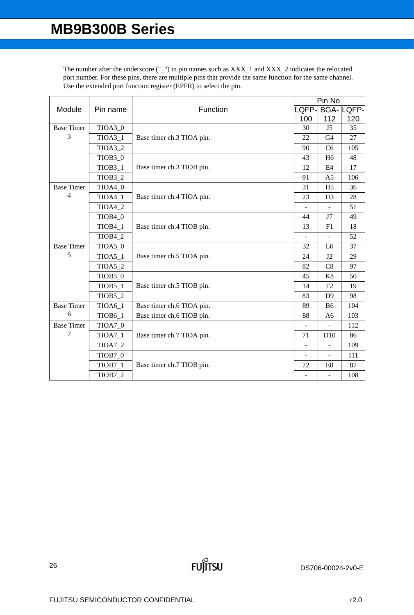|                   |                     |                           |                | Pin No.                  |                  |
|-------------------|---------------------|---------------------------|----------------|--------------------------|------------------|
| Module            | Pin name            | Function                  | LQFP-          |                          | <b>BGA-LQFP-</b> |
|                   |                     |                           | 100            | 112                      | 120              |
| <b>Base Timer</b> | TIOA3_0             |                           | 30             | J5                       | 35               |
| 3                 | $TIOA3_1$           | Base timer ch.3 TIOA pin. | 22             | G <sub>4</sub>           | 27               |
|                   | TIOA3_2             |                           | 90             | C <sub>6</sub>           | 105              |
|                   | TIOB3_0             |                           | 43             | H <sub>6</sub>           | 48               |
|                   | TIOB <sub>3_1</sub> | Base timer ch.3 TIOB pin. | 12             | E4                       | 17               |
|                   | TIOB <sub>3_2</sub> |                           | 91             | A <sub>5</sub>           | 106              |
| <b>Base Timer</b> | TIOA4_0             |                           | 31             | H <sub>5</sub>           | 36               |
| 4                 | $TIOA4_1$           | Base timer ch.4 TIOA pin. | 23             | H <sub>3</sub>           | 28               |
|                   | TIOA4_2             |                           |                |                          | 51               |
|                   | TIOB4_0             |                           | 44             | J7                       | 49               |
|                   | TIOB4_1             | Base timer ch.4 TIOB pin. | 13             | F1                       | 18               |
|                   | TIOB4_2             |                           |                |                          | 52               |
| <b>Base Timer</b> | TIOA5_0             |                           | 32             | L <sub>6</sub>           | 37               |
| 5                 | $TIOA5_1$           | Base timer ch.5 TIOA pin. | 24             | J2                       | 29               |
|                   | $TIOA5_2$           |                           | 82             | C8                       | 97               |
|                   | TIOB5_0             |                           | 45             | K8                       | 50               |
|                   | $TIOB5_1$           | Base timer ch.5 TIOB pin. | 14             | F2                       | 19               |
|                   | <b>TIOB5_2</b>      |                           | 83             | D <sub>9</sub>           | 98               |
| <b>Base Timer</b> | <b>TIOA6_1</b>      | Base timer ch.6 TIOA pin. | 89             | B <sub>6</sub>           | 104              |
| 6                 | <b>TIOB6_1</b>      | Base timer ch.6 TIOB pin. | 88             | A <sub>6</sub>           | 103              |
| <b>Base Timer</b> | TIOA7_0             |                           | $\blacksquare$ | $\overline{\phantom{a}}$ | 112              |
| 7                 | $TIOA7_1$           | Base timer ch.7 TIOA pin. | 71             | D10                      | 86               |
|                   | <b>TIOA7_2</b>      |                           | $\blacksquare$ | $\blacksquare$           | 109              |
|                   | TIOB7_0             |                           |                | $\blacksquare$           | 111              |
|                   | TIOB7_1             | Base timer ch.7 TIOB pin. | 72             | E8                       | 87               |
|                   | TIOB7_2             |                           |                | ÷,                       | 108              |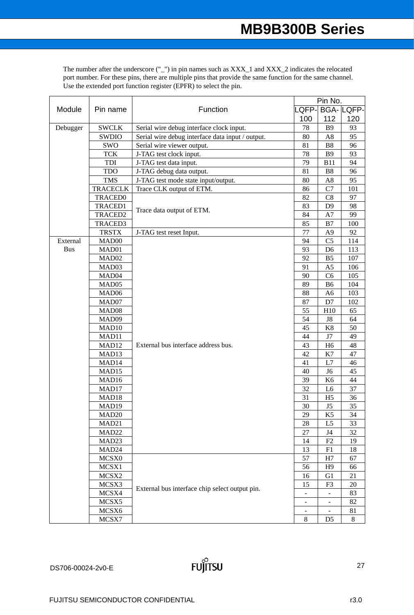|            |                   |                                                  | Pin No.                      |                              |                  |  |
|------------|-------------------|--------------------------------------------------|------------------------------|------------------------------|------------------|--|
| Module     | Pin name          | Function                                         |                              | LQFP-                        | <b>BGA-LQFP-</b> |  |
|            |                   |                                                  | 100                          | 112                          | 120              |  |
| Debugger   | <b>SWCLK</b>      | Serial wire debug interface clock input.         | 78                           | <b>B</b> 9                   | 93               |  |
|            | <b>SWDIO</b>      | Serial wire debug interface data input / output. | 80                           | A <sub>8</sub>               | 95               |  |
|            | SWO               | Serial wire viewer output.                       | 81                           | B8                           | 96               |  |
|            | <b>TCK</b>        | J-TAG test clock input.                          | 78                           | <b>B9</b>                    | 93               |  |
|            | TDI               | J-TAG test data input.                           | 79                           | <b>B11</b>                   | 94               |  |
|            | <b>TDO</b>        | J-TAG debug data output.                         | 81                           | B <sub>8</sub>               | 96               |  |
|            | <b>TMS</b>        | J-TAG test mode state input/output.              | 80                           | A8                           | 95               |  |
|            | <b>TRACECLK</b>   | Trace CLK output of ETM.                         | 86                           | C7                           | 101              |  |
|            | <b>TRACED0</b>    |                                                  | 82                           | C8                           | 97               |  |
|            | <b>TRACED1</b>    | Trace data output of ETM.                        | 83                           | D <sub>9</sub>               | 98               |  |
|            | TRACED2           |                                                  | 84                           | A7                           | 99               |  |
|            | TRACED3           |                                                  | 85                           | B7                           | 100              |  |
|            | <b>TRSTX</b>      | J-TAG test reset Input.                          | 77                           | A <sub>9</sub>               | 92               |  |
| External   | MAD00             |                                                  | 94                           | C <sub>5</sub>               | 114              |  |
| <b>Bus</b> | MAD01             |                                                  | 93                           | D <sub>6</sub>               | 113              |  |
|            | MAD02             |                                                  | 92                           | B <sub>5</sub>               | 107              |  |
|            | MAD03             |                                                  | 91                           | A <sub>5</sub>               | 106              |  |
|            | MAD <sub>04</sub> |                                                  | 90                           | C6                           | 105              |  |
|            | MAD05             |                                                  | 89                           | B <sub>6</sub>               | 104              |  |
|            | MAD <sub>06</sub> |                                                  | 88                           | A <sub>6</sub>               | 103              |  |
|            | MAD07             |                                                  | 87                           | D7                           | 102              |  |
|            | MAD08             |                                                  | 55                           | H10                          | 65               |  |
|            | MAD09             |                                                  | 54                           | ${\rm J}8$                   | 64               |  |
|            | MAD10             |                                                  | 45                           | K8                           | 50               |  |
|            | MAD11             |                                                  | 44                           | J7                           | 49               |  |
|            | MAD12             | External bus interface address bus.              | 43                           | H <sub>6</sub>               | 48               |  |
|            | MAD13             |                                                  | 42                           | K7                           | 47               |  |
|            | MAD14             |                                                  | 41                           | L7                           | 46               |  |
|            | MAD15             |                                                  | 40                           | J <sub>6</sub>               | 45               |  |
|            | MAD16             |                                                  | 39                           | K <sub>6</sub>               | 44               |  |
|            | MAD17             |                                                  | 32                           | L <sub>6</sub>               | 37               |  |
|            | MAD18             |                                                  | 31                           | H <sub>5</sub>               | 36               |  |
|            | MAD <sub>19</sub> |                                                  | 30                           | J5                           | 35               |  |
|            | MAD <sub>20</sub> |                                                  | 29                           | K <sub>5</sub>               | 34               |  |
|            | MAD21             |                                                  | 28                           | L <sub>5</sub>               | 33               |  |
|            | MAD <sub>22</sub> |                                                  | 27                           | J4                           | 32               |  |
|            | MAD <sub>23</sub> |                                                  | 14                           | F2                           | 19               |  |
|            | MAD24             |                                                  | 13                           | F1                           | 18               |  |
|            | MCSX0             |                                                  | 57                           | H7                           | 67               |  |
|            | MCSX1             |                                                  | 56                           | H <sub>9</sub>               | 66               |  |
|            | MCSX2             |                                                  | 16                           | G <sub>1</sub>               | 21               |  |
|            | MCSX3             | External bus interface chip select output pin.   | 15                           | F <sub>3</sub>               | 20               |  |
|            | MCSX4             |                                                  | $\qquad \qquad \blacksquare$ | $\qquad \qquad \blacksquare$ | 83               |  |
|            | MCSX5             |                                                  | $\qquad \qquad \blacksquare$ | $\blacksquare$               | 82               |  |
|            | MCSX6             |                                                  | -                            | $\overline{\phantom{a}}$     | 81               |  |
|            | MCSX7             |                                                  | $\,8\,$                      | D <sub>5</sub>               | 8                |  |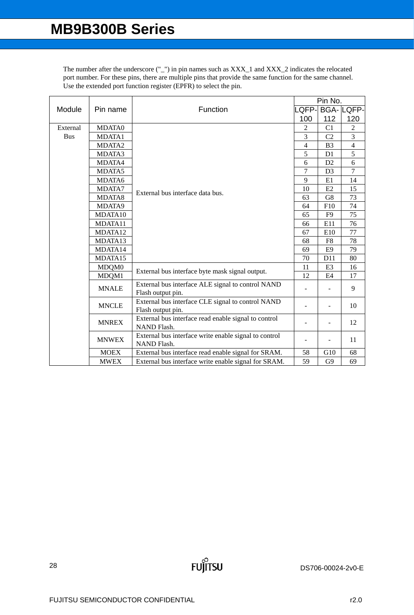|            |               |                                                       |                          | Pin No.        |                  |  |  |
|------------|---------------|-------------------------------------------------------|--------------------------|----------------|------------------|--|--|
| Module     | Pin name      | Function                                              | QFP-                     |                | <b>BGA-LQFP-</b> |  |  |
|            |               |                                                       | 100                      | 112            | 120              |  |  |
| External   | <b>MDATA0</b> |                                                       | $\overline{2}$           | C <sub>1</sub> | $\overline{2}$   |  |  |
| <b>Bus</b> | MDATA1        |                                                       | 3                        | C <sub>2</sub> | 3                |  |  |
|            | MDATA2        |                                                       | $\overline{4}$           | B <sub>3</sub> | $\overline{4}$   |  |  |
|            | MDATA3        |                                                       | 5                        | D1             | 5                |  |  |
|            | MDATA4        |                                                       | 6                        | D <sub>2</sub> | 6                |  |  |
|            | MDATA5        |                                                       | $\overline{7}$           | D <sub>3</sub> | $\overline{7}$   |  |  |
|            | MDATA6        |                                                       | 9                        | E1             | 14               |  |  |
|            | MDATA7        | External bus interface data bus.                      | 10                       | E2             | 15               |  |  |
|            | MDATA8        |                                                       | 63                       | G8             | 73               |  |  |
|            | MDATA9        |                                                       | 64                       | F10            | 74               |  |  |
|            | MDATA10       |                                                       | 65                       | F9             | 75               |  |  |
|            | MDATA11       |                                                       | 66                       | E11            | 76               |  |  |
|            | MDATA12       |                                                       | 67                       | E10            | 77               |  |  |
|            | MDATA13       |                                                       | 68                       | F8             | 78               |  |  |
|            | MDATA14       |                                                       | 69                       | E <sub>9</sub> | 79               |  |  |
|            | MDATA15       |                                                       | 70                       | D11            | 80               |  |  |
|            | MDQM0         | External bus interface byte mask signal output.       | 11                       | E <sub>3</sub> | 16               |  |  |
|            | MDQM1         |                                                       | 12                       | E4             | 17               |  |  |
|            | <b>MNALE</b>  | External bus interface ALE signal to control NAND     | $\overline{\phantom{0}}$ |                | 9                |  |  |
|            |               | Flash output pin.                                     |                          |                |                  |  |  |
|            | <b>MNCLE</b>  | External bus interface CLE signal to control NAND     |                          |                | 10               |  |  |
|            |               | Flash output pin.                                     |                          |                |                  |  |  |
|            | <b>MNREX</b>  | External bus interface read enable signal to control  |                          |                | 12               |  |  |
|            |               | NAND Flash.                                           |                          |                |                  |  |  |
|            | <b>MNWEX</b>  | External bus interface write enable signal to control | $\overline{a}$           | $\blacksquare$ | 11               |  |  |
|            |               | <b>NAND Flash.</b>                                    |                          |                |                  |  |  |
|            | <b>MOEX</b>   | External bus interface read enable signal for SRAM.   | 58                       | G10            | 68               |  |  |
|            | <b>MWEX</b>   | External bus interface write enable signal for SRAM.  | 59                       | G <sub>9</sub> | 69               |  |  |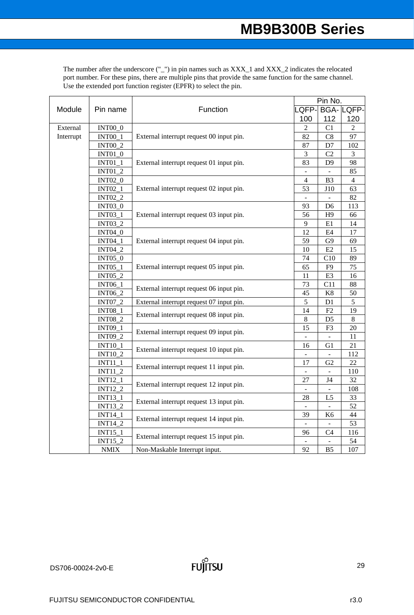|                                  |                                          | Function                                 | Pin No.                  |                |                  |  |
|----------------------------------|------------------------------------------|------------------------------------------|--------------------------|----------------|------------------|--|
| Module                           | Pin name                                 |                                          | QFP-                     |                | <b>BGA-LQFP-</b> |  |
|                                  |                                          |                                          | 100                      | 112            | 120              |  |
| External                         | $INT00\_0$                               |                                          | 2                        | C1             | $\overline{2}$   |  |
| Interrupt                        | <b>INT00_1</b>                           | External interrupt request 00 input pin. | 82                       | C8             | 97               |  |
|                                  | <b>INT00_2</b>                           |                                          | 87                       | $\mathbf{D}7$  | 102              |  |
|                                  | <b>INT01_0</b>                           |                                          | 3                        | C2             | 3                |  |
|                                  | $INT01_1$                                | External interrupt request 01 input pin. | 83                       | D <sub>9</sub> | 98               |  |
|                                  | <b>INT01_2</b>                           |                                          |                          |                | 85               |  |
|                                  | <b>INT02_0</b>                           |                                          | $\overline{4}$           | B <sub>3</sub> | $\overline{4}$   |  |
|                                  | <b>INT02_1</b>                           | External interrupt request 02 input pin. | 53                       | J10            | 63               |  |
|                                  | <b>INT02_2</b>                           |                                          |                          |                | 82               |  |
|                                  | <b>INT03_0</b>                           |                                          | 93                       | D <sub>6</sub> | 113              |  |
|                                  | <b>INT03_1</b>                           | External interrupt request 03 input pin. | 56                       | H9             | 66               |  |
|                                  | INT03_2                                  |                                          | 9                        | E1             | 14               |  |
|                                  | <b>INT04 0</b>                           |                                          | 12                       | E4             | 17               |  |
|                                  | <b>INT04_1</b>                           | External interrupt request 04 input pin. | 59                       | G <sub>9</sub> | 69               |  |
|                                  | <b>INT04_2</b>                           |                                          | 10                       | E2             | 15               |  |
|                                  | <b>INT05_0</b>                           |                                          | 74                       | C10            | 89               |  |
|                                  | <b>INT05_1</b>                           | External interrupt request 05 input pin. | 65                       | F <sub>9</sub> | 75               |  |
|                                  | INT05_2                                  |                                          | 11                       | E <sub>3</sub> | 16               |  |
|                                  | INT06_1                                  | External interrupt request 06 input pin. | 73                       | C11            | 88               |  |
|                                  | <b>INT06_2</b>                           |                                          | 45                       | $\rm K8$       | 50               |  |
|                                  | <b>INT07_2</b>                           | External interrupt request 07 input pin. | 5                        | D1             | $\sqrt{5}$       |  |
|                                  | <b>INT08_1</b>                           | External interrupt request 08 input pin. | 14                       | F2             | 19               |  |
|                                  | <b>INT08_2</b>                           |                                          | 8                        | D <sub>5</sub> | 8                |  |
|                                  | <b>INT09 1</b>                           | External interrupt request 09 input pin. | 15                       | F <sub>3</sub> | 20               |  |
|                                  | <b>INT09_2</b>                           |                                          | $\overline{\phantom{a}}$ |                | 11               |  |
|                                  | <b>INT10_1</b>                           | External interrupt request 10 input pin. | 16                       | G1             | 21               |  |
|                                  | <b>INT10_2</b>                           |                                          | $\blacksquare$           | $\mathbb{L}$   | 112              |  |
|                                  | $INT11_1$                                | External interrupt request 11 input pin. | 17                       | G2             | 22               |  |
|                                  | $INT11_2$                                |                                          | $\overline{a}$           |                | 110              |  |
|                                  | $INT12_1$                                | External interrupt request 12 input pin. | 27                       | J4             | 32               |  |
|                                  | $INT12_2$                                |                                          |                          |                | 108              |  |
|                                  | INT13_1                                  | External interrupt request 13 input pin. | 28                       | L <sub>5</sub> | 33               |  |
| <b>INT13 2</b><br><b>INT14_1</b> |                                          | $\overline{\phantom{a}}$                 |                          | 52             |                  |  |
|                                  | External interrupt request 14 input pin. | 39                                       | K <sub>6</sub>           | 44             |                  |  |
|                                  | <b>INT14 2</b>                           |                                          | $\overline{\phantom{a}}$ | $\mathbf{r}$   | 53               |  |
|                                  | $INT15_1$                                | External interrupt request 15 input pin. | 96                       | C <sub>4</sub> | 116              |  |
|                                  | INT15_2                                  |                                          |                          |                | 54               |  |
|                                  | <b>NMIX</b>                              | Non-Maskable Interrupt input.            | 92                       | B5             | 107              |  |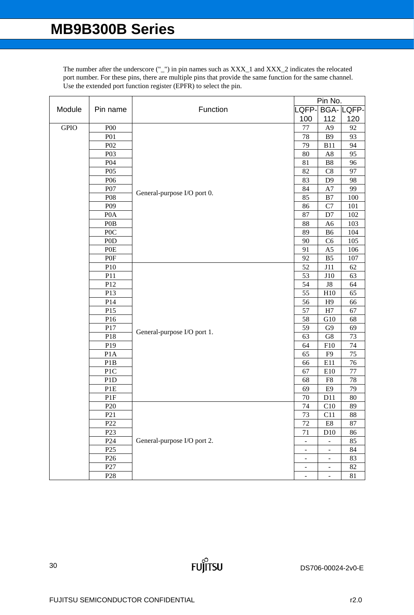|             |                  | Function                    | Pin No.                  |                              |                  |
|-------------|------------------|-----------------------------|--------------------------|------------------------------|------------------|
| Module      | Pin name         |                             | LQFP-                    |                              | <b>BGA-LQFP-</b> |
|             |                  |                             | 100                      | 112                          | 120              |
| <b>GPIO</b> | P <sub>00</sub>  |                             | 77                       | A <sub>9</sub>               | 92               |
|             | <b>P01</b>       |                             | 78                       | <b>B9</b>                    | 93               |
|             | P <sub>02</sub>  |                             | 79                       | <b>B11</b>                   | 94               |
|             | P03              |                             | 80                       | $\rm A8$                     | 95               |
|             | P04              |                             | 81                       | B8                           | 96               |
|             | P <sub>05</sub>  |                             | 82                       | C8                           | 97               |
|             | P <sub>06</sub>  |                             | 83                       | D <sub>9</sub>               | 98               |
|             | P07              |                             | 84                       | A7                           | 99               |
|             | P08              | General-purpose I/O port 0. | 85                       | B7                           | 100              |
|             | P <sub>09</sub>  |                             | 86                       | C7                           | 101              |
|             | P <sub>0</sub> A |                             | 87                       | D7                           | 102              |
|             | P <sub>0</sub> B |                             | 88                       | A <sub>6</sub>               | 103              |
|             | P <sub>O</sub> C |                             | 89                       | <b>B6</b>                    | 104              |
|             | P <sub>0</sub> D |                             | 90                       | C <sub>6</sub>               | 105              |
|             | P <sub>O</sub> E |                             | 91                       | A <sub>5</sub>               | 106              |
|             | P <sub>OF</sub>  |                             | 92                       | B <sub>5</sub>               | 107              |
|             | P10              |                             | 52                       | J11                          | 62               |
|             | P11              |                             | 53                       | J10                          | 63               |
|             | P12              |                             | 54                       | ${\rm J}8$                   | 64               |
|             | P13              |                             | 55                       | H10                          | 65               |
|             | P14              |                             | 56                       | H9                           | 66               |
|             | P15              |                             | 57                       | H7                           | 67               |
|             | P16              |                             | 58                       | G10                          | 68               |
|             | P17              |                             | 59                       | G9                           | 69               |
|             | P18              | General-purpose I/O port 1. | 63                       | ${\rm G}8$                   | 73               |
|             | P19              |                             | 64                       | F10                          | 74               |
|             | P <sub>1</sub> A |                             | 65                       | F <sub>9</sub>               | $\overline{75}$  |
|             | P <sub>1</sub> B |                             | 66                       | E11                          | 76               |
|             | P1C              |                             | 67                       | E10                          | $\overline{77}$  |
|             | P <sub>1</sub> D |                             | 68                       | ${\rm F}8$                   | 78               |
|             | P1E              |                             | 69                       | E <sub>9</sub>               | 79               |
|             | P1F              |                             | 70                       | D <sub>11</sub>              | $80\,$           |
|             | P <sub>20</sub>  |                             | 74                       | C10                          | 89               |
|             | P21              |                             | 73                       | C11                          | 88               |
|             | P22              |                             | 72                       | $\rm E8$                     | 87               |
|             | P <sub>23</sub>  |                             | $71\,$                   | D10                          | 86               |
|             | P <sub>24</sub>  | General-purpose I/O port 2. |                          |                              | 85               |
|             | P <sub>25</sub>  |                             | $\overline{\phantom{a}}$ | $\overline{\phantom{m}}$     | 84               |
|             | P <sub>26</sub>  |                             | $\overline{\phantom{a}}$ | $\overline{\phantom{m}}$     | 83               |
|             | P27              |                             | $\overline{\phantom{a}}$ | $\qquad \qquad \blacksquare$ | 82               |
|             | P <sub>28</sub>  |                             | $\overline{\phantom{a}}$ | $\overline{\phantom{a}}$     | 81               |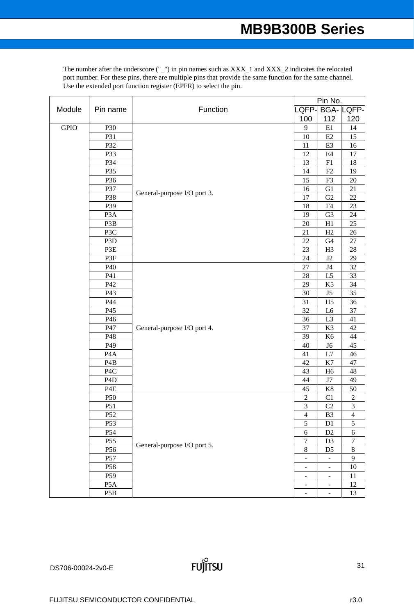|             |                  |                             | Pin No.                      |                            |                  |  |
|-------------|------------------|-----------------------------|------------------------------|----------------------------|------------------|--|
| Module      | Pin name         | Function                    | LQFP-                        |                            | <b>BGA-LQFP-</b> |  |
|             |                  |                             | 100                          | 112                        | 120              |  |
| <b>GPIO</b> | P30              |                             | 9                            | $\rm E1$                   | 14               |  |
|             | P31              |                             | 10                           | $\mathop{\mathrm{E2}}$     | 15               |  |
|             | P32              |                             | 11                           | E3                         | 16               |  |
|             | P33              |                             | 12                           | $\rm E4$                   | $17\,$           |  |
|             | P34              |                             | 13                           | F1                         | 18               |  |
|             | P35              |                             | 14                           | F2                         | 19               |  |
|             | P36              |                             | 15                           | F3                         | $20\,$           |  |
|             | P37              |                             | 16                           | G1                         | 21               |  |
|             | P38              | General-purpose I/O port 3. | 17                           | G <sub>2</sub>             | $22\,$           |  |
|             | P39              |                             | 18                           | F4                         | 23               |  |
|             | P <sub>3</sub> A |                             | 19                           | G <sub>3</sub>             | 24               |  |
|             | P3B              |                             | 20                           | H1                         | 25               |  |
|             | P3C              |                             | 21                           | H2                         | $26\,$           |  |
|             | P <sub>3</sub> D |                             | 22                           | G4                         | 27               |  |
|             | P3E              |                             | 23                           | H <sub>3</sub>             | $28\,$           |  |
|             | P3F              |                             | 24                           | J2                         | 29               |  |
|             | P40              |                             | $27\,$                       | J4                         | $32\,$           |  |
|             | P41              |                             | $28\,$                       | L5                         | 33               |  |
|             | P42              |                             | 29                           | K <sub>5</sub>             | 34               |  |
|             | P43              |                             | 30                           | J5                         | 35               |  |
|             | P44              |                             | 31                           | H <sub>5</sub>             | 36               |  |
|             | P45              |                             | 32                           | L <sub>6</sub>             | 37               |  |
|             | P46              |                             | 36                           | L <sub>3</sub>             | 41               |  |
|             | P47              | General-purpose I/O port 4. | 37                           | K3                         | 42               |  |
|             | P48              |                             | 39                           | K <sub>6</sub>             | $44\,$           |  |
|             | P49              |                             | 40                           | J <sub>6</sub>             | $45\,$           |  |
|             | P <sub>4</sub> A |                             | 41                           | $\ensuremath{\mathrm{L7}}$ | $46\,$           |  |
|             | P <sub>4</sub> B |                             | 42                           | K7                         | 47               |  |
|             | P <sub>4</sub> C |                             | 43                           | H <sub>6</sub>             | $\sqrt{48}$      |  |
|             | P <sub>4</sub> D |                             | 44                           | $\ensuremath{\text{J7}}$   | 49               |  |
|             | P <sub>4</sub> E |                             | 45                           | $\rm K8$                   | 50               |  |
|             | P50              |                             | $\overline{c}$               | C <sub>1</sub>             | $\overline{c}$   |  |
|             | P51              |                             | $\overline{3}$               | C <sub>2</sub>             | 3                |  |
|             | P <sub>52</sub>  |                             | $\overline{4}$               | B <sub>3</sub>             | $\overline{4}$   |  |
|             | P <sub>53</sub>  |                             | $\sqrt{5}$                   | D1                         | $\mathfrak s$    |  |
|             | P54              |                             | $\sqrt{6}$                   | D2                         | $\epsilon$       |  |
|             | P55              |                             | $\overline{7}$               | D <sub>3</sub>             | $\overline{7}$   |  |
|             | P56              | General-purpose I/O port 5. | $\,$ 8 $\,$                  | D <sub>5</sub>             | $8\,$            |  |
|             | P57              |                             | $\blacksquare$               |                            | 9                |  |
|             | P58              |                             | $\overline{\phantom{a}}$     | $\overline{\phantom{a}}$   | $10\,$           |  |
|             | P59              |                             | $\qquad \qquad \blacksquare$ | $\overline{\phantom{a}}$   | 11               |  |
|             | P <sub>5</sub> A |                             | $\overline{\phantom{a}}$     | $\blacksquare$             | 12               |  |
|             | P <sub>5</sub> B |                             | $\blacksquare$               | $\blacksquare$             | 13               |  |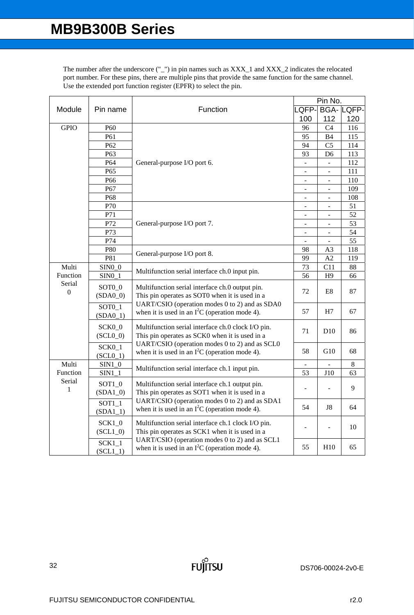|                            |                                   |                                                                                                                                                                                                                                                           |                              | Pin No.        |                  |  |  |
|----------------------------|-----------------------------------|-----------------------------------------------------------------------------------------------------------------------------------------------------------------------------------------------------------------------------------------------------------|------------------------------|----------------|------------------|--|--|
| Module                     | Pin name                          | Function                                                                                                                                                                                                                                                  | LQFP-                        |                | <b>BGA-LQFP-</b> |  |  |
|                            |                                   |                                                                                                                                                                                                                                                           | 100                          | 112            | 120              |  |  |
| <b>GPIO</b>                | P <sub>60</sub>                   |                                                                                                                                                                                                                                                           | 96                           | C <sub>4</sub> | 116              |  |  |
|                            | P61                               |                                                                                                                                                                                                                                                           | 95                           | B4             | 115              |  |  |
|                            | P62                               |                                                                                                                                                                                                                                                           | 94                           | C <sub>5</sub> | 114              |  |  |
|                            | P63                               |                                                                                                                                                                                                                                                           | 93                           | D <sub>6</sub> | 113              |  |  |
|                            | P64                               | General-purpose I/O port 6.                                                                                                                                                                                                                               | ÷,                           | ÷.             | 112              |  |  |
|                            | P <sub>65</sub>                   |                                                                                                                                                                                                                                                           |                              |                | 111              |  |  |
|                            | P <sub>66</sub>                   |                                                                                                                                                                                                                                                           | $\overline{a}$               |                | 110              |  |  |
|                            | P67                               |                                                                                                                                                                                                                                                           | $\blacksquare$               | $\blacksquare$ | 109              |  |  |
|                            | P68                               |                                                                                                                                                                                                                                                           | L                            |                | 108              |  |  |
|                            | P70                               |                                                                                                                                                                                                                                                           |                              |                | 51               |  |  |
|                            | P71                               |                                                                                                                                                                                                                                                           | L,                           |                | 52               |  |  |
|                            | P72                               | General-purpose I/O port 7.                                                                                                                                                                                                                               | $\overline{a}$               | $\Box$         | 53               |  |  |
|                            | P73                               |                                                                                                                                                                                                                                                           | $\qquad \qquad \blacksquare$ | $\blacksquare$ | 54               |  |  |
|                            | P74                               |                                                                                                                                                                                                                                                           |                              |                | 55               |  |  |
|                            | P80                               | General-purpose I/O port 8.                                                                                                                                                                                                                               | 98                           | A <sub>3</sub> | 118              |  |  |
|                            | P81                               |                                                                                                                                                                                                                                                           | 99                           | A2             | 119              |  |  |
| Multi                      | $SINO_0$                          | Multifunction serial interface ch.0 input pin.<br>Multifunction serial interface ch.0 output pin.<br>This pin operates as SOT0 when it is used in a<br>UART/CSIO (operation modes 0 to 2) and as SDA0<br>when it is used in an $I^2C$ (operation mode 4). | 73                           | C11            | 88               |  |  |
| Function                   | SIN0 1                            |                                                                                                                                                                                                                                                           | 56                           | H <sub>9</sub> | 66               |  |  |
| Serial<br>$\boldsymbol{0}$ | SOT <sub>0</sub> _0<br>$(SDA0_0)$ |                                                                                                                                                                                                                                                           | 72                           | E8             | 87               |  |  |
|                            | $SOT0_1$<br>$(SDA0_1)$            |                                                                                                                                                                                                                                                           | 57                           | H7             | 67               |  |  |
|                            | SCK <sub>0_0</sub><br>$(SCL0_0)$  | Multifunction serial interface ch.0 clock I/O pin.<br>This pin operates as SCK0 when it is used in a                                                                                                                                                      | 71                           | D10            | 86               |  |  |
|                            | $SCK0_1$<br>$(SCL0_1)$            | UART/CSIO (operation modes 0 to 2) and as SCL0<br>when it is used in an $I^2C$ (operation mode 4).                                                                                                                                                        | 58                           | G10            | 68               |  |  |
| Multi                      | $SIM1_0$                          | Multifunction serial interface ch.1 input pin.                                                                                                                                                                                                            |                              |                | 8                |  |  |
| Function                   | $SIM1_1$                          |                                                                                                                                                                                                                                                           | 53                           | <b>J10</b>     | 63               |  |  |
| Serial<br>1                | $SOT1_0$<br>$(SDA1_0)$            | Multifunction serial interface ch.1 output pin.<br>This pin operates as SOT1 when it is used in a                                                                                                                                                         |                              |                | 9                |  |  |
|                            | $SOT1_1$<br>$(SDA1_1)$            | UART/CSIO (operation modes 0 to 2) and as SDA1<br>when it is used in an $I^2C$ (operation mode 4).                                                                                                                                                        | 54                           | J8             | 64               |  |  |
|                            | $SCK1_0$<br>$(SCL1_0)$            | Multifunction serial interface ch.1 clock I/O pin.<br>This pin operates as SCK1 when it is used in a                                                                                                                                                      |                              |                | 10               |  |  |
|                            | $SCK1_1$<br>$(SCL1_1)$            | UART/CSIO (operation modes 0 to 2) and as SCL1<br>when it is used in an $I^2C$ (operation mode 4).                                                                                                                                                        | 55                           | H10            | 65               |  |  |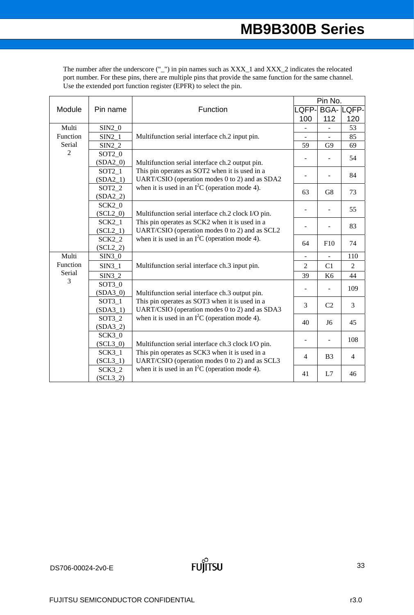| Module                                        | Pin name               | Function                                                                                                                                                                                                                                                                                                                                                                                                              | Pin No.                  |                |                  |
|-----------------------------------------------|------------------------|-----------------------------------------------------------------------------------------------------------------------------------------------------------------------------------------------------------------------------------------------------------------------------------------------------------------------------------------------------------------------------------------------------------------------|--------------------------|----------------|------------------|
|                                               |                        |                                                                                                                                                                                                                                                                                                                                                                                                                       | LQFP-                    |                | <b>BGA-LQFP-</b> |
|                                               |                        |                                                                                                                                                                                                                                                                                                                                                                                                                       | 100                      | 112            | 120              |
| Multi<br>Function<br>Serial<br>$\overline{2}$ | $SIM2_0$               | Multifunction serial interface ch.2 input pin.                                                                                                                                                                                                                                                                                                                                                                        | $\overline{\phantom{0}}$ |                | 53               |
|                                               | $SIN2_1$               |                                                                                                                                                                                                                                                                                                                                                                                                                       |                          |                | 85               |
|                                               | SIN2 2                 |                                                                                                                                                                                                                                                                                                                                                                                                                       | 59                       | G <sub>9</sub> | 69               |
|                                               | $SOT2_0$               | Multifunction serial interface ch.2 output pin.<br>This pin operates as SOT2 when it is used in a<br>UART/CSIO (operation modes 0 to 2) and as SDA2<br>when it is used in an $I^2C$ (operation mode 4).                                                                                                                                                                                                               |                          |                | 54               |
|                                               | $(SDA2_0)$             |                                                                                                                                                                                                                                                                                                                                                                                                                       |                          |                |                  |
|                                               | SOT2 1<br>$(SDA2_1)$   |                                                                                                                                                                                                                                                                                                                                                                                                                       |                          |                | 84               |
|                                               | $SOT2_2$               |                                                                                                                                                                                                                                                                                                                                                                                                                       |                          |                |                  |
|                                               | $(SDA2_2)$             |                                                                                                                                                                                                                                                                                                                                                                                                                       | 63                       | G8             | 73               |
|                                               | $SCK2_0$               |                                                                                                                                                                                                                                                                                                                                                                                                                       |                          |                |                  |
|                                               | $(SCL2_0)$             | Multifunction serial interface ch.2 clock I/O pin.<br>This pin operates as SCK2 when it is used in a<br>UART/CSIO (operation modes 0 to 2) and as SCL2<br>when it is used in an $I^2C$ (operation mode 4).                                                                                                                                                                                                            |                          | ÷              | 55               |
|                                               | $SCK2_1$               |                                                                                                                                                                                                                                                                                                                                                                                                                       |                          |                | 83               |
|                                               | $(SCL2_1)$             |                                                                                                                                                                                                                                                                                                                                                                                                                       |                          |                |                  |
|                                               | $SCK2_2$               |                                                                                                                                                                                                                                                                                                                                                                                                                       | 64                       | F10            | 74               |
|                                               | $(SCL2_2)$             |                                                                                                                                                                                                                                                                                                                                                                                                                       |                          |                |                  |
| Multi<br>Function<br>Serial<br>3              | $SIN3_0$               | Multifunction serial interface ch.3 input pin.                                                                                                                                                                                                                                                                                                                                                                        |                          |                | 110              |
|                                               | $SIM3_1$               |                                                                                                                                                                                                                                                                                                                                                                                                                       | $\overline{2}$           | C <sub>1</sub> | $\overline{2}$   |
|                                               | $SIN3_2$               |                                                                                                                                                                                                                                                                                                                                                                                                                       | 39                       | K <sub>6</sub> | 44               |
|                                               | SOT30                  | Multifunction serial interface ch.3 output pin.<br>This pin operates as SOT3 when it is used in a<br>UART/CSIO (operation modes 0 to 2) and as SDA3<br>when it is used in an $I^2C$ (operation mode 4).<br>Multifunction serial interface ch.3 clock I/O pin.<br>This pin operates as SCK3 when it is used in a<br>UART/CSIO (operation modes 0 to 2) and as SCL3<br>when it is used in an $I^2C$ (operation mode 4). |                          |                | 109              |
|                                               | $(SDA3_0)$             |                                                                                                                                                                                                                                                                                                                                                                                                                       |                          |                |                  |
|                                               | $SOT3_1$               |                                                                                                                                                                                                                                                                                                                                                                                                                       | 3                        | C <sub>2</sub> | 3                |
|                                               | $(SDA3_1)$             |                                                                                                                                                                                                                                                                                                                                                                                                                       |                          |                |                  |
|                                               | $SOT3_2$<br>$(SDA3_2)$ |                                                                                                                                                                                                                                                                                                                                                                                                                       | 40                       | J6             | 45               |
|                                               | $SCK3_0$               |                                                                                                                                                                                                                                                                                                                                                                                                                       |                          |                |                  |
|                                               | $(SCL3_0)$             |                                                                                                                                                                                                                                                                                                                                                                                                                       |                          | $\blacksquare$ | 108              |
|                                               | $SCK3_1$               |                                                                                                                                                                                                                                                                                                                                                                                                                       | $\overline{4}$           | B <sub>3</sub> | $\overline{4}$   |
|                                               | $(SCL3_1)$             |                                                                                                                                                                                                                                                                                                                                                                                                                       |                          |                |                  |
|                                               | $SCK3_2$               |                                                                                                                                                                                                                                                                                                                                                                                                                       | 41                       | L7             | 46               |
|                                               | $(SCL3_2)$             |                                                                                                                                                                                                                                                                                                                                                                                                                       |                          |                |                  |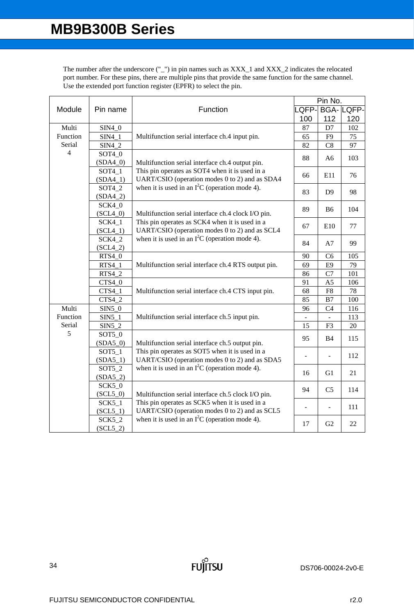|                                               | Pin name               | Function                                                                                                                                                                                                   | Pin No. |                          |                  |
|-----------------------------------------------|------------------------|------------------------------------------------------------------------------------------------------------------------------------------------------------------------------------------------------------|---------|--------------------------|------------------|
| Module                                        |                        |                                                                                                                                                                                                            | LQFP-   |                          | <b>BGA-LQFP-</b> |
|                                               |                        |                                                                                                                                                                                                            | 100     | 112                      | 120              |
| Multi<br>Function<br>Serial<br>$\overline{4}$ | $SIM4_0$               | Multifunction serial interface ch.4 input pin.                                                                                                                                                             | 87      | D7                       | 102              |
|                                               | $SIM4_1$               |                                                                                                                                                                                                            | 65      | F9                       | 75               |
|                                               | $SIM4_2$               |                                                                                                                                                                                                            | 82      | C8                       | 97               |
|                                               | SOT4 0                 | Multifunction serial interface ch.4 output pin.<br>This pin operates as SOT4 when it is used in a<br>UART/CSIO (operation modes 0 to 2) and as SDA4<br>when it is used in an $I^2C$ (operation mode 4).    | 88      | A <sub>6</sub>           | 103              |
|                                               | $(SDA4_0)$             |                                                                                                                                                                                                            |         |                          |                  |
|                                               | SOT4 1                 |                                                                                                                                                                                                            | 66      | E11                      | 76               |
|                                               | $(SDA4_1)$             |                                                                                                                                                                                                            |         |                          |                  |
|                                               | SOT4_2                 |                                                                                                                                                                                                            | 83      | D <sub>9</sub>           | 98               |
|                                               | $(SDA4_2)$             |                                                                                                                                                                                                            |         |                          |                  |
|                                               | $SCK4_0$               |                                                                                                                                                                                                            | 89      | B <sub>6</sub>           | 104              |
|                                               | $(SCL4_0)$             | Multifunction serial interface ch.4 clock I/O pin.                                                                                                                                                         |         |                          |                  |
|                                               | $SCK4_1$               | This pin operates as SCK4 when it is used in a                                                                                                                                                             | 67      | E10                      | 77               |
|                                               | $(SCL4_1)$             | UART/CSIO (operation modes 0 to 2) and as SCL4                                                                                                                                                             |         |                          |                  |
|                                               | <b>SCK4_2</b>          | when it is used in an $I^2C$ (operation mode 4).                                                                                                                                                           | 84      | A7                       | 99               |
|                                               | $(SCL4_2)$             |                                                                                                                                                                                                            |         |                          |                  |
|                                               | <b>RTS4_0</b>          | Multifunction serial interface ch.4 RTS output pin.<br>Multifunction serial interface ch.4 CTS input pin.                                                                                                  | 90      | C <sub>6</sub>           | 105              |
|                                               | $RTS4_1$               |                                                                                                                                                                                                            | 69      | E <sub>9</sub>           | 79               |
|                                               | RTS4_2                 |                                                                                                                                                                                                            | 86      | C7                       | 101              |
|                                               | $CTS4_0$               |                                                                                                                                                                                                            | 91      | A <sub>5</sub>           | 106              |
|                                               | CTS4 1                 |                                                                                                                                                                                                            | 68      | F8                       | $78\,$           |
|                                               | $CTS4_2$               |                                                                                                                                                                                                            | 85      | B7                       | 100              |
| Multi<br>Function                             | $SIN5_0$               |                                                                                                                                                                                                            | 96      | C <sub>4</sub>           | 116              |
| Serial                                        | $SIN5_1$               | Multifunction serial interface ch.5 input pin.                                                                                                                                                             |         |                          | 113              |
| 5                                             | $SIN5_2$               |                                                                                                                                                                                                            | 15      | F <sub>3</sub>           | 20               |
|                                               | $SOT5_0$<br>$(SDA5_0)$ | Multifunction serial interface ch.5 output pin.<br>This pin operates as SOT5 when it is used in a                                                                                                          | 95      | <b>B4</b>                | 115              |
|                                               | SOT5 1                 |                                                                                                                                                                                                            |         |                          |                  |
|                                               | $(SDA5_1)$             | UART/CSIO (operation modes 0 to 2) and as SDA5                                                                                                                                                             |         |                          | 112              |
|                                               | $SOT5_2$               | when it is used in an $I^2C$ (operation mode 4).                                                                                                                                                           |         |                          |                  |
|                                               | $(SDA5_2)$             |                                                                                                                                                                                                            | 16      | G1                       | 21               |
|                                               | $SCK5_0$               | Multifunction serial interface ch.5 clock I/O pin.<br>This pin operates as SCK5 when it is used in a<br>UART/CSIO (operation modes 0 to 2) and as SCL5<br>when it is used in an $I^2C$ (operation mode 4). |         |                          |                  |
|                                               | $(SCL5_0)$             |                                                                                                                                                                                                            | 94      | C <sub>5</sub>           | 114              |
|                                               | $SCK5_1$               |                                                                                                                                                                                                            |         |                          |                  |
|                                               | $(SCL5_1)$             |                                                                                                                                                                                                            |         | $\overline{\phantom{a}}$ | 111              |
|                                               | $SCK5_2$               |                                                                                                                                                                                                            |         |                          |                  |
|                                               | $(SCL5_2)$             |                                                                                                                                                                                                            | 17      | G <sub>2</sub>           | 22               |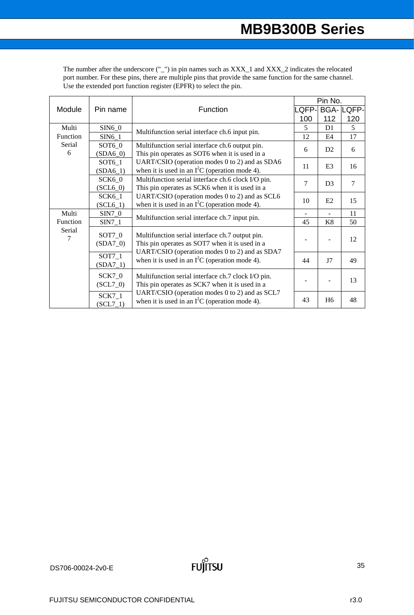| Module   | Pin name   | Function                                                                                                                                                                                                | Pin No.        |                |                  |
|----------|------------|---------------------------------------------------------------------------------------------------------------------------------------------------------------------------------------------------------|----------------|----------------|------------------|
|          |            |                                                                                                                                                                                                         | QFP-           |                | <b>BGA-LQFP-</b> |
|          |            |                                                                                                                                                                                                         | 100            | 112            | 120              |
| Multi    | $SIN6_0$   | Multifunction serial interface ch.6 input pin.                                                                                                                                                          | 5              | D1             | 5                |
| Function | $SIN6_1$   |                                                                                                                                                                                                         | 12             | E4             | 17               |
| Serial   | $SOT6_0$   | Multifunction serial interface ch.6 output pin.<br>This pin operates as SOT6 when it is used in a                                                                                                       | 6              | D2             | 6                |
| 6        | $(SDA6_0)$ |                                                                                                                                                                                                         |                |                |                  |
|          | SOT6 1     | UART/CSIO (operation modes 0 to 2) and as SDA6                                                                                                                                                          | 11             | E <sub>3</sub> | 16               |
|          | $(SDA6_1)$ | when it is used in an $I^2C$ (operation mode 4).                                                                                                                                                        |                |                |                  |
|          | SCK60      | Multifunction serial interface ch.6 clock I/O pin.                                                                                                                                                      | $\overline{7}$ | D <sub>3</sub> | 7                |
|          | $(SCL6_0)$ | This pin operates as SCK6 when it is used in a<br>UART/CSIO (operation modes 0 to 2) and as SCL6<br>when it is used in an $I^2C$ (operation mode 4).                                                    |                |                |                  |
|          | $SCK6_1$   |                                                                                                                                                                                                         | 10             | E2             | 15               |
|          | $(SCL6_1)$ |                                                                                                                                                                                                         |                |                |                  |
| Multi    | $SIN7_0$   | Multifunction serial interface ch.7 input pin.                                                                                                                                                          |                |                | 11               |
| Function | $SIN7_1$   |                                                                                                                                                                                                         | 45             | K8             | 50               |
| Serial   | SOT7_0     | Multifunction serial interface ch.7 output pin.<br>This pin operates as SOT7 when it is used in a<br>UART/CSIO (operation modes 0 to 2) and as SDA7<br>when it is used in an $I^2C$ (operation mode 4). |                |                | 12               |
| 7        | $(SDA7_0)$ |                                                                                                                                                                                                         |                |                |                  |
|          |            |                                                                                                                                                                                                         |                |                |                  |
|          | $SOT7_1$   |                                                                                                                                                                                                         | 44             | J7             | 49               |
|          | $(SDA7_1)$ |                                                                                                                                                                                                         |                |                |                  |
|          | $SCK7_0$   | Multifunction serial interface ch.7 clock I/O pin.                                                                                                                                                      |                |                |                  |
|          | $(SCL7_0)$ | This pin operates as SCK7 when it is used in a                                                                                                                                                          |                |                | 13               |
|          | $SCK7_1$   | UART/CSIO (operation modes 0 to 2) and as SCL7<br>when it is used in an $I^2C$ (operation mode 4).                                                                                                      |                |                |                  |
|          | $(SCL7_1)$ |                                                                                                                                                                                                         | 43             | H <sub>6</sub> | 48               |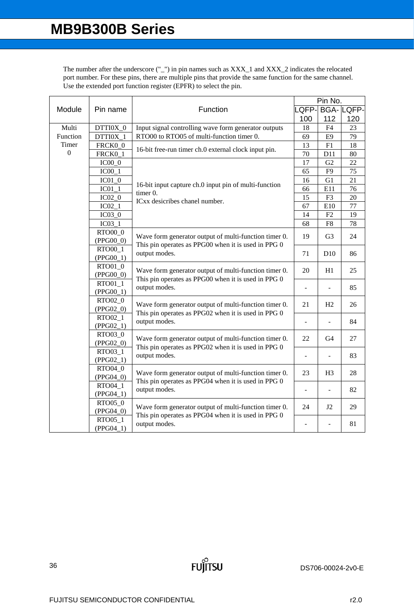| Module         | Pin name    | Function                                                                                                                      | Pin No.                  |                 |                  |
|----------------|-------------|-------------------------------------------------------------------------------------------------------------------------------|--------------------------|-----------------|------------------|
|                |             |                                                                                                                               | LQFP-                    |                 | <b>BGA-LQFP-</b> |
|                |             |                                                                                                                               | 100                      | 112             | 120              |
| Multi          | DTTI0X_0    | Input signal controlling wave form generator outputs                                                                          | 18                       | F4              | 23               |
| Function       | DTTI0X_1    | RTO00 to RTO05 of multi-function timer 0.                                                                                     | 69                       | E <sub>9</sub>  | 79               |
| Timer          | FRCK0_0     | 16-bit free-run timer ch.0 external clock input pin.                                                                          | 13                       | F1              | 18               |
| $\overline{0}$ | FRCK0_1     |                                                                                                                               | 70                       | D11             | 80               |
|                | $IC00_0$    | 16-bit input capture ch.0 input pin of multi-function                                                                         | 17                       | G2              | 22               |
|                | $IC00_1$    |                                                                                                                               | 65                       | F <sub>9</sub>  | 75               |
|                | $IC01_0$    |                                                                                                                               | 16                       | G1              | 21               |
|                | $IC01_1$    |                                                                                                                               | 66                       | E11             | 76               |
|                | $IC02_0$    | timer 0.                                                                                                                      | 15                       | F <sub>3</sub>  | 20               |
|                | $IC02_1$    | ICxx desicribes chanel number.                                                                                                | 67                       | E10             | 77               |
|                | $IC03_0$    |                                                                                                                               | 14                       | F2              | 19               |
|                | $IC03_1$    |                                                                                                                               | 68                       | F8              | 78               |
|                | RTO00_0     |                                                                                                                               |                          |                 |                  |
|                | (PPG00_0)   | Wave form generator output of multi-function timer 0.                                                                         | 19                       | G <sub>3</sub>  | 24               |
|                | RTO00_1     | This pin operates as PPG00 when it is used in PPG 0                                                                           |                          |                 |                  |
|                | $(PPG00_1)$ | output modes.                                                                                                                 | 71                       | D <sub>10</sub> | 86               |
|                | RTO01_0     |                                                                                                                               | 20                       | H1              | 25               |
|                | $(PPG00_0)$ | Wave form generator output of multi-function timer 0.<br>This pin operates as PPG00 when it is used in PPG 0                  |                          |                 |                  |
|                | RTO01_1     | output modes.                                                                                                                 | $\overline{a}$           | ÷,              | 85               |
|                | $(PPG00_1)$ |                                                                                                                               |                          |                 |                  |
|                | RTO02_0     | Wave form generator output of multi-function timer 0.                                                                         | 21                       | H2              | 26               |
|                | $(PPG02_0)$ | This pin operates as PPG02 when it is used in PPG 0                                                                           |                          |                 |                  |
|                | RTO02 1     | output modes.                                                                                                                 |                          |                 | 84               |
|                | $(PPG02_1)$ |                                                                                                                               |                          |                 |                  |
|                | RTO03_0     | Wave form generator output of multi-function timer 0.                                                                         | 22                       | G4              | 27               |
|                | $(PPG02_0)$ | This pin operates as PPG02 when it is used in PPG 0                                                                           |                          |                 |                  |
|                | RTO03_1     | output modes.                                                                                                                 | $\blacksquare$           |                 | 83               |
|                | $(PPG02_1)$ |                                                                                                                               |                          |                 |                  |
|                | RTO04 0     | Wave form generator output of multi-function timer 0.<br>This pin operates as PPG04 when it is used in PPG 0<br>output modes. | 23                       | H <sub>3</sub>  | 28               |
|                | $(PPG04_0)$ |                                                                                                                               |                          |                 |                  |
|                | RTO04_1     |                                                                                                                               | $\overline{\phantom{a}}$ | $\blacksquare$  | 82               |
|                | $(PPG04_1)$ |                                                                                                                               |                          |                 |                  |
|                | RTO05_0     | Wave form generator output of multi-function timer 0.                                                                         | 24                       | J2              | 29               |
|                | $(PPG04_0)$ | This pin operates as PPG04 when it is used in PPG 0<br>output modes.                                                          |                          |                 |                  |
|                | RTO05_1     |                                                                                                                               | $\overline{a}$           |                 | 81               |
|                | $(PPG04_1)$ |                                                                                                                               |                          |                 |                  |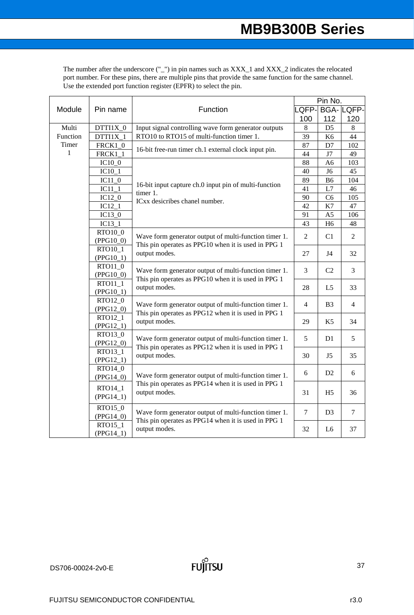The number after the underscore  $('')$  in pin names such as  $XXX_1$  and  $XXX_2$  indicates the relocated port number. For these pins, there are multiple pins that provide the same function for the same channel. Use the extended port function register (EPFR) to select the pin.

|          | Pin name                                                                        |                                                                      | Pin No.<br>_QFP- |                |                  |  |
|----------|---------------------------------------------------------------------------------|----------------------------------------------------------------------|------------------|----------------|------------------|--|
| Module   |                                                                                 | Function                                                             |                  |                | <b>BGA-LQFP-</b> |  |
|          |                                                                                 |                                                                      | 100              | 112            | 120              |  |
| Multi    | DTTI1X_0                                                                        | Input signal controlling wave form generator outputs                 | 8                | D <sub>5</sub> | $\,8$            |  |
| Function | DTTI1X 1                                                                        | RTO10 to RTO15 of multi-function timer 1.                            | 39               | K <sub>6</sub> | 44               |  |
| Timer    | FRCK1_0                                                                         |                                                                      | 87               | D7             | 102              |  |
| 1        | <b>FRCK1_1</b>                                                                  | 16-bit free-run timer ch.1 external clock input pin.                 | 44               | J7             | 49               |  |
|          | $IC10_0$                                                                        |                                                                      | 88               | A <sub>6</sub> | 103              |  |
|          | $IC10_1$                                                                        |                                                                      | 40               | J <sub>6</sub> | 45               |  |
|          | $IC11_0$                                                                        | 16-bit input capture ch.0 input pin of multi-function                | 89               | B <sub>6</sub> | 104              |  |
|          | $IC11_1$                                                                        | timer 1.                                                             | 41               | L7             | 46               |  |
|          | $IC12_0$                                                                        | ICxx desicribes chanel number.                                       | 90               | C6             | 105              |  |
|          | $IC12_1$                                                                        |                                                                      | 42               | K7             | 47               |  |
|          | $IC13_0$                                                                        | 91                                                                   | A5               | 106            |                  |  |
|          | $IC13_1$                                                                        |                                                                      | 43               | H <sub>6</sub> | 48               |  |
|          | RTO10_0<br>$(PPG10_0)$                                                          | Wave form generator output of multi-function timer 1.                | $\overline{2}$   | C1             | 2                |  |
|          | RTO10_1<br>$(PPG10_1)$                                                          | This pin operates as PPG10 when it is used in PPG 1<br>output modes. | 27               | J4             | 32               |  |
|          | RTO11_0<br>$(PPG10_0)$                                                          | Wave form generator output of multi-function timer 1.                |                  | C <sub>2</sub> | 3                |  |
|          | RTO11_1<br>$(PPG10_1)$                                                          | This pin operates as PPG10 when it is used in PPG 1<br>output modes. | 28               | L5             | 33               |  |
|          | RTO12_0<br>$(PPG12_0)$                                                          | Wave form generator output of multi-function timer 1.                | 4                | B <sub>3</sub> | 4                |  |
|          | RTO12_1<br>$(PPG12_1)$                                                          | This pin operates as PPG12 when it is used in PPG 1<br>output modes. | 29               | K5             | 34               |  |
|          | RTO13_0<br>$(PPG12_0)$                                                          | Wave form generator output of multi-function timer 1.                | 5                | D1             | 5                |  |
|          | RTO13_1<br>$(PPG12_1)$                                                          | This pin operates as PPG12 when it is used in PPG 1<br>output modes. | 30               | J5             | 35               |  |
|          | RTO14_0<br>Wave form generator output of multi-function timer 1.<br>$(PPG14_0)$ | 6                                                                    | D <sub>2</sub>   | 6              |                  |  |
|          | RTO14_1<br>$(PPG14_1)$                                                          | This pin operates as PPG14 when it is used in PPG 1<br>output modes. | 31               | H <sub>5</sub> | 36               |  |
|          | RTO15_0<br>$(PPG14_0)$                                                          | Wave form generator output of multi-function timer 1.                | 7                | D <sub>3</sub> | 7                |  |
|          | RTO15_1<br>$(PPG14_1)$                                                          | This pin operates as PPG14 when it is used in PPG 1<br>output modes. | 32               | L6             | 37               |  |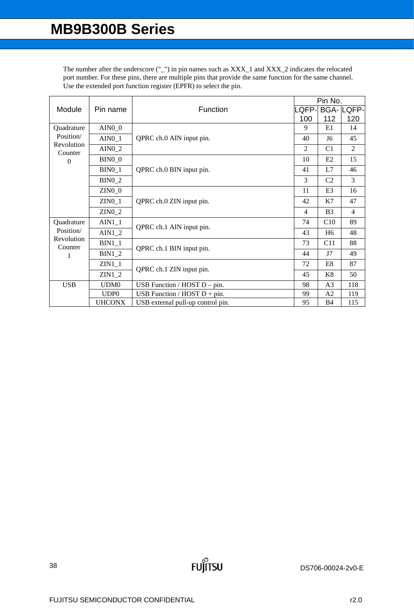The number after the underscore  $('')$  in pin names such as  $XXX_1$  and  $XXX_2$  indicates the relocated port number. For these pins, there are multiple pins that provide the same function for the same channel. Use the extended port function register (EPFR) to select the pin.

|                       |                  |                                   | Pin No.        |                |                |  |
|-----------------------|------------------|-----------------------------------|----------------|----------------|----------------|--|
| Module                | Pin name         | Function                          | .QFP-          | <b>BGA-L</b>   | QFP-           |  |
|                       |                  |                                   | 100            | 112            | 120            |  |
| Quadrature            | $AIN0_0$         |                                   | 9              | E1             | 14             |  |
| Position/             | $AIN0_1$         | QPRC ch.0 AIN input pin.          | 40             | J6             | 45             |  |
| Revolution<br>Counter | $AIN0_2$         |                                   | 2              | C <sub>1</sub> | 2              |  |
| $\Omega$              | $BIN0_0$         |                                   | 10             | E2             | 15             |  |
|                       | $BIN0_1$         | QPRC ch.0 BIN input pin.          | 41             | L7             | 46             |  |
|                       | <b>BIN0_2</b>    |                                   | 3              | C <sub>2</sub> | 3              |  |
|                       | $ZIN0_0$         |                                   | 11             | E3             | 16             |  |
|                       | $ZIN0_1$         | QPRC ch.0 ZIN input pin.          | 42             | K7             | 47             |  |
|                       | $ZIN0_2$         |                                   | $\overline{4}$ | B <sub>3</sub> | $\overline{4}$ |  |
| Quadrature            | $AIN1_1$         | QPRC ch.1 AIN input pin.          | 74             | C10            | 89             |  |
| Position/             | $AIN1_2$         |                                   | 43             | H <sub>6</sub> | 48             |  |
| Revolution<br>Counter | $BIN1_1$         | QPRC ch.1 BIN input pin.          | 73             | C11            | 88             |  |
|                       | $BIN1_2$         |                                   | 44             | J7             | 49             |  |
|                       | $ZIN1_1$         |                                   | 72             | E8             | 87             |  |
|                       | $ZIN1_2$         | QPRC ch.1 ZIN input pin.          |                | K8             | 50             |  |
| <b>USB</b>            | UDM0             | USB Function / $HOST D - pin$ .   | 98             | A <sub>3</sub> | 118            |  |
|                       | UDP <sub>0</sub> | USB Function / HOST $D + pin$ .   | 99             | A <sub>2</sub> | 119            |  |
|                       | <b>UHCONX</b>    | USB external pull-up control pin. | 95             | B <sub>4</sub> | 115            |  |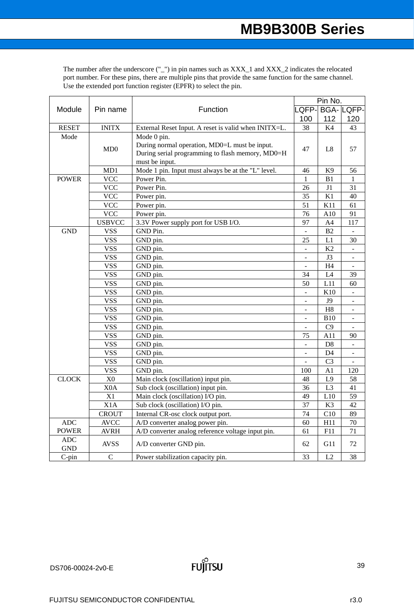The number after the underscore  $('')$  in pin names such as  $XXX_1$  and  $XXX_2$  indicates the relocated port number. For these pins, there are multiple pins that provide the same function for the same channel. Use the extended port function register (EPFR) to select the pin.

|                          |                  |                                                                                                                                    |                          | Pin No.        |                    |  |  |
|--------------------------|------------------|------------------------------------------------------------------------------------------------------------------------------------|--------------------------|----------------|--------------------|--|--|
| Module<br>Pin name       |                  | Function                                                                                                                           |                          |                | LQFP-  BGA-  LQFP- |  |  |
|                          |                  |                                                                                                                                    | 100                      | 112            | 120                |  |  |
| <b>RESET</b>             | <b>INITX</b>     | External Reset Input. A reset is valid when INITX=L.                                                                               | 38                       | K4             | 43                 |  |  |
| Mode                     | MD0              | Mode 0 pin.<br>During normal operation, MD0=L must be input.<br>During serial programming to flash memory, MD0=H<br>must be input. | 47                       | L <sub>8</sub> | 57                 |  |  |
|                          | MD1              | Mode 1 pin. Input must always be at the "L" level.                                                                                 | 46                       | K9             | 56                 |  |  |
| <b>POWER</b>             | <b>VCC</b>       | Power Pin.                                                                                                                         | 1                        | B1             | 1                  |  |  |
|                          | <b>VCC</b>       | Power Pin.                                                                                                                         | 26                       | J1             | 31                 |  |  |
|                          | <b>VCC</b>       | Power pin.                                                                                                                         | 35                       | K1             | 40                 |  |  |
|                          | <b>VCC</b>       | Power pin.                                                                                                                         | 51                       | K11            | 61                 |  |  |
|                          | <b>VCC</b>       | Power pin.                                                                                                                         | 76                       | A10            | 91                 |  |  |
|                          | <b>USBVCC</b>    | 3.3V Power supply port for USB I/O.                                                                                                | 97                       | A4             | 117                |  |  |
| <b>GND</b>               | <b>VSS</b>       | GND Pin.                                                                                                                           |                          | B <sub>2</sub> |                    |  |  |
|                          | <b>VSS</b>       | GND pin.                                                                                                                           | 25                       | L1             | 30                 |  |  |
|                          | <b>VSS</b>       | GND pin.                                                                                                                           | $\blacksquare$           | K2             |                    |  |  |
|                          | <b>VSS</b>       | GND pin.                                                                                                                           |                          | J3             |                    |  |  |
|                          | <b>VSS</b>       | GND pin.                                                                                                                           |                          | H4             |                    |  |  |
|                          | <b>VSS</b>       | GND pin.                                                                                                                           | 34                       | L4             | 39                 |  |  |
|                          | <b>VSS</b>       | GND pin.                                                                                                                           | 50                       | L11            | 60                 |  |  |
|                          | <b>VSS</b>       | GND pin.                                                                                                                           | ÷,                       | K10            |                    |  |  |
|                          | <b>VSS</b>       | GND pin.                                                                                                                           |                          | J9             |                    |  |  |
|                          | <b>VSS</b>       | GND pin.                                                                                                                           |                          | H <sub>8</sub> |                    |  |  |
|                          | <b>VSS</b>       | GND pin.                                                                                                                           | $\overline{\phantom{a}}$ | <b>B10</b>     |                    |  |  |
|                          | <b>VSS</b>       | GND pin.                                                                                                                           | $\frac{1}{2}$            | C9             |                    |  |  |
|                          | <b>VSS</b>       | GND pin.                                                                                                                           | 75                       | A11            | 90                 |  |  |
|                          | <b>VSS</b>       | GND pin.                                                                                                                           | $\mathbf{r}$             | D <sub>8</sub> |                    |  |  |
|                          | <b>VSS</b>       | GND pin.                                                                                                                           |                          | D <sub>4</sub> |                    |  |  |
|                          | <b>VSS</b>       | GND pin.                                                                                                                           | $\frac{1}{2}$            | C <sub>3</sub> | $\overline{a}$     |  |  |
|                          | <b>VSS</b>       | GND pin.                                                                                                                           | 100                      | A1             | 120                |  |  |
| <b>CLOCK</b>             | $\rm X0$         | Main clock (oscillation) input pin.                                                                                                | 48                       | L9             | 58                 |  |  |
|                          | X <sub>0</sub> A | Sub clock (oscillation) input pin.                                                                                                 | 36                       | L <sub>3</sub> | 41                 |  |  |
|                          | X1               | Main clock (oscillation) I/O pin.                                                                                                  | 49                       | L10            | 59                 |  |  |
|                          | X <sub>1</sub> A | Sub clock (oscillation) I/O pin.                                                                                                   | 37                       | K3             | 42                 |  |  |
|                          | <b>CROUT</b>     | Internal CR-osc clock output port.                                                                                                 | 74                       | C10            | 89                 |  |  |
| <b>ADC</b>               | <b>AVCC</b>      | A/D converter analog power pin.                                                                                                    | 60                       | H11            | 70                 |  |  |
| <b>POWER</b>             | <b>AVRH</b>      | A/D converter analog reference voltage input pin.                                                                                  | 61                       | F11            | 71                 |  |  |
| <b>ADC</b><br><b>GND</b> | <b>AVSS</b>      | A/D converter GND pin.                                                                                                             | 62                       | G11            | 72                 |  |  |
| $C$ -pin                 | $\mathsf{C}$     | Power stabilization capacity pin.                                                                                                  | 33                       | L2             | 38                 |  |  |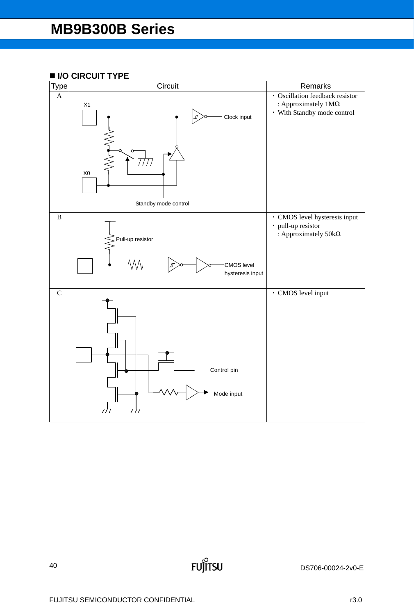# ■ I/O CIRCUIT TYPE

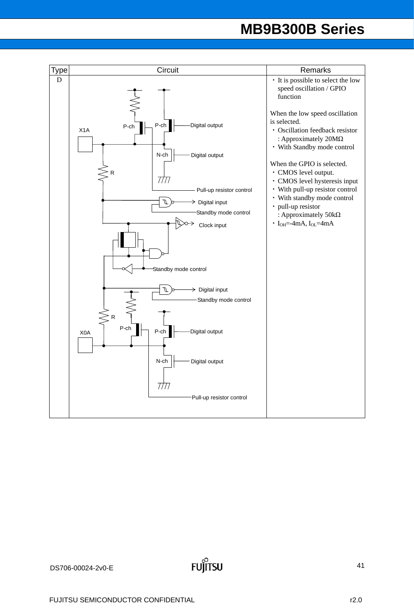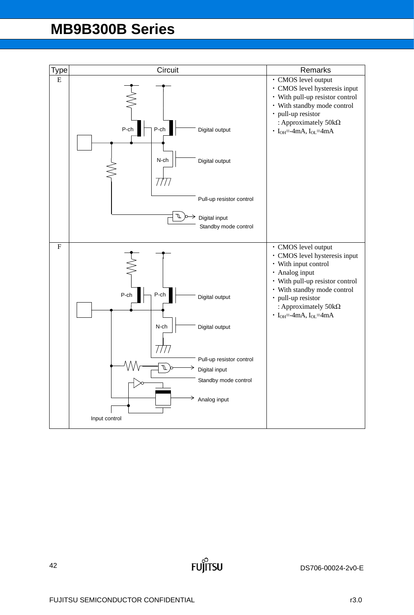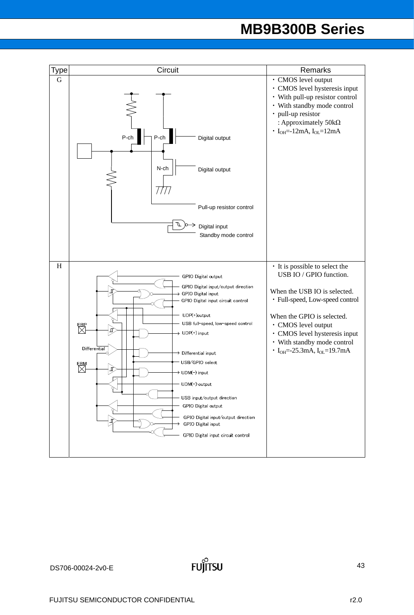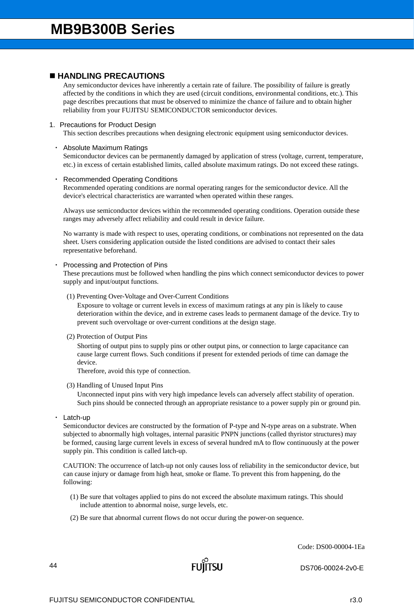## **HANDLING PRECAUTIONS**

Any semiconductor devices have inherently a certain rate of failure. The possibility of failure is greatly affected by the conditions in which they are used (circuit conditions, environmental conditions, etc.). This page describes precautions that must be observed to minimize the chance of failure and to obtain higher reliability from your FUJITSU SEMICONDUCTOR semiconductor devices.

## 1. Precautions for Product Design

This section describes precautions when designing electronic equipment using semiconductor devices.

## ・ Absolute Maximum Ratings

Semiconductor devices can be permanently damaged by application of stress (voltage, current, temperature, etc.) in excess of certain established limits, called absolute maximum ratings. Do not exceed these ratings.

## **Recommended Operating Conditions**

Recommended operating conditions are normal operating ranges for the semiconductor device. All the device's electrical characteristics are warranted when operated within these ranges.

Always use semiconductor devices within the recommended operating conditions. Operation outside these ranges may adversely affect reliability and could result in device failure.

No warranty is made with respect to uses, operating conditions, or combinations not represented on the data sheet. Users considering application outside the listed conditions are advised to contact their sales representative beforehand.

## Processing and Protection of Pins

These precautions must be followed when handling the pins which connect semiconductor devices to power supply and input/output functions.

(1) Preventing Over-Voltage and Over-Current Conditions

Exposure to voltage or current levels in excess of maximum ratings at any pin is likely to cause deterioration within the device, and in extreme cases leads to permanent damage of the device. Try to prevent such overvoltage or over-current conditions at the design stage.

(2) Protection of Output Pins

Shorting of output pins to supply pins or other output pins, or connection to large capacitance can cause large current flows. Such conditions if present for extended periods of time can damage the device.

Therefore, avoid this type of connection.

(3) Handling of Unused Input Pins

Unconnected input pins with very high impedance levels can adversely affect stability of operation. Such pins should be connected through an appropriate resistance to a power supply pin or ground pin.

Latch-up

Semiconductor devices are constructed by the formation of P-type and N-type areas on a substrate. When subjected to abnormally high voltages, internal parasitic PNPN junctions (called thyristor structures) may be formed, causing large current levels in excess of several hundred mA to flow continuously at the power supply pin. This condition is called latch-up.

CAUTION: The occurrence of latch-up not only causes loss of reliability in the semiconductor device, but can cause injury or damage from high heat, smoke or flame. To prevent this from happening, do the following:

- (1) Be sure that voltages applied to pins do not exceed the absolute maximum ratings. This should include attention to abnormal noise, surge levels, etc.
- (2) Be sure that abnormal current flows do not occur during the power-on sequence.

Code: DS00-00004-1Ea

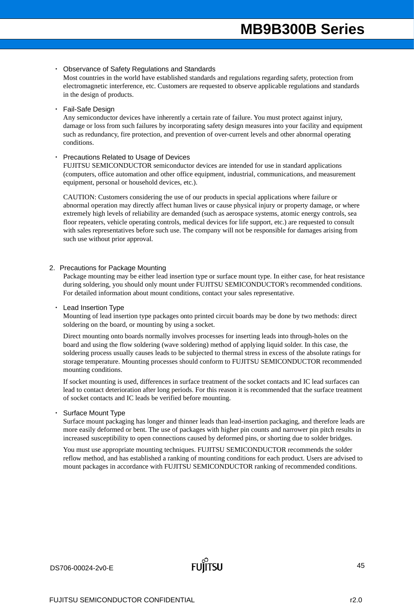### **Observance of Safety Regulations and Standards**

Most countries in the world have established standards and regulations regarding safety, protection from electromagnetic interference, etc. Customers are requested to observe applicable regulations and standards in the design of products.

## Fail-Safe Design

Any semiconductor devices have inherently a certain rate of failure. You must protect against injury, damage or loss from such failures by incorporating safety design measures into your facility and equipment such as redundancy, fire protection, and prevention of over-current levels and other abnormal operating conditions.

### **Precautions Related to Usage of Devices**

FUJITSU SEMICONDUCTOR semiconductor devices are intended for use in standard applications (computers, office automation and other office equipment, industrial, communications, and measurement equipment, personal or household devices, etc.).

CAUTION: Customers considering the use of our products in special applications where failure or abnormal operation may directly affect human lives or cause physical injury or property damage, or where extremely high levels of reliability are demanded (such as aerospace systems, atomic energy controls, sea floor repeaters, vehicle operating controls, medical devices for life support, etc.) are requested to consult with sales representatives before such use. The company will not be responsible for damages arising from such use without prior approval.

### 2. Precautions for Package Mounting

Package mounting may be either lead insertion type or surface mount type. In either case, for heat resistance during soldering, you should only mount under FUJITSU SEMICONDUCTOR's recommended conditions. For detailed information about mount conditions, contact your sales representative.

### **Lead Insertion Type**

Mounting of lead insertion type packages onto printed circuit boards may be done by two methods: direct soldering on the board, or mounting by using a socket.

Direct mounting onto boards normally involves processes for inserting leads into through-holes on the board and using the flow soldering (wave soldering) method of applying liquid solder. In this case, the soldering process usually causes leads to be subjected to thermal stress in excess of the absolute ratings for storage temperature. Mounting processes should conform to FUJITSU SEMICONDUCTOR recommended mounting conditions.

If socket mounting is used, differences in surface treatment of the socket contacts and IC lead surfaces can lead to contact deterioration after long periods. For this reason it is recommended that the surface treatment of socket contacts and IC leads be verified before mounting.

### Surface Mount Type

Surface mount packaging has longer and thinner leads than lead-insertion packaging, and therefore leads are more easily deformed or bent. The use of packages with higher pin counts and narrower pin pitch results in increased susceptibility to open connections caused by deformed pins, or shorting due to solder bridges.

You must use appropriate mounting techniques. FUJITSU SEMICONDUCTOR recommends the solder reflow method, and has established a ranking of mounting conditions for each product. Users are advised to mount packages in accordance with FUJITSU SEMICONDUCTOR ranking of recommended conditions.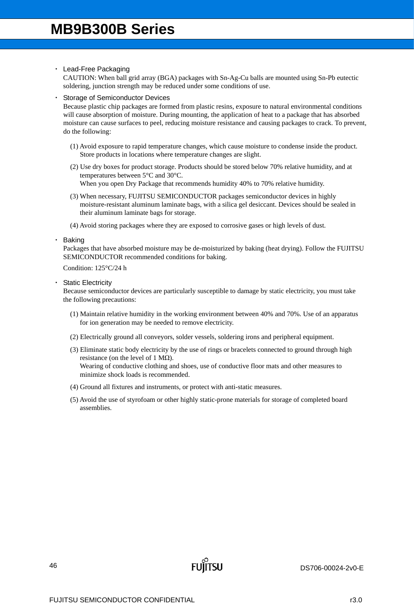## ・ Lead-Free Packaging

CAUTION: When ball grid array (BGA) packages with Sn-Ag-Cu balls are mounted using Sn-Pb eutectic soldering, junction strength may be reduced under some conditions of use.

## **Storage of Semiconductor Devices**

Because plastic chip packages are formed from plastic resins, exposure to natural environmental conditions will cause absorption of moisture. During mounting, the application of heat to a package that has absorbed moisture can cause surfaces to peel, reducing moisture resistance and causing packages to crack. To prevent, do the following:

- (1) Avoid exposure to rapid temperature changes, which cause moisture to condense inside the product. Store products in locations where temperature changes are slight.
- (2) Use dry boxes for product storage. Products should be stored below 70% relative humidity, and at temperatures between 5°C and 30°C. When you open Dry Package that recommends humidity 40% to 70% relative humidity.
- (3) When necessary, FUJITSU SEMICONDUCTOR packages semiconductor devices in highly moisture-resistant aluminum laminate bags, with a silica gel desiccant. Devices should be sealed in their aluminum laminate bags for storage.
- (4) Avoid storing packages where they are exposed to corrosive gases or high levels of dust.
- **Baking**

Packages that have absorbed moisture may be de-moisturized by baking (heat drying). Follow the FUJITSU SEMICONDUCTOR recommended conditions for baking.

Condition: 125°C/24 h

**Static Electricity** 

Because semiconductor devices are particularly susceptible to damage by static electricity, you must take the following precautions:

- (1) Maintain relative humidity in the working environment between 40% and 70%. Use of an apparatus for ion generation may be needed to remove electricity.
- (2) Electrically ground all conveyors, solder vessels, soldering irons and peripheral equipment.
- (3) Eliminate static body electricity by the use of rings or bracelets connected to ground through high resistance (on the level of 1 M $\Omega$ ). Wearing of conductive clothing and shoes, use of conductive floor mats and other measures to minimize shock loads is recommended.
- (4) Ground all fixtures and instruments, or protect with anti-static measures.
- (5) Avoid the use of styrofoam or other highly static-prone materials for storage of completed board assemblies.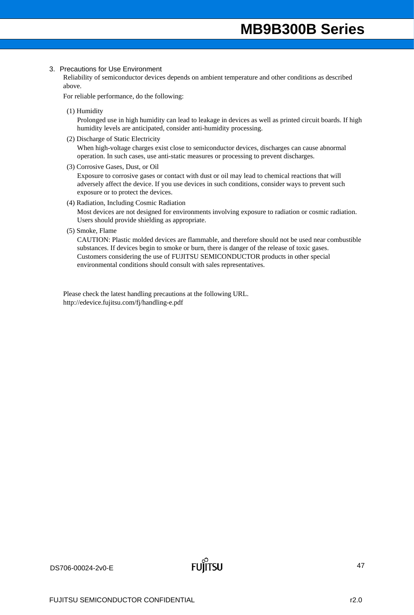### 3. Precautions for Use Environment

Reliability of semiconductor devices depends on ambient temperature and other conditions as described above.

For reliable performance, do the following:

(1) Humidity

Prolonged use in high humidity can lead to leakage in devices as well as printed circuit boards. If high humidity levels are anticipated, consider anti-humidity processing.

- (2) Discharge of Static Electricity When high-voltage charges exist close to semiconductor devices, discharges can cause abnormal operation. In such cases, use anti-static measures or processing to prevent discharges.
- (3) Corrosive Gases, Dust, or Oil

Exposure to corrosive gases or contact with dust or oil may lead to chemical reactions that will adversely affect the device. If you use devices in such conditions, consider ways to prevent such exposure or to protect the devices.

(4) Radiation, Including Cosmic Radiation

Most devices are not designed for environments involving exposure to radiation or cosmic radiation. Users should provide shielding as appropriate.

(5) Smoke, Flame

CAUTION: Plastic molded devices are flammable, and therefore should not be used near combustible substances. If devices begin to smoke or burn, there is danger of the release of toxic gases. Customers considering the use of FUJITSU SEMICONDUCTOR products in other special environmental conditions should consult with sales representatives.

Please check the latest handling precautions at the following URL. http://edevice.fujitsu.com/fj/handling-e.pdf

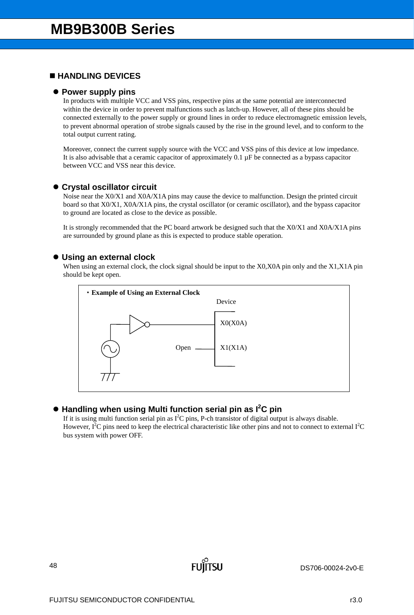# **HANDLING DEVICES**

## **Power supply pins**

In products with multiple VCC and VSS pins, respective pins at the same potential are interconnected within the device in order to prevent malfunctions such as latch-up. However, all of these pins should be connected externally to the power supply or ground lines in order to reduce electromagnetic emission levels, to prevent abnormal operation of strobe signals caused by the rise in the ground level, and to conform to the total output current rating.

Moreover, connect the current supply source with the VCC and VSS pins of this device at low impedance. It is also advisable that a ceramic capacitor of approximately  $0.1 \mu F$  be connected as a bypass capacitor between VCC and VSS near this device.

## **Crystal oscillator circuit**

Noise near the X0/X1 and X0A/X1A pins may cause the device to malfunction. Design the printed circuit board so that X0/X1, X0A/X1A pins, the crystal oscillator (or ceramic oscillator), and the bypass capacitor to ground are located as close to the device as possible.

It is strongly recommended that the PC board artwork be designed such that the X0/X1 and X0A/X1A pins are surrounded by ground plane as this is expected to produce stable operation.

## **Using an external clock**

When using an external clock, the clock signal should be input to the X0,X0A pin only and the X1,X1A pin should be kept open.



# **Handling when using Multi function serial pin as I2 C pin**

If it is using multi function serial pin as  $I^2C$  pins, P-ch transistor of digital output is always disable. However,  $I^2C$  pins need to keep the electrical characteristic like other pins and not to connect to external  $I^2C$ bus system with power OFF.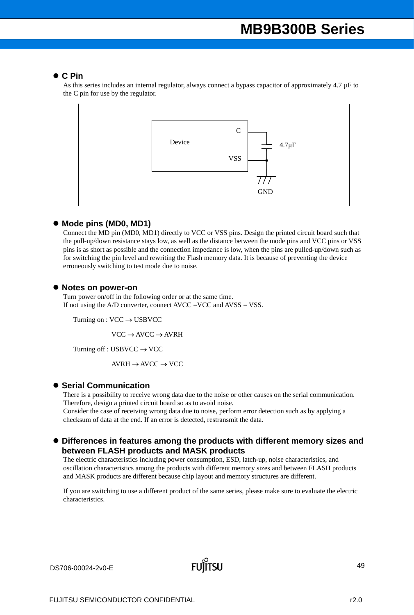## **C Pin**

As this series includes an internal regulator, always connect a bypass capacitor of approximately 4.7 µF to the C pin for use by the regulator.



## ● Mode pins (MD0, MD1)

Connect the MD pin (MD0, MD1) directly to VCC or VSS pins. Design the printed circuit board such that the pull-up/down resistance stays low, as well as the distance between the mode pins and VCC pins or VSS pins is as short as possible and the connection impedance is low, when the pins are pulled-up/down such as for switching the pin level and rewriting the Flash memory data. It is because of preventing the device erroneously switching to test mode due to noise.

## **Notes on power-on**

Turn power on/off in the following order or at the same time. If not using the A/D converter, connect AVCC =VCC and AVSS = VSS.

Turning on :  $VCC \rightarrow USBVCC$ 

 $VCC \rightarrow AVCC \rightarrow AVRH$ 

Turning off : USBVCC  $\rightarrow$  VCC

 $AVRH \rightarrow AVCC \rightarrow VCC$ 

## $\bullet$  **Serial Communication**

There is a possibility to receive wrong data due to the noise or other causes on the serial communication. Therefore, design a printed circuit board so as to avoid noise.

Consider the case of receiving wrong data due to noise, perform error detection such as by applying a checksum of data at the end. If an error is detected, restransmit the data.

## **Differences in features among the products with different memory sizes and between FLASH products and MASK products**

The electric characteristics including power consumption, ESD, latch-up, noise characteristics, and oscillation characteristics among the products with different memory sizes and between FLASH products and MASK products are different because chip layout and memory structures are different.

If you are switching to use a different product of the same series, please make sure to evaluate the electric characteristics.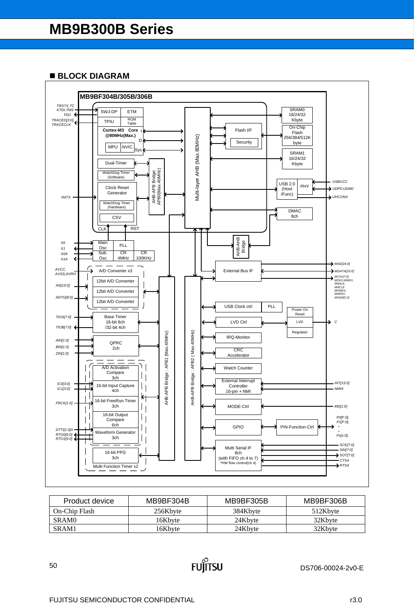## **BLOCK DIAGRAM**



| MB9BF304B<br>Product device |          | MB9BF305B | MB9BF306B |  |  |
|-----------------------------|----------|-----------|-----------|--|--|
| On-Chip Flash               | 256Kbyte | 384Kbyte  | 512Kbyte  |  |  |
| SRAM <sub>0</sub>           | 16Kbvte  | 24Kbyte   | 32Kbyte   |  |  |
| SRAM1                       | 16Kbvte  | 24Kbyte   | 32Kbyte   |  |  |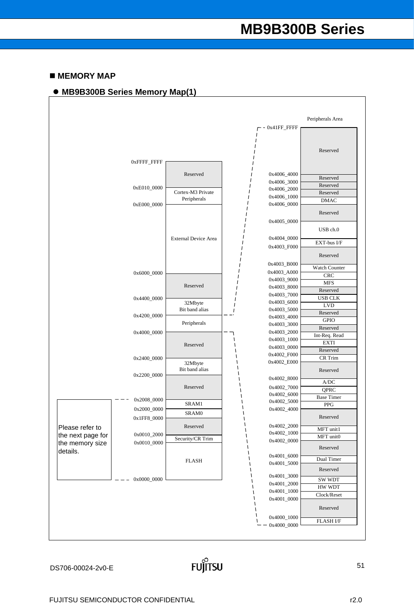## $M$  **MEMORY MAP**



Ĭitsu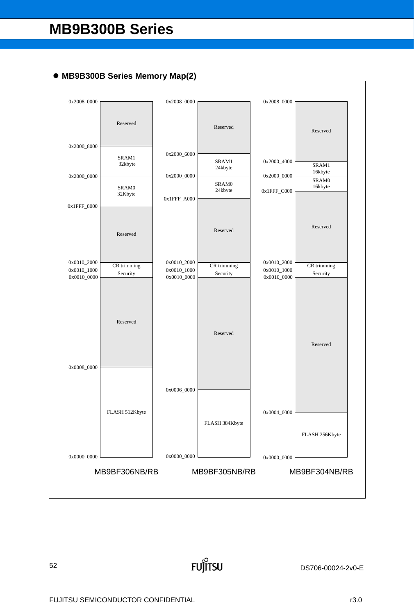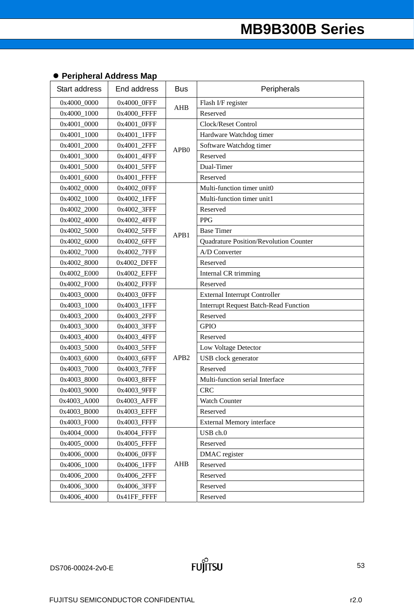# **Peripheral Address Map**

| <b>Start address</b> | End address | <b>Bus</b>       | Peripherals                                  |
|----------------------|-------------|------------------|----------------------------------------------|
| 0x4000_0000          | 0x4000_0FFF | <b>AHB</b>       | Flash I/F register                           |
| 0x4000_1000          | 0x4000_FFFF |                  | Reserved                                     |
| 0x4001_0000          | 0x4001_0FFF |                  | Clock/Reset Control                          |
| 0x4001_1000          | 0x4001_1FFF |                  | Hardware Watchdog timer                      |
| 0x4001_2000          | 0x4001_2FFF | APB <sub>0</sub> | Software Watchdog timer                      |
| 0x4001 3000          | 0x4001_4FFF |                  | Reserved                                     |
| 0x4001_5000          | 0x4001_5FFF |                  | Dual-Timer                                   |
| 0x4001_6000          | 0x4001_FFFF |                  | Reserved                                     |
| 0x4002_0000          | 0x4002_0FFF |                  | Multi-function timer unit0                   |
| 0x4002_1000          | 0x4002_1FFF |                  | Multi-function timer unit1                   |
| 0x4002_2000          | 0x4002_3FFF |                  | Reserved                                     |
| 0x4002_4000          | 0x4002_4FFF |                  | <b>PPG</b>                                   |
| 0x4002_5000          | 0x4002_5FFF | APB1             | <b>Base Timer</b>                            |
| 0x4002_6000          | 0x4002_6FFF |                  | Quadrature Position/Revolution Counter       |
| 0x4002_7000          | 0x4002_7FFF |                  | A/D Converter                                |
| 0x4002_8000          | 0x4002_DFFF |                  | Reserved                                     |
| 0x4002 E000          | 0x4002_EFFF |                  | Internal CR trimming                         |
| 0x4002_F000          | 0x4002_FFFF |                  | Reserved                                     |
| 0x4003_0000          | 0x4003_0FFF |                  | <b>External Interrupt Controller</b>         |
| 0x4003_1000          | 0x4003_1FFF |                  | <b>Interrupt Request Batch-Read Function</b> |
| 0x4003_2000          | 0x4003_2FFF |                  | Reserved                                     |
| 0x4003_3000          | 0x4003_3FFF |                  | <b>GPIO</b>                                  |
| 0x4003_4000          | 0x4003_4FFF |                  | Reserved                                     |
| 0x4003_5000          | 0x4003_5FFF |                  | Low Voltage Detector                         |
| 0x4003_6000          | 0x4003_6FFF | APB <sub>2</sub> | USB clock generator                          |
| 0x4003_7000          | 0x4003_7FFF |                  | Reserved                                     |
| 0x4003_8000          | 0x4003_8FFF |                  | Multi-function serial Interface              |
| 0x4003_9000          | 0x4003_9FFF |                  | <b>CRC</b>                                   |
| 0x4003_A000          | 0x4003_AFFF |                  | Watch Counter                                |
| 0x4003 B000          | 0x4003_EFFF |                  | Reserved                                     |
| 0x4003 F000          | 0x4003_FFFF |                  | External Memory interface                    |
| 0x4004_0000          | 0x4004_FFFF |                  | USB ch.0                                     |
| 0x4005 0000          | 0x4005_FFFF |                  | Reserved                                     |
| 0x4006_0000          | 0x4006_0FFF |                  | DMAC register                                |
| 0x4006_1000          | 0x4006_1FFF | <b>AHB</b>       | Reserved                                     |
| 0x4006_2000          | 0x4006_2FFF |                  | Reserved                                     |
| 0x4006_3000          | 0x4006_3FFF |                  | Reserved                                     |
| 0x4006_4000          | 0x41FF_FFFF |                  | Reserved                                     |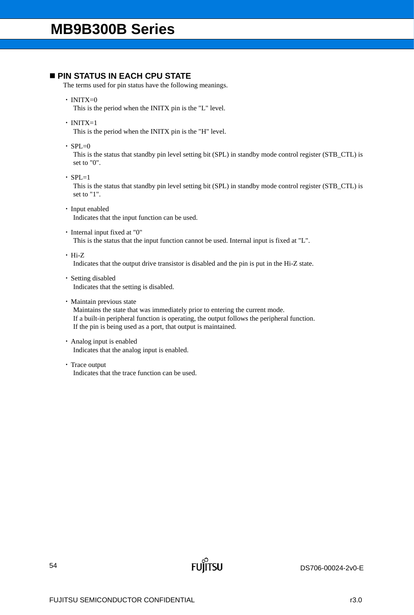# **PIN STATUS IN EACH CPU STATE**

The terms used for pin status have the following meanings.

 $\cdot$  INITX=0

This is the period when the INITX pin is the "L" level.

 $\cdot$  INITX=1

This is the period when the INITX pin is the "H" level.

 $\cdot$  SPL=0

This is the status that standby pin level setting bit (SPL) in standby mode control register (STB\_CTL) is set to "0".

 $\cdot$  SPL=1

This is the status that standby pin level setting bit (SPL) in standby mode control register (STB\_CTL) is set to "1".

- ・ Input enabled Indicates that the input function can be used.
- ・ Internal input fixed at "0"

This is the status that the input function cannot be used. Internal input is fixed at "L".

・ Hi-Z

Indicates that the output drive transistor is disabled and the pin is put in the Hi-Z state.

- ・ Setting disabled Indicates that the setting is disabled.
- ・ Maintain previous state

Maintains the state that was immediately prior to entering the current mode. If a built-in peripheral function is operating, the output follows the peripheral function. If the pin is being used as a port, that output is maintained.

**FUJITSU** 

- ・ Analog input is enabled Indicates that the analog input is enabled.
- ・ Trace output Indicates that the trace function can be used.

DS706-00024-2v0-E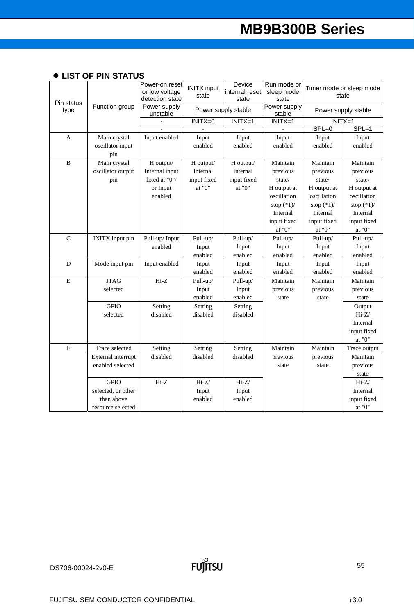| • LIST OF PIN STATUS |  |
|----------------------|--|
|----------------------|--|

|                    |                        | Power-on reset<br>or low voltage<br>detection state | <b>INITX</b> input<br>state | Device<br>internal reset<br>state | Run mode or<br>sleep mode<br>state | state               | Timer mode or sleep mode |
|--------------------|------------------------|-----------------------------------------------------|-----------------------------|-----------------------------------|------------------------------------|---------------------|--------------------------|
| Pin status<br>type | Function group         | Power supply<br>unstable                            |                             | Power supply stable               | Power supply<br>stable             | Power supply stable |                          |
|                    |                        |                                                     | $INTX=0$                    | $INITX=1$                         | $INITX=1$                          | $INITX=1$           |                          |
|                    |                        |                                                     |                             |                                   |                                    | $SPL=0$             | $SPL=1$                  |
| A                  | Main crystal           | Input enabled                                       | Input                       | Input                             | Input                              | Input               | Input                    |
|                    | oscillator input       |                                                     | enabled                     | enabled                           | enabled                            | enabled             | enabled                  |
|                    | pin                    |                                                     |                             |                                   |                                    |                     |                          |
| B                  | Main crystal           | H output/                                           | H output/                   | H output/                         | Maintain                           | Maintain            | Maintain                 |
|                    | oscillator output      | Internal input                                      | Internal                    | Internal                          | previous                           | previous            | previous                 |
|                    | pin                    | fixed at "0"/                                       | input fixed                 | input fixed                       | state/                             | state/              | state/                   |
|                    |                        | or Input                                            | at " $0$ "                  | at "0"                            | H output at                        | H output at         | H output at              |
|                    |                        | enabled                                             |                             |                                   | oscillation                        | oscillation         | oscillation              |
|                    |                        |                                                     |                             |                                   | stop $(*1)$ /                      | stop $(*1)$ /       | stop $(*1)$ /            |
|                    |                        |                                                     |                             |                                   | Internal                           | Internal            | Internal                 |
|                    |                        |                                                     |                             |                                   | input fixed                        | input fixed         | input fixed              |
|                    |                        |                                                     |                             |                                   | at "0"                             | at " $0$ "          | at " $0$ "               |
| $\mathsf{C}$       | <b>INITX</b> input pin | Pull-up/Input                                       | Pull-up/                    | Pull-up/                          | Pull-up/                           | Pull-up/            | Pull-up/                 |
|                    |                        | enabled                                             | Input                       | Input                             | Input                              | Input               | Input                    |
|                    |                        |                                                     | enabled                     | enabled                           | enabled                            | enabled             | enabled                  |
| D                  | Mode input pin         | Input enabled                                       | Input                       | Input                             | Input                              | Input               | Input                    |
|                    |                        |                                                     | enabled                     | enabled                           | enabled                            | enabled             | enabled                  |
| E                  | <b>JTAG</b>            | Hi-Z                                                | Pull-up/                    | Pull-up/                          | Maintain                           | Maintain            | Maintain                 |
|                    | selected               |                                                     | Input                       | Input                             | previous                           | previous            | previous                 |
|                    |                        |                                                     | enabled                     | enabled                           | state                              | state               | state                    |
|                    | <b>GPIO</b>            | Setting                                             | Setting                     | Setting                           |                                    |                     | Output                   |
|                    | selected               | disabled                                            | disabled                    | disabled                          |                                    |                     | $Hi-Z/$                  |
|                    |                        |                                                     |                             |                                   |                                    |                     | Internal                 |
|                    |                        |                                                     |                             |                                   |                                    |                     | input fixed              |
|                    |                        |                                                     |                             |                                   |                                    |                     | at " $0$ "               |
| ${\bf F}$          | Trace selected         | Setting                                             | Setting                     | Setting                           | Maintain                           | Maintain            | Trace output             |
|                    | External interrupt     | disabled                                            | disabled                    | disabled                          | previous                           | previous            | Maintain                 |
|                    | enabled selected       |                                                     |                             |                                   | state                              | state               | previous                 |
|                    |                        |                                                     |                             |                                   |                                    |                     | state                    |
|                    | <b>GPIO</b>            | $Hi-Z$                                              | $Hi-Z/$                     | $Hi-Z/$                           |                                    |                     | $Hi-Z/$                  |
|                    | selected, or other     |                                                     | Input                       | Input                             |                                    |                     | Internal                 |
|                    | than above             |                                                     | enabled                     | enabled                           |                                    |                     | input fixed              |
|                    | resource selected      |                                                     |                             |                                   |                                    |                     | at "0"                   |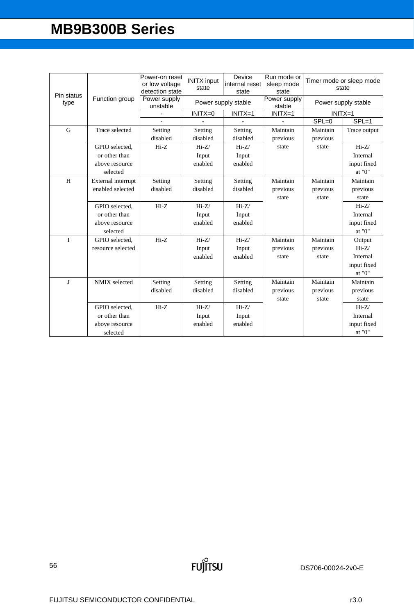| Pin status   |                    | Power-on reset<br>or low voltage<br>detection state | <b>INITX</b> input<br>state | Device<br>internal reset<br>state | Run mode or<br>sleep mode<br>state | Timer mode or sleep mode | state               |
|--------------|--------------------|-----------------------------------------------------|-----------------------------|-----------------------------------|------------------------------------|--------------------------|---------------------|
| type         | Function group     | Power supply<br>unstable                            |                             | Power supply stable               | Power supply<br>stable             |                          | Power supply stable |
|              |                    |                                                     | INITX=0                     | $INTX=1$                          | $INITX=1$                          | $INITX=1$                |                     |
|              |                    |                                                     |                             |                                   |                                    | $SPL = 0$                | $SPL=1$             |
| G            | Trace selected     | Setting                                             | Setting                     | Setting                           | Maintain                           | Maintain                 | Trace output        |
|              |                    | disabled                                            | disabled                    | disabled                          | previous                           | previous                 |                     |
|              | GPIO selected.     | $Hi-Z$                                              | $Hi-Z/$                     | $Hi-Z/$                           | state                              | state                    | $Hi-Z/$             |
|              | or other than      |                                                     | Input                       | Input                             |                                    |                          | Internal            |
|              | above resource     |                                                     | enabled                     | enabled                           |                                    |                          | input fixed         |
|              | selected           |                                                     |                             |                                   |                                    |                          | at "0"              |
| H            | External interrupt | Setting                                             | Setting                     | Setting                           | Maintain                           | Maintain                 | Maintain            |
|              | enabled selected   | disabled                                            | disabled                    | disabled                          | previous                           | previous                 | previous            |
|              |                    |                                                     |                             |                                   | state                              | state                    | state               |
|              | GPIO selected,     | $Hi-Z$                                              | $Hi-Z/$                     | $Hi-Z/$                           |                                    |                          | $Hi-Z/$             |
|              | or other than      |                                                     | Input                       | Input                             |                                    |                          | Internal            |
|              | above resource     |                                                     | enabled                     | enabled                           |                                    |                          | input fixed         |
|              | selected           |                                                     |                             |                                   |                                    |                          | at "0"              |
| $\mathbf{I}$ | GPIO selected.     | $Hi-Z$                                              | $Hi-Z/$                     | $Hi-Z/$                           | Maintain                           | Maintain                 | Output              |
|              | resource selected  |                                                     | Input                       | Input                             | previous                           | previous                 | $Hi-Z/$             |
|              |                    |                                                     | enabled                     | enabled                           | state                              | state                    | Internal            |
|              |                    |                                                     |                             |                                   |                                    |                          | input fixed         |
|              |                    |                                                     |                             |                                   |                                    |                          | at "0"              |
| $\bf{I}$     | NMIX selected      | Setting                                             | Setting                     | Setting                           | Maintain                           | Maintain                 | Maintain            |
|              |                    | disabled                                            | disabled                    | disabled                          | previous                           | previous                 | previous            |
|              |                    |                                                     |                             |                                   | state                              | state                    | state               |
|              | GPIO selected.     | $Hi-Z$                                              | $Hi-Z/$                     | $Hi-Z/$                           |                                    |                          | $Hi-Z/$             |
|              | or other than      |                                                     | Input                       | Input                             |                                    |                          | Internal            |
|              | above resource     |                                                     | enabled                     | enabled                           |                                    |                          | input fixed         |
|              | selected           |                                                     |                             |                                   |                                    |                          | at "0"              |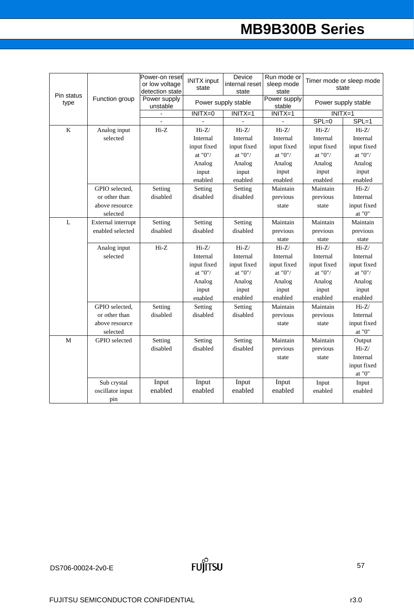| Pin status |                            | Power-on reset<br>or low voltage<br>detection state | <b>INITX input</b><br>state | Device<br>internal reset<br>state | Run mode or<br>sleep mode<br>state |             | Timer mode or sleep mode<br>state            |
|------------|----------------------------|-----------------------------------------------------|-----------------------------|-----------------------------------|------------------------------------|-------------|----------------------------------------------|
| type       | Function group             | Power supply<br>unstable                            |                             | Power supply stable               | Power supply<br>stable             |             | Power supply stable                          |
|            |                            | $\blacksquare$                                      | $INTX=0$                    | $INITX=1$                         | $INTX=1$                           | $INITX=1$   |                                              |
|            |                            | ÷,                                                  |                             |                                   |                                    | $SPL=0$     | $SPL=1$                                      |
| $\rm K$    | Analog input               | $Hi-Z$                                              | $Hi-Z/$                     | $Hi-Z/$                           | $Hi-Z/$                            | $Hi-Z/$     | $Hi-Z/$                                      |
|            | selected                   |                                                     | Internal                    | Internal                          | Internal                           | Internal    | Internal                                     |
|            |                            |                                                     | input fixed                 | input fixed                       | input fixed                        | input fixed | input fixed                                  |
|            |                            |                                                     | at "0"/ $\,$                | at "0"/                           | at "0"/                            | at $"0"$    | at "0"/ $\,$                                 |
|            |                            |                                                     | Analog                      | Analog                            | Analog                             | Analog      | Analog                                       |
|            |                            |                                                     | input                       | input                             | input                              | input       | input                                        |
|            |                            |                                                     | enabled                     | enabled                           | enabled                            | enabled     | enabled                                      |
|            | GPIO selected,             | Setting                                             | Setting                     | Setting                           | Maintain                           | Maintain    | $Hi-Z/$                                      |
|            | or other than              | disabled                                            | disabled                    | disabled                          | previous                           | previous    | Internal                                     |
|            | above resource<br>selected |                                                     |                             |                                   | state                              | state       | input fixed<br>$\underline{\mathrm{at}}$ "0" |
| L          | External interrupt         | Setting                                             | Setting                     | Setting                           | Maintain                           | Maintain    | Maintain                                     |
|            | enabled selected           | disabled                                            | disabled                    | disabled                          | previous                           | previous    | previous                                     |
|            |                            |                                                     |                             |                                   | state                              | state       | state                                        |
|            | Analog input               | $Hi-Z$                                              | $Hi-Z/$                     | $Hi-Z/$                           | $Hi-Z/$                            | $Hi-Z/$     | $Hi-Z/$                                      |
|            | selected                   |                                                     | Internal                    | Internal                          | Internal                           | Internal    | Internal                                     |
|            |                            |                                                     | input fixed                 | input fixed                       | input fixed                        | input fixed | input fixed                                  |
|            |                            |                                                     | at $"0"/$                   | at $"0"$                          | at "0"/                            | at $"0"$    | at "0"/                                      |
|            |                            |                                                     | Analog                      | Analog                            | Analog                             | Analog      | Analog                                       |
|            |                            |                                                     | input                       | input                             | input                              | input       | input                                        |
|            |                            |                                                     | enabled                     | enabled                           | enabled                            | enabled     | enabled                                      |
|            | GPIO selected,             | Setting                                             | Setting                     | Setting                           | Maintain                           | Maintain    | $Hi-Z/$                                      |
|            | or other than              | disabled                                            | disabled                    | disabled                          | previous                           | previous    | Internal                                     |
|            | above resource             |                                                     |                             |                                   | state                              | state       | input fixed                                  |
|            | selected                   |                                                     |                             |                                   |                                    |             | at "0" $\,$                                  |
| M          | GPIO selected              | Setting                                             | Setting                     | Setting                           | Maintain                           | Maintain    | Output                                       |
|            |                            | disabled                                            | disabled                    | disabled                          | previous                           | previous    | $Hi-Z/$                                      |
|            |                            |                                                     |                             |                                   | state                              | state       | Internal                                     |
|            |                            |                                                     |                             |                                   |                                    |             | input fixed                                  |
|            |                            |                                                     |                             |                                   |                                    |             | at " $0$ "                                   |
|            | Sub crystal                | Input                                               | Input                       | Input                             | Input                              | Input       | Input                                        |
|            | oscillator input           | enabled                                             | enabled                     | enabled                           | enabled                            | enabled     | enabled                                      |
|            | pin                        |                                                     |                             |                                   |                                    |             |                                              |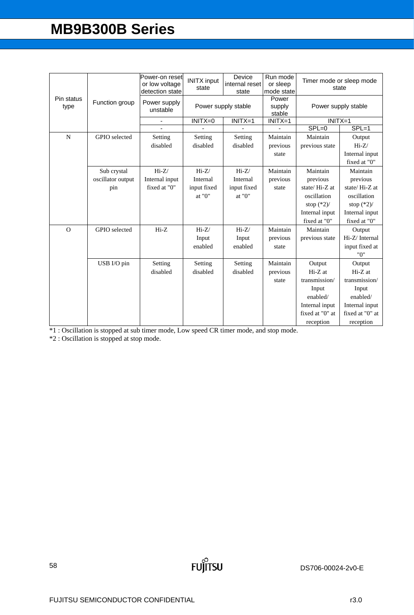|                    |                   | Power-on reset<br>or low voltage<br>detection state | <b>INITX</b> input<br>state | Device<br>internal reset<br>state | Run mode<br>or sleep<br>mode state |                 | Timer mode or sleep mode<br>state |
|--------------------|-------------------|-----------------------------------------------------|-----------------------------|-----------------------------------|------------------------------------|-----------------|-----------------------------------|
| Pin status<br>type | Function group    | Power supply<br>unstable                            |                             | Power supply stable               | Power<br>supply<br>stable          |                 | Power supply stable               |
|                    |                   | $\blacksquare$                                      | $INTX=0$                    | $INITX=1$                         | $INITX=1$                          | $INITX=1$       |                                   |
|                    |                   |                                                     |                             |                                   |                                    | $SPL=0$         | $SPL=1$                           |
| $\mathbf N$        | GPIO selected     | Setting                                             | Setting                     | Setting                           | Maintain                           | Maintain        | Output                            |
|                    |                   | disabled                                            | disabled                    | disabled                          | previous                           | previous state  | $Hi-Z/$                           |
|                    |                   |                                                     |                             |                                   | state                              |                 | Internal input                    |
|                    |                   |                                                     |                             |                                   |                                    |                 | fixed at "0"                      |
|                    | Sub crystal       | $Hi-Z/$                                             | $Hi-Z/$                     | $Hi-Z/$                           | Maintain                           | Maintain        | Maintain                          |
|                    | oscillator output | Internal input                                      | Internal                    | Internal                          | previous                           | previous        | previous                          |
|                    | pin               | fixed at "0"                                        | input fixed                 | input fixed                       | state                              | state/Hi-Z at   | state/Hi-Z at                     |
|                    |                   |                                                     | at "0"                      | at "0"                            |                                    | oscillation     | oscillation                       |
|                    |                   |                                                     |                             |                                   |                                    | stop $(*2)$ /   | stop $(*2)$ /                     |
|                    |                   |                                                     |                             |                                   |                                    | Internal input  | Internal input                    |
|                    |                   |                                                     |                             |                                   |                                    | fixed at "0"    | fixed at "0"                      |
| $\Omega$           | GPIO selected     | $Hi-Z$                                              | $Hi-Z/$                     | $Hi-Z/$                           | Maintain                           | Maintain        | Output                            |
|                    |                   |                                                     | Input                       | Input                             | previous                           | previous state  | Hi-Z/Internal                     |
|                    |                   |                                                     | enabled                     | enabled                           | state                              |                 | input fixed at                    |
|                    |                   |                                                     |                             |                                   |                                    |                 | "0"                               |
|                    | USB I/O pin       | Setting                                             | Setting                     | Setting                           | Maintain                           | Output          | Output                            |
|                    |                   | disabled                                            | disabled                    | disabled                          | previous                           | $Hi-Z$ at       | $Hi-Z$ at                         |
|                    |                   |                                                     |                             |                                   | state                              | transmission/   | transmission/                     |
|                    |                   |                                                     |                             |                                   |                                    | Input           | Input                             |
|                    |                   |                                                     |                             |                                   |                                    | enabled/        | enabled/                          |
|                    |                   |                                                     |                             |                                   |                                    | Internal input  | Internal input                    |
|                    |                   |                                                     |                             |                                   |                                    | fixed at "0" at | fixed at "0" at                   |
|                    |                   |                                                     |                             |                                   |                                    | reception       | reception                         |

\*1 : Oscillation is stopped at sub timer mode, Low speed CR timer mode, and stop mode.

**FUJITSU** 

\*2 : Oscillation is stopped at stop mode.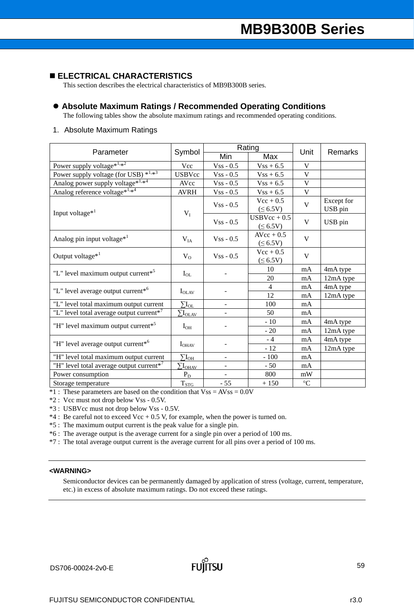## **ELECTRICAL CHARACTERISTICS**

This section describes the electrical characteristics of MB9B300B series.

## **Absolute Maximum Ratings / Recommended Operating Conditions**

The following tables show the absolute maximum ratings and recommended operating conditions.

## 1. Absolute Maximum Ratings

| Parameter                                            |                              |              | Rating                          | Unit            | <b>Remarks</b>        |  |
|------------------------------------------------------|------------------------------|--------------|---------------------------------|-----------------|-----------------------|--|
|                                                      | Symbol                       | Min          | Max                             |                 |                       |  |
| Power supply voltage* $1,x^2$                        | Vcc                          | $Vss - 0.5$  | $Vss + 6.5$                     | V               |                       |  |
| Power supply voltage (for USB) $*^{1,*3}$            | <b>USBVcc</b>                | $Vss - 0.5$  | $Vss + 6.5$                     | V               |                       |  |
| Analog power supply voltage* <sup>1,*4</sup>         | AVcc                         | $Vss - 0.5$  | $Vss + 6.5$                     | V               |                       |  |
| Analog reference voltage*1,*4                        | <b>AVRH</b>                  | $Vss - 0.5$  | $Vss + 6.5$                     | V               |                       |  |
| Input voltage <sup>*1</sup>                          | $V_I$                        | $Vss - 0.5$  | $Vec + 0.5$<br>$(\leq 6.5V)$    | V               | Except for<br>USB pin |  |
|                                                      |                              | $V$ ss - 0.5 | $USBVec + 0.5$<br>$(\leq 6.5V)$ | V               | USB pin               |  |
| Analog pin input voltage <sup>*1</sup>               | $V_{IA}$                     | $Vss - 0.5$  | $AVcc + 0.5$<br>$(\leq 6.5V)$   | V               |                       |  |
| Output voltage $*^1$                                 | $V_{O}$                      | $V$ ss - 0.5 | $Vec + 0.5$<br>$(\leq 6.5V)$    | V               |                       |  |
| "L" level maximum output current <sup>*5</sup>       | $I_{OL}$                     |              | 10                              | mA              | 4mA type              |  |
|                                                      |                              |              | 20                              | mA              | 12mA type             |  |
| "L" level average output current <sup>*6</sup>       | $I_{OLAV}$                   |              | $\overline{4}$                  | mA              | 4mA type              |  |
|                                                      |                              |              | 12                              | mA              | 12mA type             |  |
| "L" level total maximum output current               | $\rm \Sigma I_{OL}$          |              | 100                             | mA              |                       |  |
| "L" level total average output current* <sup>7</sup> | $\sum I_{OLAV}$              |              | 50                              | mA              |                       |  |
| "H" level maximum output current <sup>*5</sup>       | $I_{OH}$                     |              | $-10$                           | mA              | 4mA type              |  |
|                                                      |                              |              | $-20$                           | mA              | 12mA type             |  |
| "H" level average output current <sup>*6</sup>       | $I_{OHAV}$                   |              | $-4$                            | mA              | 4mA type              |  |
|                                                      |                              |              | $-12$                           | mA              | 12mA type             |  |
| "H" level total maximum output current               | $\rm \Sigma I_{OH}$          |              | $-100$                          | mA              |                       |  |
| "H" level total average output current* <sup>7</sup> | $\sum \rm{I}_{\rm{OHAV}}$    |              | $-50$                           | mA              |                       |  |
| Power consumption                                    | $P_D$                        |              | 800                             | mW              |                       |  |
| Storage temperature                                  | $T_{\underline{\text{STG}}}$ | $-55$        | $+150$                          | $\rm ^{\circ}C$ |                       |  |

 $*1$ : These parameters are based on the condition that  $Vss = AVss = 0.0V$ 

\*2 : Vcc must not drop below Vss - 0.5V.

\*3 : USBVcc must not drop below Vss - 0.5V.

 $*4$ : Be careful not to exceed Vcc + 0.5 V, for example, when the power is turned on.

\*5 : The maximum output current is the peak value for a single pin.

\*6 : The average output is the average current for a single pin over a period of 100 ms.

\*7 : The total average output current is the average current for all pins over a period of 100 ms.

## **<WARNING>**

Semiconductor devices can be permanently damaged by application of stress (voltage, current, temperature, etc.) in excess of absolute maximum ratings. Do not exceed these ratings.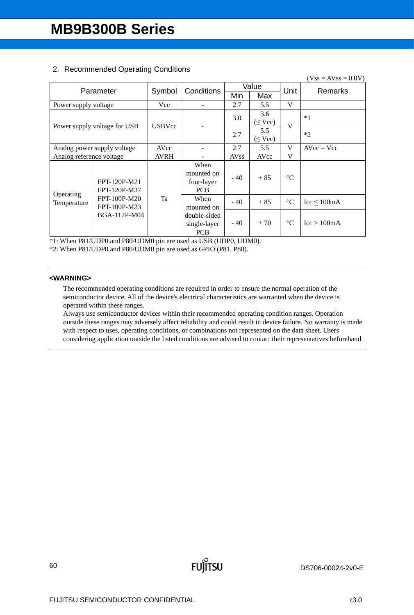|                             |                              |               |              |             |              |                 | $(Vss = AVss = 0.0V)$           |  |
|-----------------------------|------------------------------|---------------|--------------|-------------|--------------|-----------------|---------------------------------|--|
|                             | Parameter                    | Symbol        | Conditions   |             | Value        | Unit            | Remarks                         |  |
|                             |                              |               |              | Min         | Max          |                 |                                 |  |
| Power supply voltage        |                              | Vcc           |              | 2.7         | 5.5          | V               |                                 |  |
|                             |                              |               |              |             | 3.6          |                 | $*1$                            |  |
|                             |                              | <b>USBVcc</b> |              | 3.0         |              | $(\leq$ Vcc)    | V                               |  |
|                             | Power supply voltage for USB |               |              | 2.7         | 5.5          |                 | $*2$                            |  |
|                             |                              |               |              |             | $(\leq$ Vcc) |                 |                                 |  |
| Analog power supply voltage |                              | AVcc          |              | 2.7         | 5.5          | V               | $AVcc = Vcc$                    |  |
| Analog reference voltage    |                              | <b>AVRH</b>   |              | <b>AVss</b> | AVcc         | V               |                                 |  |
|                             |                              |               | When         |             |              |                 |                                 |  |
|                             |                              |               | mounted on   | $-40$       | $+85$        | $\rm ^{\circ}C$ |                                 |  |
|                             | FPT-120P-M21                 |               | four-layer   |             |              |                 |                                 |  |
| Operating                   | FPT-120P-M37                 |               | <b>PCB</b>   |             |              |                 |                                 |  |
| Temperature                 | FPT-100P-M20                 | Ta            | When         | $-40$       | $+85$        | $\rm ^{\circ}C$ | $\text{Icc} \leq 100 \text{mA}$ |  |
|                             | FPT-100P-M23                 |               | mounted on   |             |              |                 |                                 |  |
|                             | BGA-112P-M04                 |               | double-sided |             |              |                 |                                 |  |
|                             |                              |               | single-layer | $-40$       | $+70$        | $\rm ^{\circ}C$ | $\text{Icc} > 100 \text{mA}$    |  |
|                             |                              |               | <b>PCB</b>   |             |              |                 |                                 |  |

# 2. Recommended Operating Conditions

\*1: When P81/UDP0 and P80/UDM0 pin are used as USB (UDP0, UDM0).

\*2: When P81/UDP0 and P80/UDM0 pin are used as GPIO (P81, P80).

## **<WARNING>**

The recommended operating conditions are required in order to ensure the normal operation of the semiconductor device. All of the device's electrical characteristics are warranted when the device is operated within these ranges.

Always use semiconductor devices within their recommended operating condition ranges. Operation outside these ranges may adversely affect reliability and could result in device failure. No warranty is made with respect to uses, operating conditions, or combinations not represented on the data sheet. Users considering application outside the listed conditions are advised to contact their representatives beforehand.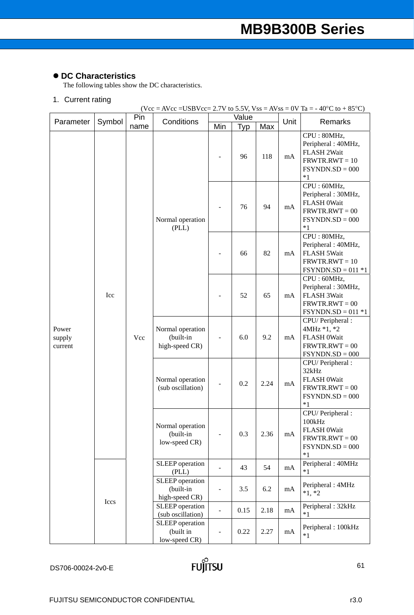# **DC Characteristics**

The following tables show the DC characteristics.

# 1. Current rating

 $(Vec = AVec = USBVec = 2.7V to 5.5V, Vss = AVss = 0V Ta = -40°C to + 85°C)$ 

| Parameter                  | Symbol | Pin  | Conditions                                      |                              | Value |      | Unit | Remarks                                                                                           |
|----------------------------|--------|------|-------------------------------------------------|------------------------------|-------|------|------|---------------------------------------------------------------------------------------------------|
|                            |        | name |                                                 | Min                          | Typ   | Max  |      |                                                                                                   |
|                            |        |      |                                                 |                              | 96    | 118  | mA   | CPU: 80MHz,<br>Peripheral: 40MHz,<br>FLASH 2Wait<br>$FRWTR.RWT = 10$<br>$FSYNDN.SD = 000$<br>$*1$ |
|                            |        |      | Normal operation<br>(PLL)                       |                              | 76    | 94   | mA   | CPU: 60MHz,<br>Peripheral: 30MHz,<br>FLASH 0Wait<br>$FRWTR.RWT = 00$<br>$FSYNDN.SD = 000$<br>$*1$ |
|                            |        |      |                                                 |                              | 66    | 82   | mA   | CPU: 80MHz,<br>Peripheral: 40MHz,<br>FLASH 5Wait<br>$FRWTR.RWT = 10$<br>$FSYNDN.SD = 011 *1$      |
|                            | Icc    | Vcc  |                                                 |                              | 52    | 65   | mA   | CPU: 60MHz,<br>Peripheral: 30MHz,<br>FLASH 3Wait<br>$FRWTR.RWT = 00$<br>$FSYNDN.SD = 011 *1$      |
| Power<br>supply<br>current |        |      | Normal operation<br>(built-in<br>high-speed CR) | $\overline{\phantom{a}}$     | 6.0   | 9.2  | mA   | CPU/ Peripheral:<br>4MHz *1, *2<br>FLASH 0Wait<br>$FRWTR.RWT = 00$<br>$FSYNDN.SD = 000$           |
|                            |        |      | Normal operation<br>(sub oscillation)           | $\qquad \qquad \blacksquare$ | 0.2   | 2.24 | mA   | CPU/ Peripheral:<br>32kHz<br>FLASH 0Wait<br>$FRWTR.RWT = 00$<br>$FSYNDN.SD = 000$<br>$*1$         |
|                            |        |      | Normal operation<br>(built-in<br>low-speed CR)  | $\overline{a}$               | 0.3   | 2.36 | mA   | CPU/ Peripheral :<br>100kHz<br>FLASH 0Wait<br>$FRWTR.RWT = 00$<br>$FSYNDN.SD = 000$<br>$*1$       |
|                            |        |      | SLEEP operation<br>(PLL)                        | $\blacksquare$               | 43    | 54   | mA   | Peripheral: 40MHz<br>$*1$                                                                         |
|                            | Iccs   |      | SLEEP operation<br>(built-in<br>high-speed CR)  | $\frac{1}{2}$                | 3.5   | 6.2  | mA   | Peripheral: 4MHz<br>$*1, *2$                                                                      |
|                            |        |      | SLEEP operation<br>(sub oscillation)            | $\blacksquare$               | 0.15  | 2.18 | mA   | Peripheral: 32kHz<br>$*1$                                                                         |
|                            |        |      | SLEEP operation<br>(built in<br>low-speed CR)   |                              | 0.22  | 2.27 | mA   | Peripheral: 100kHz<br>$*1$                                                                        |

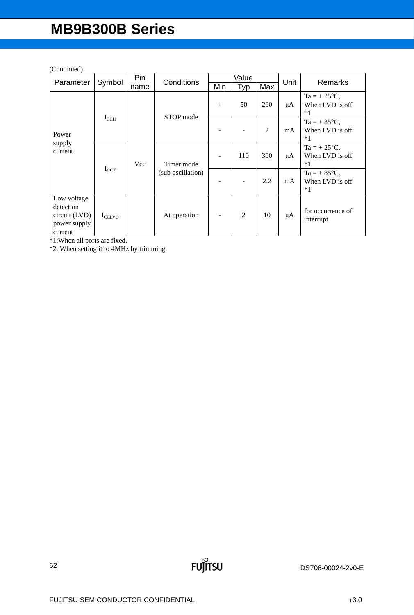## (Continued)

|                                                                      | Symbol             | Pin<br>Conditions |                                 |     | Value |     |         | <b>Remarks</b>                                    |
|----------------------------------------------------------------------|--------------------|-------------------|---------------------------------|-----|-------|-----|---------|---------------------------------------------------|
| Parameter                                                            |                    | name              |                                 | Min | Typ   | Max | Unit    |                                                   |
| Power<br>supply<br>current                                           |                    |                   |                                 |     | 50    | 200 | μA      | $Ta = +25^{\circ}C$ ,<br>When LVD is off<br>$*1$  |
|                                                                      | $I_{CCH}$          |                   | STOP mode                       |     |       | 2   | mA      | $Ta = + 85^{\circ}C$ ,<br>When LVD is off<br>$*1$ |
|                                                                      | $I_{CCT}$          | Vcc               | Timer mode<br>(sub oscillation) |     | 110   | 300 | μA      | $Ta = +25^{\circ}C$ ,<br>When LVD is off<br>$*1$  |
|                                                                      |                    |                   |                                 |     |       | 2.2 | mA      | $Ta = + 85^{\circ}C$ ,<br>When LVD is off<br>$*1$ |
| Low voltage<br>detection<br>circuit (LVD)<br>power supply<br>current | $I_{\text{CCLVD}}$ |                   | At operation                    |     | 2     | 10  | $\mu$ A | for occurrence of<br>interrupt                    |

\*1:When all ports are fixed.

\*2: When setting it to 4MHz by trimming.

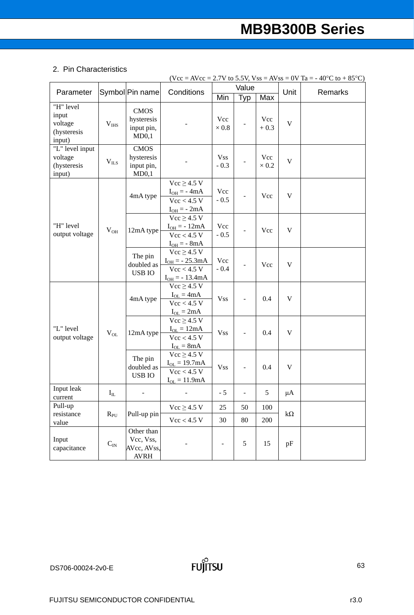## 2. Pin Characteristics

|                                                        |                       |                                                       |                                                                             |                          | Value             |                     |             | $(Vcc = AVec = 2.7V$ to 5.5V, $Vss = AVss = 0V$ Ta = -40°C to +85°C) |
|--------------------------------------------------------|-----------------------|-------------------------------------------------------|-----------------------------------------------------------------------------|--------------------------|-------------------|---------------------|-------------|----------------------------------------------------------------------|
| Parameter                                              |                       | Symbol Pin name                                       | Conditions                                                                  | Min                      | Typ               | Max                 | Unit        | Remarks                                                              |
| "H" level<br>input<br>voltage<br>(hysteresis<br>input) | $V_{IHS}$             | <b>CMOS</b><br>hysteresis<br>input pin,<br>MD0,1      |                                                                             | Vcc<br>$\times\,0.8$     |                   | Vcc<br>$+0.3$       | $\mathbf V$ |                                                                      |
| "L" level input<br>voltage<br>(hysteresis<br>input)    | $V_{ILS}$             | <b>CMOS</b><br>hysteresis<br>input pin,<br>MD0,1      |                                                                             | <b>Vss</b><br>$-0.3$     |                   | Vcc<br>$\times 0.2$ | $\mathbf V$ |                                                                      |
|                                                        |                       | 4mA type                                              | $Vcc \geq 4.5 V$<br>$I_{OH} = -4mA$<br>Vcc < 4.5 V<br>$I_{OH} = -2mA$       | Vcc<br>$-0.5$            |                   | Vcc                 | $\mathbf V$ |                                                                      |
| "H" level<br>output voltage                            | $V_{OH}$              | 12mA type                                             | $Vcc \geq 4.5 V$<br>$I_{OH} = -12mA$<br>Vcc < 4.5 V<br>$I_{OH} = - 8mA$     | Vcc<br>$-0.5$            |                   | Vcc                 | $\mathbf V$ |                                                                      |
|                                                        |                       | The pin<br>doubled as<br><b>USB IO</b>                | $Vcc \geq 4.5 V$<br>$I_{OH} = -25.3mA$<br>Vcc < 4.5 V<br>$I_{OH} = -13.4mA$ | Vcc<br>$-0.4$            | $\overline{a}$    | Vcc                 | $\mathbf V$ |                                                                      |
|                                                        |                       | 4mA type                                              | $Vcc \geq 4.5 V$<br>$I_{OL} = 4mA$<br>Vcc < 4.5 V<br>$I_{OL} = 2mA$         | <b>Vss</b>               |                   | 0.4                 | $\mathbf V$ |                                                                      |
| "L" level<br>output voltage                            | $V_{OL}$              | 12mA type                                             | $Vcc \geq 4.5 V$<br>$I_{OL} = 12mA$<br>Vcc < 4.5 V<br>$I_{OL} = 8mA$        | <b>Vss</b>               |                   | 0.4                 | $\mathbf V$ |                                                                      |
|                                                        |                       | The pin<br>doubled as<br><b>USB IO</b>                | $Vcc \geq 4.5 V$<br>$I_{OL} = 19.7mA$<br>Vcc < 4.5 V<br>$I_{OL} = 11.9mA$   | <b>Vss</b>               |                   | 0.4                 | $\mathbf V$ |                                                                      |
| Input leak<br>current                                  | $\mathbf{I}_{\rm IL}$ | $\frac{1}{2}$                                         |                                                                             | $-5$                     | $\qquad \qquad -$ | $\sqrt{5}$          | $\mu A$     |                                                                      |
| Pull-up                                                |                       |                                                       | $Vcc \geq 4.5 V$                                                            | 25                       | 50                | 100                 |             |                                                                      |
| resistance<br>$R_{PU}$<br>value                        |                       | Pull-up pin                                           | Vcc < 4.5 V                                                                 | 30                       | 80                | 200                 | $k\Omega$   |                                                                      |
| Input<br>capacitance                                   | $C_{\rm IN}$          | Other than<br>Vcc, Vss,<br>AVcc, AVss,<br><b>AVRH</b> |                                                                             | $\overline{\phantom{a}}$ | 5                 | 15                  | pF          |                                                                      |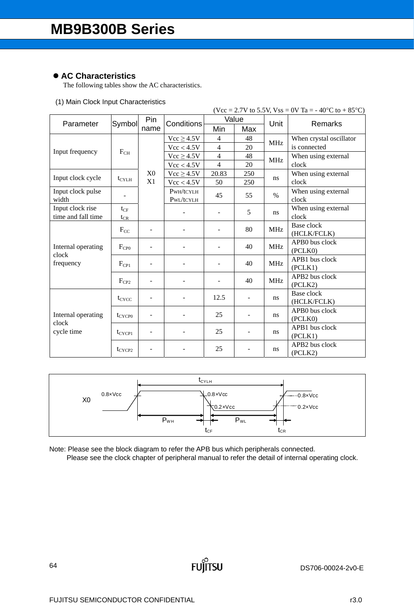# **AC Characteristics**

The following tables show the AC characteristics.

## (1) Main Clock Input Characteristics

|                    |                       |                |                |                |     |            | $(Vcc = 2.7V$ to 5.5V, $Vss = 0V$ Ta = -40°C to +85°C) |
|--------------------|-----------------------|----------------|----------------|----------------|-----|------------|--------------------------------------------------------|
| Parameter          | Symbol                | Pin            | Conditions     | Value          |     | Unit       | Remarks                                                |
|                    |                       | name           |                | Min            | Max |            |                                                        |
|                    |                       |                | $Vcc \ge 4.5V$ | $\overline{4}$ | 48  | <b>MHz</b> | When crystal oscillator                                |
| Input frequency    | $F_{CH}$              |                | Vcc < 4.5V     | $\overline{4}$ | 20  |            | is connected                                           |
|                    |                       |                | $Vcc \ge 4.5V$ | $\overline{4}$ | 48  | <b>MHz</b> | When using external                                    |
|                    |                       |                | Vcc < 4.5V     | $\overline{4}$ | 20  |            | clock                                                  |
| Input clock cycle  |                       | X <sub>0</sub> | $Vcc \ge 4.5V$ | 20.83          | 250 | ns         | When using external                                    |
|                    | $t_{\text{CYLH}}$     | X1             | Vcc < 4.5V     | 50             | 250 |            | clock                                                  |
| Input clock pulse  |                       |                | PWH/tCYLH      | 45             | 55  | $\%$       | When using external                                    |
| width              |                       |                | PWL/tCYLH      |                |     |            | clock                                                  |
| Input clock rise   | $t_{CF}$              |                |                |                | 5   | ns         | When using external                                    |
| time and fall time | $t_{CR}$              |                |                |                |     |            | clock                                                  |
|                    | $F_{CC}$<br>$F_{CP0}$ |                |                |                | 80  | <b>MHz</b> | Base clock                                             |
|                    |                       |                |                |                |     |            | (HCLK/FCLK)                                            |
| Internal operating |                       |                |                |                | 40  | <b>MHz</b> | APB0 bus clock                                         |
| clock              |                       |                |                |                |     |            | (PCLKO)                                                |
| frequency          | $F_{\rm CP1}$         |                |                | 40             |     | <b>MHz</b> | APB1 bus clock                                         |
|                    |                       |                |                |                |     |            | (PCLK1)                                                |
|                    | $F_{CP2}$             |                |                |                | 40  | <b>MHz</b> | APB2 bus clock                                         |
|                    |                       |                |                |                |     |            | (PCLK2)                                                |
|                    | $t_{CYCC}$            |                |                | 12.5           |     | ns         | Base clock                                             |
|                    |                       |                |                |                |     |            | (HCLK/FCLK)<br>APB0 bus clock                          |
| Internal operating | $t_{CYCP0}$           |                |                | 25             |     | ns.        |                                                        |
| clock              |                       |                |                |                |     |            | (PCLK0)<br>APB1 bus clock                              |
| cycle time         | $t_{CYCP1}$           |                |                | 25             |     | ns.        | (PCLK1)                                                |
|                    |                       |                |                |                |     |            | APB2 bus clock                                         |
|                    | $t_{CYCP2}$           |                |                | 25             |     | ns.        | (PCLK2)                                                |
|                    |                       |                |                |                |     |            |                                                        |



Note: Please see the block diagram to refer the APB bus which peripherals connected. Please see the clock chapter of peripheral manual to refer the detail of internal operating clock.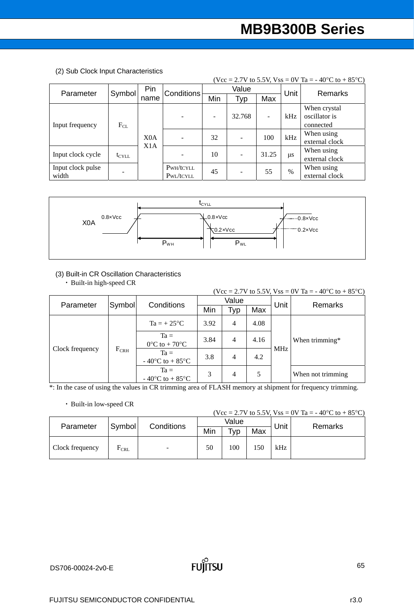|                            | (Vcc = 2.7V to 5.5V, Vss = 0V Ta = -40 °C to +85 °C) |                                      |                        |     |        |                          |      |                                            |  |  |  |  |
|----------------------------|------------------------------------------------------|--------------------------------------|------------------------|-----|--------|--------------------------|------|--------------------------------------------|--|--|--|--|
|                            |                                                      | Pin                                  | <b>Conditions</b>      |     | Value  |                          | Unit | <b>Remarks</b>                             |  |  |  |  |
| Parameter                  | Symbol                                               | name                                 |                        | Min | Typ    | Max                      |      |                                            |  |  |  |  |
| Input frequency            | $F_{CL}$                                             |                                      | ٠                      |     | 32.768 | $\overline{\phantom{0}}$ | kHz  | When crystal<br>oscillator is<br>connected |  |  |  |  |
|                            |                                                      | X <sub>0</sub> A<br>X <sub>1</sub> A |                        | 32  |        | 100                      | kHz  | When using<br>external clock               |  |  |  |  |
| Input clock cycle          | $t_{\text{CYLL}}$                                    |                                      |                        | 10  |        | 31.25                    | μs   | When using<br>external clock               |  |  |  |  |
| Input clock pulse<br>width |                                                      |                                      | PWH/tCYLL<br>PWL/tCYLL | 45  |        | 55                       | $\%$ | When using<br>external clock               |  |  |  |  |

(2) Sub Clock Input Characteristics



## (3) Built-in CR Oscillation Characteristics

・ Built-in high-speed CR

|                 |               |                                                          |      |                |      |      | (Vcc = 2.7V to 5.5V, Vss = 0V Ta = -40°C to +85°C) |  |
|-----------------|---------------|----------------------------------------------------------|------|----------------|------|------|----------------------------------------------------|--|
| Parameter       | Symbol        | Conditions                                               |      | Value          |      | Unit | Remarks                                            |  |
|                 |               |                                                          | Min  | Typ            | Max  |      |                                                    |  |
| Clock frequency |               | $Ta = +25^{\circ}C$                                      | 3.92 | $\overline{4}$ | 4.08 |      |                                                    |  |
|                 |               | $Ta =$<br>$0^{\circ}$ C to + 70 $^{\circ}$ C             | 3.84 | $\overline{4}$ | 4.16 |      | When trimming*                                     |  |
|                 | $F_{\rm CRH}$ | $Ta =$<br>$-40^{\circ}$ C to $+85^{\circ}$ C             | 3.8  | 4              | 4.2  | MHz  |                                                    |  |
|                 |               | $Ta =$<br>- 40 $\rm{^{\circ}C}$ to + 85 $\rm{^{\circ}C}$ | 3    | 4              | 5    |      | When not trimming                                  |  |

\*: In the case of using the values in CR trimming area of FLASH memory at shipment for frequency trimming.

## ・ Built-in low-speed CR

(Vcc = 2.7V to 5.5V, Vss = 0V Ta = -40°C to +85°C)

| Parameter       |                    | Conditions<br>Symbol |     | Value                |     | Unit |         |
|-----------------|--------------------|----------------------|-----|----------------------|-----|------|---------|
|                 |                    |                      | Min | $\tau_{\mathsf{VP}}$ | Max |      | Remarks |
| Clock frequency | $F_{\mathrm{CRL}}$ | -                    | 50  | 00                   | 150 | kHz  |         |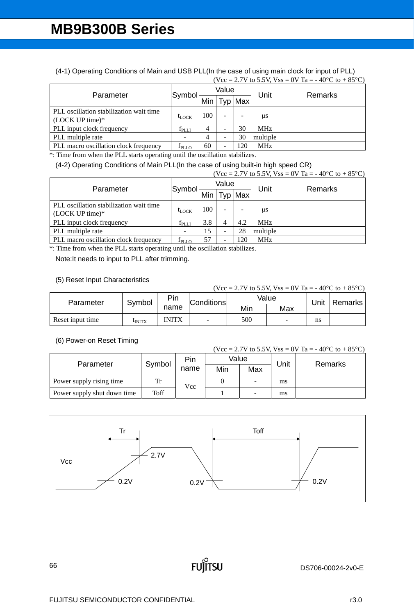(4-1) Operating Conditions of Main and USB PLL(In the case of using main clock for input of PLL)  $(Vcc = 2.7V$  to 5.5V,  $V_{SS} = 0V$  Ta = -40°C to +85°C)

| Parameter                                                    | Symbol            | Value |   |         | Unit       | Remarks |
|--------------------------------------------------------------|-------------------|-------|---|---------|------------|---------|
|                                                              |                   | Min   |   | Typ Max |            |         |
| PLL oscillation stabilization wait time<br>$(LOCK UP time)*$ | $t_{\text{LOCK}}$ | 100   |   |         | <b>us</b>  |         |
| PLL input clock frequency                                    | $f_{\rm PLLI}$    |       | - | 30      | <b>MHz</b> |         |
| PLL multiple rate                                            |                   |       |   | 30      | multiple   |         |
| PLL macro oscillation clock frequency                        | I <sub>PLLO</sub> | 60    |   | 20      | <b>MHz</b> |         |

\*: Time from when the PLL starts operating until the oscillation stabilizes.

(4-2) Operating Conditions of Main PLL(In the case of using built-in high speed CR)

|                                                              |                   |     |       |         |            | $(Vcc = 2.7V$ to 5.5V, $Vss = 0V$ Ta = -40°C to +85°C) |
|--------------------------------------------------------------|-------------------|-----|-------|---------|------------|--------------------------------------------------------|
| Parameter                                                    | Symbol            |     | Value |         | Unit       | Remarks                                                |
|                                                              |                   | Min |       | Typ Max |            |                                                        |
| PLL oscillation stabilization wait time<br>$(LOCK UP time)*$ | $t_{\rm LOCK}$    | 100 |       |         | μs         |                                                        |
| PLL input clock frequency                                    | $f_{\rm PLLI}$    | 3.8 |       | 4.2     | MHz.       |                                                        |
| PLL multiple rate                                            |                   | 15  |       | 28      | multiple   |                                                        |
| PLL macro oscillation clock frequency                        | I <sub>PLLO</sub> | 57  |       | 20      | <b>MHz</b> |                                                        |

\*: Time from when the PLL starts operating until the oscillation stabilizes.

Note:It needs to input to PLL after trimming.

## (5) Reset Input Characteristics

| (Vcc = 2.7V to 5.5V, Vss = 0V Ta = -40 °C to +85 °C) |                |              |                   |       |     |      |         |  |  |  |  |
|------------------------------------------------------|----------------|--------------|-------------------|-------|-----|------|---------|--|--|--|--|
| Parameter                                            | Symbol         | Pin          | <b>Conditions</b> | Value |     | Jnit | Remarks |  |  |  |  |
|                                                      |                | name         |                   | Min   | Max |      |         |  |  |  |  |
| Reset input time                                     | <b>L</b> INITX | <b>INITX</b> | $\blacksquare$    | 500   |     | ns   |         |  |  |  |  |

## (6) Power-on Reset Timing

|                             |        |      |       |     |      | (Vcc = 2.7V to 5.5V, Vss = 0V Ta = -40 °C to +85 °C) |  |
|-----------------------------|--------|------|-------|-----|------|------------------------------------------------------|--|
| Parameter                   | Symbol | Pin  | Value |     | Unit | Remarks                                              |  |
|                             |        | name | Min   | Max |      |                                                      |  |
| Power supply rising time    | Tr     | Vcc  |       | Ξ.  | ms   |                                                      |  |
| Power supply shut down time | Toff   |      |       | -   | ms   |                                                      |  |

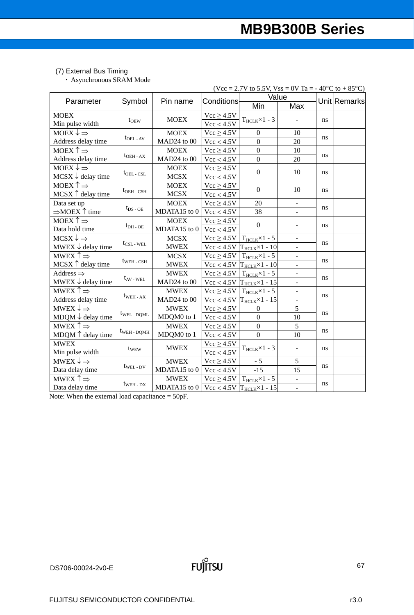## (7) External Bus Timing

・ Asynchronous SRAM Mode

|                                    |                               |              |                   | (Vcc = 2.7V to 5.5V, Vss = 0V Ta = -40°C to +85°C)            |                              |     |              |
|------------------------------------|-------------------------------|--------------|-------------------|---------------------------------------------------------------|------------------------------|-----|--------------|
| Parameter                          | Symbol                        | Pin name     | <b>Conditions</b> | Value                                                         |                              |     | Unit Remarks |
|                                    |                               |              |                   | Min                                                           | Max                          |     |              |
| <b>MOEX</b>                        |                               | <b>MOEX</b>  | $Vcc \ge 4.5V$    |                                                               | $\overline{\phantom{a}}$     |     |              |
| Min pulse width                    | $t$ <sub>OEW</sub>            |              | Vcc < 4.5V        | $T_{HCLK} \times 1 - 3$                                       |                              | ns. |              |
| MOEX $\downarrow \Rightarrow$      |                               | <b>MOEX</b>  | $Vcc \ge 4.5V$    | $\Omega$                                                      | 10                           |     |              |
| Address delay time                 | $t_{\text{OEL - AV}}$         | MAD24 to 00  | Vcc < 4.5V        | $\overline{0}$                                                | 20                           | ns. |              |
| MOEX $\uparrow \Rightarrow$        |                               | <b>MOEX</b>  | $Vcc \ge 4.5V$    | $\overline{0}$                                                | 10                           |     |              |
| Address delay time                 | $t_{\rm OEH\,-\,AX}$          | MAD24 to 00  | Vcc < 4.5V        | $\mathbf{0}$                                                  | 20                           | ns. |              |
| MOEX $\downarrow \Rightarrow$      |                               | <b>MOEX</b>  | $Vcc \ge 4.5V$    | $\boldsymbol{0}$                                              | 10                           |     |              |
| $MCSX \downarrow$ delay time       | $t_{\text{OEL} - \text{CSL}}$ | <b>MCSX</b>  | Vcc < 4.5V        |                                                               |                              | ns  |              |
| MOEX $\uparrow \Rightarrow$        |                               | <b>MOEX</b>  | $Vcc \ge 4.5V$    | $\Omega$                                                      | 10                           |     |              |
| MCSX $\uparrow$ delay time         | $t_{\rm OEH}$ - $_{\rm CSH}$  | <b>MCSX</b>  | Vcc < 4.5V        |                                                               |                              | ns  |              |
| Data set up                        |                               | <b>MOEX</b>  | $Vcc \ge 4.5V$    | 20                                                            | $\qquad \qquad \blacksquare$ |     |              |
| $\Rightarrow$ MOEX $\uparrow$ time | $t_{DS-OE}$                   | MDATA15 to 0 | Vcc < 4.5V        | 38                                                            |                              | ns  |              |
| MOEX $\uparrow \Rightarrow$        |                               | <b>MOEX</b>  | $Vcc \ge 4.5V$    | $\mathbf{0}$                                                  |                              |     |              |
| Data hold time                     | $t_{\rm DH-OE}$               | MDATA15 to 0 | Vcc < 4.5V        |                                                               | $\overline{\phantom{0}}$     | ns  |              |
| $MCSX \downarrow \Rightarrow$      |                               | <b>MCSX</b>  | $Vcc \ge 4.5V$    | $T_{\text{HCLK}} \times 1 - 5$                                | ۰                            |     |              |
| MWEX $\downarrow$ delay time       | $t_{\text{CSL}}$ - WEL        | <b>MWEX</b>  | Vcc < 4.5V        | $T_{HCLK} \times 1 - 10$                                      | $\blacksquare$               | ns  |              |
| MWEX $\uparrow \Rightarrow$        |                               | <b>MCSX</b>  | $Vcc \ge 4.5V$    | $T_{\text{HCLK}} \times 1 - 5$                                | $\Box$                       |     |              |
| MCSX $\uparrow$ delay time         | $t_{WEH - CSH}$               | <b>MWEX</b>  | Vcc < 4.5V        | $T_{HCLK} \times 1 - 10$                                      |                              | ns  |              |
| Address $\Rightarrow$              |                               | <b>MWEX</b>  | $Vcc \ge 4.5V$    | $T_{\text{HCLK}} \times 1 - 5$                                | $\Box$                       |     |              |
| MWEX $\downarrow$ delay time       | $t_{AV}$ - WEL                | MAD24 to 00  | Vcc < 4.5V        | $T_{HCLK} \times 1 - 15$                                      | $\frac{1}{2}$                | ns  |              |
| MWEX $\uparrow \Rightarrow$        |                               | <b>MWEX</b>  | $Vcc \ge 4.5V$    | $T_{\text{HCLK}} \times 1 - 5$                                | ÷                            |     |              |
| Address delay time                 | $t_{WEH - AX}$                | MAD24 to 00  | Vcc < 4.5V        | $T_{HCLK} \times 1 - 15$                                      | $\blacksquare$               | ns  |              |
| MWEX $\downarrow \Rightarrow$      |                               | <b>MWEX</b>  | $Vcc \ge 4.5V$    | $\boldsymbol{0}$                                              | 5                            |     |              |
| MDQM $\downarrow$ delay time       | $t_{WEL}$ - DOML              | MDQM0 to 1   | Vcc < 4.5V        | $\theta$                                                      | 10                           | ns  |              |
| MWEX $\uparrow \Rightarrow$        |                               | <b>MWEX</b>  | $Vcc \ge 4.5V$    | $\overline{0}$                                                | 5                            | ns  |              |
| MDQM $\uparrow$ delay time         | tweh - DQMH                   | MDQM0 to 1   | Vcc < 4.5V        | $\overline{0}$                                                | 10                           |     |              |
| <b>MWEX</b>                        |                               | <b>MWEX</b>  | $Vcc \ge 4.5V$    |                                                               |                              |     |              |
| Min pulse width                    | $t_{\text{WEW}}$              |              | Vcc < 4.5V        | $T_{HCLK} \times 1 - 3$                                       | $\blacksquare$               | ns  |              |
| MWEX $\downarrow \Rightarrow$      |                               | <b>MWEX</b>  | $Vcc \ge 4.5V$    | $-5$                                                          | 5                            |     |              |
| Data delay time                    | $t_{WEL-DV}$                  | MDATA15 to 0 | Vcc < 4.5V        | $-15$                                                         | 15                           | ns. |              |
| MWEX $\uparrow \Rightarrow$        |                               | <b>MWEX</b>  | $Vcc \ge 4.5V$    | $T_{\text{HCLK}} \times 1 - 5$                                | ÷                            |     |              |
| Data delay time                    | $t_{WEH - DX}$                | MDATA15 to 0 |                   | $\text{Vcc} < 4.5 \text{V}$ T <sub>HCLK</sub> $\times$ 1 - 15 |                              | ns  |              |

Note: When the external load capacitance = 50pF.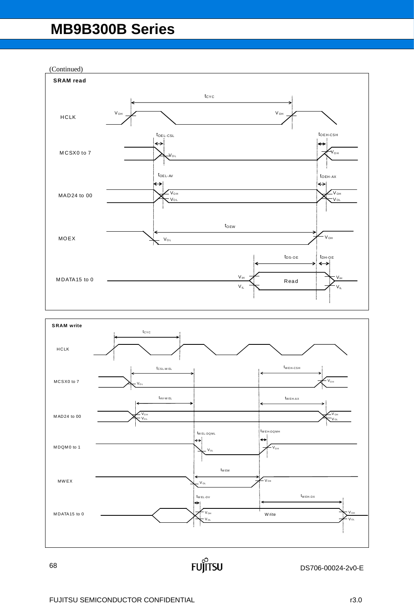(Continued)



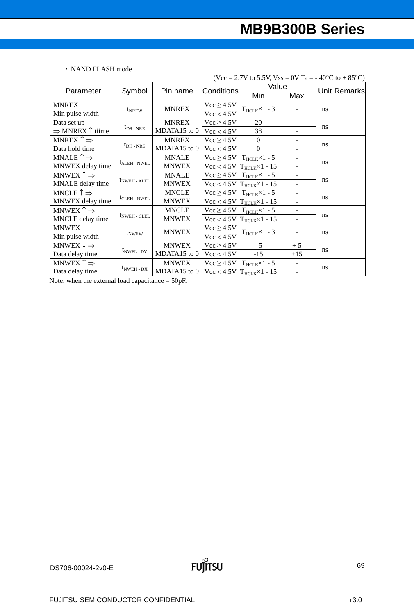## ・ NAND FLASH mode

| (Vcc = 2.7V to 5.5V, Vss = 0V Ta = - 40°C to + 85°C) |                                    |              |                   |                                            |                          |               |  |
|------------------------------------------------------|------------------------------------|--------------|-------------------|--------------------------------------------|--------------------------|---------------|--|
|                                                      |                                    | Pin name     | <b>Conditions</b> | Value                                      |                          | Unit Remarks  |  |
| Parameter                                            | Symbol                             |              |                   | Min                                        | Max                      |               |  |
| <b>MNREX</b>                                         |                                    |              | $Vcc \ge 4.5V$    | $T_{HCLK} \times 1 - 3$                    |                          | <b>ns</b>     |  |
| Min pulse width                                      | $t_{NREW}$                         | <b>MNREX</b> | Vcc < 4.5V        |                                            |                          |               |  |
| Data set up                                          |                                    | <b>MNREX</b> | $Vcc \ge 4.5V$    | 20                                         | $\overline{\phantom{a}}$ |               |  |
| $\Rightarrow$ MNREX $\uparrow$ tiime                 | $t_{DS-NRE}$                       | MDATA15 to 0 | Vcc < 4.5V        | 38                                         | $\overline{\phantom{a}}$ | ns            |  |
| MNREX $\uparrow \Rightarrow$                         |                                    | <b>MNREX</b> | $Vcc \ge 4.5V$    | $\Omega$                                   |                          |               |  |
| Data hold time                                       | $t_{\rm DH}$ - NRE                 | MDATA15 to 0 | Vcc < 4.5V        | $\Omega$                                   |                          | ns            |  |
| MNALE $\uparrow \Rightarrow$                         |                                    | <b>MNALE</b> | $Vcc \ge 4.5V$    | $T_{\text{HCLK}} \times 1 - 5$             |                          |               |  |
| MNWEX delay time                                     | $t_{ALEH}$ - NWEL                  | <b>MNWEX</b> | Vcc < 4.5V        | $T_{\text{HCLK}} \times 1 - 15$            | $\blacksquare$           | ns            |  |
| MNWEX $\uparrow \Rightarrow$                         |                                    | <b>MNALE</b> | $Vcc \ge 4.5V$    | $T_{\text{HCLK}} \times 1 - 5$             |                          | ns            |  |
| MNALE delay time                                     | $t_{\text{NWEH - ALEL}}$           | <b>MNWEX</b> | Vcc < 4.5V        | $T_{HCLK} \times 1 - 15$                   |                          |               |  |
| MNCLE $\uparrow \Rightarrow$                         |                                    | <b>MNCLE</b> | $Vcc \ge 4.5V$    | $T_{\text{HCLK}} \times 1 - 5$             | $\overline{\phantom{a}}$ |               |  |
| MNWEX delay time                                     | t <sub>CLEH</sub> - NWEL           | <b>MNWEX</b> | Vcc < 4.5V        | $T_{HCLK} \times 1 - 15$<br>$\blacksquare$ |                          | ns            |  |
| MNWEX $\uparrow \Rightarrow$                         |                                    | <b>MNCLE</b> | $Vcc \ge 4.5V$    | $T_{\text{HCLK}} \times 1 - 5$             | $\blacksquare$           |               |  |
| MNCLE delay time                                     | $t_{\text{NWEH}}$ - CLEL           | <b>MNWEX</b> | Vcc < 4.5V        | $T_{HCLK} \times 1 - 15$                   |                          | ns            |  |
| <b>MNWEX</b>                                         |                                    |              | $Vcc \ge 4.5V$    |                                            |                          | <sub>ns</sub> |  |
| Min pulse width                                      | $t_{\text{NWEW}}$                  | <b>MNWEX</b> | Vcc < 4.5V        | $T_{HCLK} \times 1 - 3$                    |                          |               |  |
| MNWEX $\downarrow \Rightarrow$                       |                                    | <b>MNWEX</b> | $Vcc \ge 4.5V$    | $-5$                                       | $+5$                     |               |  |
| Data delay time                                      | $t_{\text{NWEL - DV}}$             | MDATA15 to 0 | Vcc < 4.5V        | $-15$                                      | $+15$                    | ns            |  |
| MNWEX $\uparrow \Rightarrow$                         |                                    | <b>MNWEX</b> | $Vcc \ge 4.5V$    | $T_{\text{HCLK}} \times 1 - 5$             | $\overline{\phantom{a}}$ |               |  |
| Data delay time                                      | $t_{\text{NWEH}}$ - $_{\text{DX}}$ | MDATA15 to 0 | Vcc < 4.5V        | $T_{HCLK} \times 1 - 15$                   | $\overline{\phantom{a}}$ | ns            |  |

Note: when the external load capacitance  $= 50pF$ .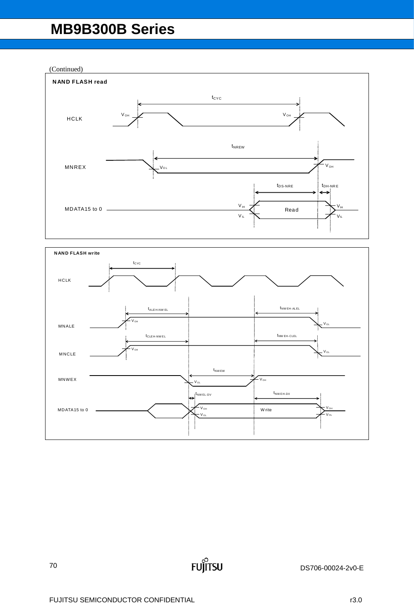(Continued)



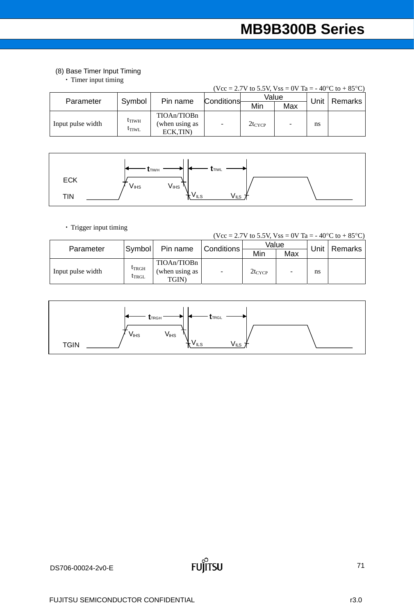# (8) Base Timer Input Timing

・ Timer input timing

| $(Vcc = 2.7V$ to 5.5V, $Vss = 0V$ Ta = -40°C to +85°C) |                                          |                                            |            |             |     |      |         |
|--------------------------------------------------------|------------------------------------------|--------------------------------------------|------------|-------------|-----|------|---------|
| Parameter                                              | Symbol                                   | Pin name                                   | Conditions | Value       |     | Unit |         |
|                                                        |                                          |                                            |            | Min         | Max |      | Remarks |
| Input pulse width                                      | $t$ <sub>TIWH</sub><br>$t_{\text{TIWL}}$ | TIOAn/TIOBn<br>(when using as<br>ECK, TIN) |            | $2t_{CYCP}$ |     | ns   |         |

|            | <b>TTIWH</b>     | <b>L</b> TIWL                 |  |
|------------|------------------|-------------------------------|--|
| <b>ECK</b> | V <sub>IHS</sub> | $V_{IHS}$                     |  |
| <b>TIN</b> |                  | $V_{ILS}$<br>V <sub>ILS</sub> |  |

・ Trigger input timing

| (Vcc = 2.7V to 5.5V, Vss = 0V Ta = -40 °C to +85 °C) |                          |                                        |                   |             |     |      |         |  |
|------------------------------------------------------|--------------------------|----------------------------------------|-------------------|-------------|-----|------|---------|--|
| Parameter                                            | Symbol                   | Pin name                               | <b>Conditions</b> | Value       |     | Unit |         |  |
|                                                      |                          |                                        |                   | Min         | Max |      | Remarks |  |
| Input pulse width                                    | $t_{TRGH}$<br>$t_{TRGL}$ | TIOAn/TIOBn<br>(when using as<br>TGIN) | ٠                 | $2t_{CYCP}$ |     | ns   |         |  |

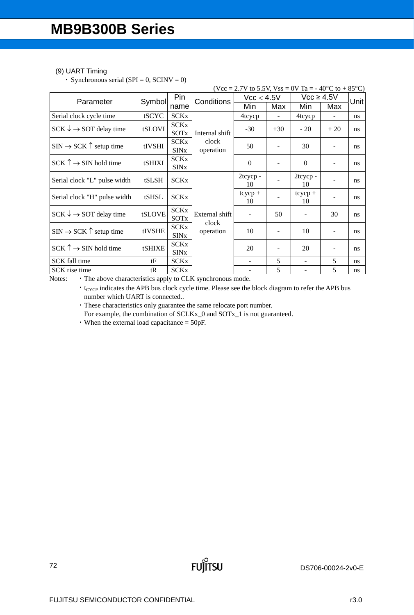## (9) UART Timing

• Synchronous serial (SPI = 0, SCINV = 0)

| (Vcc = 2.7V to 5.5V, Vss = 0V Ta = -40 °C to +85 °C) |        |                                       |                                      |                 |       |                          |                          |               |
|------------------------------------------------------|--------|---------------------------------------|--------------------------------------|-----------------|-------|--------------------------|--------------------------|---------------|
| Parameter                                            | Symbol | Pin                                   | Conditions                           | Vcc < 4.5V      |       | $Vcc \geq 4.5V$          |                          | Unit          |
|                                                      |        | name                                  |                                      | Min             | Max   | Min                      | Max                      |               |
| Serial clock cycle time                              | tSCYC  | <b>SCKx</b>                           |                                      | 4tcycp          |       | 4tcycp                   |                          | ns            |
| $SCK \rightarrow SOT$ delay time                     | tSLOVI | <b>SCKx</b><br><b>SOTx</b>            | Internal shift                       | $-30$           | $+30$ | $-20$                    | $+20$                    | ns            |
| $SIN \rightarrow SCK$ $\uparrow$ setup time          | tIVSHI | <b>SCKx</b><br><b>SINx</b>            | clock<br>operation                   | 50              |       | 30                       |                          | ns            |
| $SCK \uparrow \rightarrow SIN$ hold time             | tSHIXI | <b>SCKx</b><br><b>SIN<sub>x</sub></b> |                                      | $\Omega$        |       | $\theta$                 |                          | ns            |
| Serial clock "L" pulse width                         | tSLSH  | <b>SCKx</b>                           | External shift<br>clock<br>operation | 2tcycp-<br>10   |       | 2tcycp-<br>10            | $\overline{\phantom{a}}$ | ns            |
| Serial clock "H" pulse width                         | tSHSL  | <b>SCKx</b>                           |                                      | $tcycp +$<br>10 |       | $tcycp +$<br>10          |                          | ns            |
| $SCK \rightarrow SOT$ delay time                     | tSLOVE | <b>SCKx</b><br>SOTx                   |                                      |                 | 50    |                          | 30                       | ns            |
| $SIN \rightarrow SCK \uparrow$ setup time            | tIVSHE | <b>SCKx</b><br><b>SIN<sub>x</sub></b> |                                      | 10              |       | 10                       | $\blacksquare$           | ns            |
| $SCK \uparrow \rightarrow SIN$ hold time             | tSHIXE | <b>SCKx</b><br><b>SIN<sub>x</sub></b> |                                      | 20              |       | 20                       | $\overline{\phantom{a}}$ | ns            |
| SCK fall time                                        | tF     | <b>SCKx</b>                           |                                      | ٠               | 5     | $\overline{\phantom{a}}$ | 5                        | <sub>ns</sub> |
| SCK rise time                                        | tR     | <b>SCKx</b>                           |                                      |                 | 5     |                          | 5                        | <sub>ns</sub> |

Notes: • The above characteristics apply to CLK synchronous mode.

• t<sub>CYCP</sub> indicates the APB bus clock cycle time. Please see the block diagram to refer the APB bus number which UART is connected..

**FUJITSU** 

・These characteristics only guarantee the same relocate port number.

For example, the combination of SCLKx\_0 and SOTx\_1 is not guaranteed.

・When the external load capacitance = 50pF.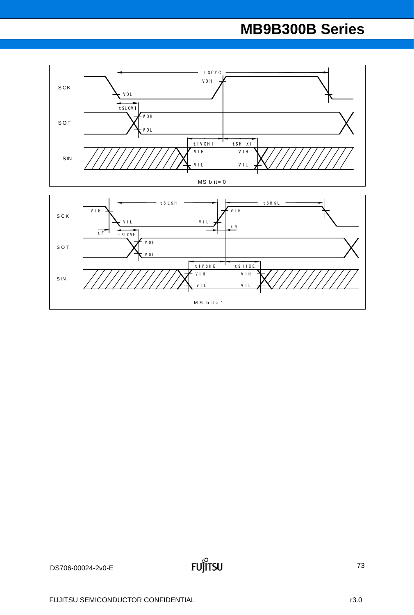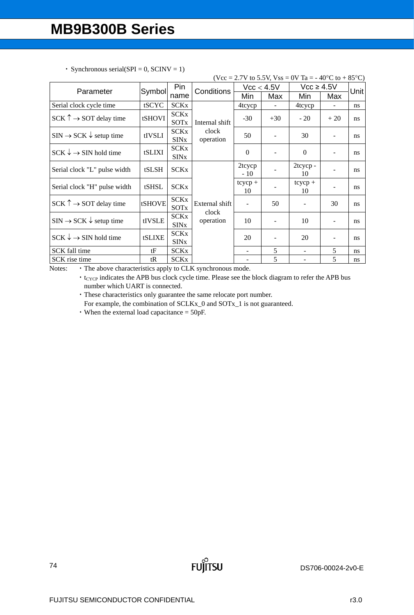|                                             |        |                                       |                         |                 |       | (Vcc = 2.7V to 5.5V, Vss = 0V Ta = -40°C to +85°C) |                          |               |
|---------------------------------------------|--------|---------------------------------------|-------------------------|-----------------|-------|----------------------------------------------------|--------------------------|---------------|
| Parameter                                   | Symbol | Pin.                                  | Conditions              | Vcc < 4.5V      |       | $Vcc \geq 4.5V$                                    |                          | Unit          |
|                                             |        | name                                  |                         | Min             | Max   | Min                                                | Max                      |               |
| Serial clock cycle time                     | tSCYC  | <b>SCKx</b>                           |                         | 4tcycp          |       | 4tcycp                                             |                          | ns.           |
| $SCK \uparrow \rightarrow SOT$ delay time   | tSHOVI | <b>SCKx</b><br>SOTx                   | Internal shift          | $-30$           | $+30$ | $-20$                                              | $+20$                    | <sub>ns</sub> |
| $SIN \rightarrow SCK \downarrow$ setup time | tIVSLI | <b>SCKx</b><br><b>SIN</b> x           | clock<br>operation      | 50              |       | 30                                                 |                          | ns            |
| $SCK \downarrow \rightarrow SIN$ hold time  | tSLIXI | <b>SCKx</b><br><b>SINx</b>            |                         | $\Omega$        |       | $\theta$                                           | $\overline{\phantom{a}}$ | ns            |
| Serial clock "L" pulse width                | tSLSH  | <b>SCKx</b>                           |                         | 2tcycp<br>$-10$ |       | 2tcycp-<br>10                                      | $\blacksquare$           | ns            |
| Serial clock "H" pulse width                | tSHSL  | <b>SCKx</b>                           |                         | $tcycp +$<br>10 |       | $tcycp +$<br>10                                    |                          | ns            |
| $SCK \uparrow \rightarrow SOT$ delay time   | tSHOVE | <b>SCKx</b><br>SOTx                   | External shift<br>clock |                 | 50    |                                                    | 30                       | ns            |
| $SIN \rightarrow SCK \downarrow$ setup time | tIVSLE | <b>SCKx</b><br><b>SIN</b> x           | operation               | 10              |       | 10                                                 | ٠                        | <sub>ns</sub> |
| $SCK \downarrow \rightarrow SIN$ hold time  | tSLIXE | <b>SCKx</b><br><b>SIN<sub>x</sub></b> |                         | 20              | ۰     | 20                                                 | $\overline{\phantom{a}}$ | ns            |
| SCK fall time                               | tF     | <b>SCKx</b>                           |                         |                 | 5     | $\blacksquare$                                     | 5                        | <sub>ns</sub> |
| SCK rise time                               | tR     | SCKx                                  |                         |                 | 5     |                                                    | 5                        | ns.           |

|  | • Synchronous serial(SPI = 0, SCINV = 1) |
|--|------------------------------------------|
|  |                                          |

Notes: • The above characteristics apply to CLK synchronous mode.

• t<sub>CYCP</sub> indicates the APB bus clock cycle time. Please see the block diagram to refer the APB bus number which UART is connected.

**FUJITSU** 

・These characteristics only guarantee the same relocate port number.

For example, the combination of SCLKx\_0 and SOTx\_1 is not guaranteed.

・When the external load capacitance = 50pF.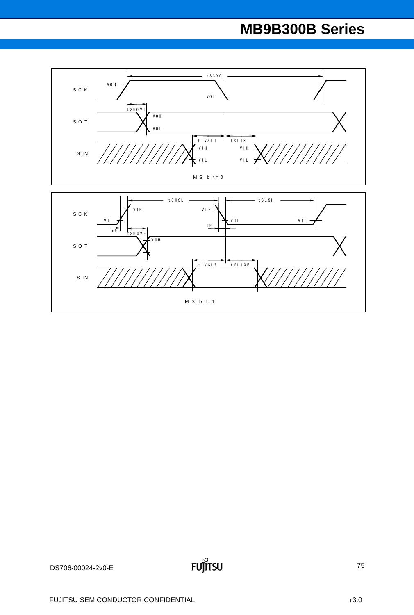

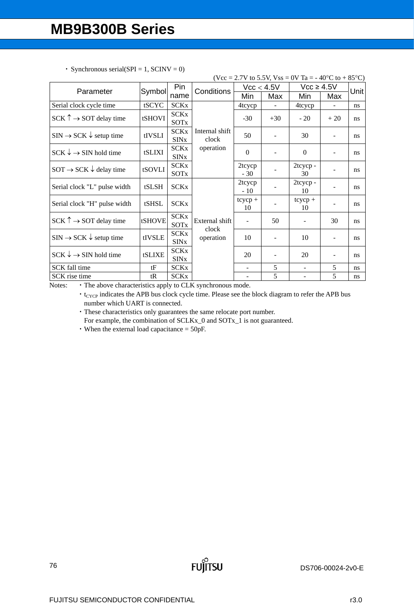|                                             |        |                                       |                         |                          |       | (Vcc = 2.7V to 5.5V, Vss = 0V Ta = -40°C to +85°C) |                          |      |
|---------------------------------------------|--------|---------------------------------------|-------------------------|--------------------------|-------|----------------------------------------------------|--------------------------|------|
| Parameter                                   | Symbol | Pin                                   | Conditions              | Vcc < 4.5V               |       | $Vcc \geq 4.5V$                                    |                          | Unit |
|                                             |        | name                                  |                         | Min                      | Max   | Min                                                | Max                      |      |
| Serial clock cycle time                     | tSCYC  | <b>SCKx</b>                           |                         | 4tcycp                   |       | 4tcycp                                             |                          | ns   |
| $SCK \uparrow \rightarrow SOT$ delay time   | tSHOVI | <b>SCKx</b><br><b>SOT<sub>x</sub></b> |                         | $-30$                    | $+30$ | $-20$                                              | $+20$                    | ns   |
| $SIN \rightarrow SCK \downarrow$ setup time | tIVSLI | <b>SCKx</b><br><b>SIN<sub>x</sub></b> | Internal shift<br>clock | 50                       |       | 30                                                 |                          | ns   |
| $SCK \downarrow \rightarrow SIN$ hold time  | tSLIXI | <b>SCKx</b><br><b>SIN<sub>x</sub></b> | operation               | $\mathbf{0}$             |       | $\mathbf{0}$                                       |                          | ns   |
| $SOT \rightarrow SCK \downarrow$ delay time | tSOVLI | <b>SCKx</b><br>SOT <sub>x</sub>       |                         | 2tcycp<br>$-30$          |       | 2tcycp-<br>30                                      |                          | ns   |
| Serial clock "L" pulse width                | tSLSH  | <b>SCKx</b>                           |                         | 2tcycp<br>$-10$          |       | 2tcycp-<br>10                                      |                          | ns   |
| Serial clock "H" pulse width                | tSHSL  | <b>SCKx</b>                           |                         | $tcycp +$<br>10          |       | $tcycp +$<br>10                                    |                          | ns   |
| $SCK \uparrow \rightarrow SOT$ delay time   | tSHOVE | <b>SCKx</b><br><b>SOT<sub>x</sub></b> | External shift<br>clock |                          | 50    |                                                    | 30                       | ns   |
| $SIN \rightarrow SCK \downarrow$ setup time | tIVSLE | <b>SCKx</b><br><b>SIN<sub>x</sub></b> | operation               | 10                       |       | 10                                                 | $\overline{\phantom{a}}$ | ns   |
| $SCK \downarrow \rightarrow SIN$ hold time  | tSLIXE | <b>SCKx</b><br><b>SIN<sub>x</sub></b> |                         | 20                       | ۰     | 20                                                 | $\overline{\phantom{a}}$ | ns   |
| SCK fall time                               | tF     | <b>SCKx</b>                           |                         | $\overline{\phantom{a}}$ | 5     | $\qquad \qquad \blacksquare$                       | 5                        | ns   |
| SCK rise time<br>$\mathbf{r}$ .             | tR     | <b>SCKx</b>                           |                         | $\mathbf{I}$             | 5     | -                                                  | 5                        | ns   |

• Synchronous serial(SPI = 1, SCINV = 0)

Notes: • The above characteristics apply to CLK synchronous mode.

 $\cdot$  t<sub>CYCP</sub> indicates the APB bus clock cycle time. Please see the block diagram to refer the APB bus number which UART is connected.

**FUJITSU** 

・These characteristics only guarantees the same relocate port number. For example, the combination of SCLKx\_0 and SOTx\_1 is not guaranteed.

・When the external load capacitance = 50pF.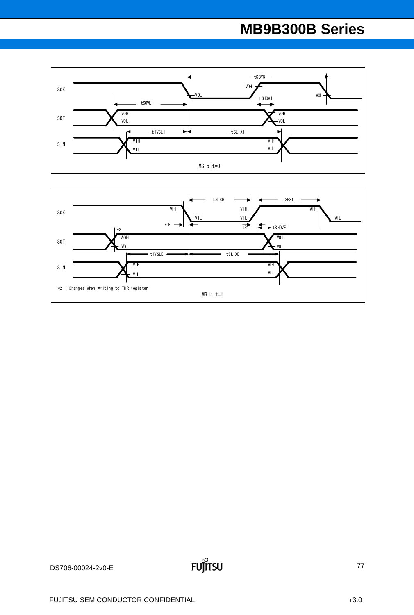

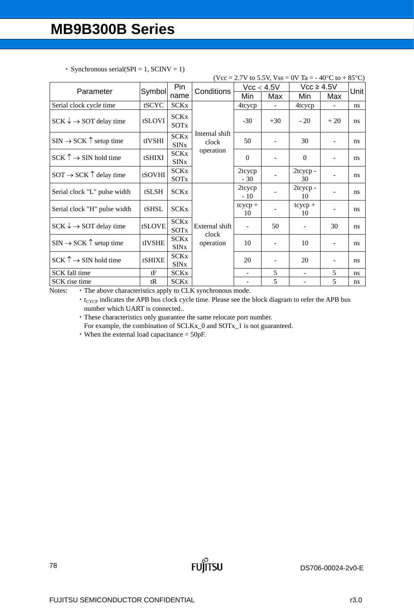|                                             |        |                                       |                         |                 |            | (Vcc = 2.7V to 5.5V, Vss = 0V Ta = -40°C to +85°C) |                          |                |
|---------------------------------------------|--------|---------------------------------------|-------------------------|-----------------|------------|----------------------------------------------------|--------------------------|----------------|
| Parameter                                   | Symbol | Pin                                   | Conditions              |                 | Vcc < 4.5V | $Vcc \geq 4.5V$                                    |                          | Unit           |
|                                             |        | name                                  |                         | Min             | Max        | Min                                                | Max                      |                |
| Serial clock cycle time                     | tSCYC  | <b>SCKx</b>                           |                         | 4tcycp          |            | 4tcycp                                             |                          | ns             |
| $SCK \rightarrow SOT$ delay time            | tSLOVI | <b>SCKx</b><br>SOT <sub>x</sub>       |                         | $-30$           | $+30$      | $-20$                                              | $+20$                    | <sub>ns</sub>  |
| $SIN \rightarrow SCK \uparrow$ setup time   | tIVSHI | <b>SCKx</b><br><b>SIN<sub>x</sub></b> | Internal shift<br>clock | 50              |            | 30                                                 |                          | ns             |
| $SCK \uparrow \rightarrow SIN$ hold time    | tSHIXI | <b>SCKx</b><br><b>SIN<sub>x</sub></b> | operation               | $\theta$        |            | $\Omega$                                           |                          | <sub>ns</sub>  |
| $SOT \rightarrow SCK$ $\uparrow$ delay time | tSOVHI | <b>SCKx</b><br>SOTx                   |                         | 2tcycp<br>$-30$ |            | 2tcycp-<br>30                                      | $\overline{\phantom{0}}$ | ns             |
| Serial clock "L" pulse width                | tSLSH  | <b>SCKx</b>                           |                         | 2tcycp<br>$-10$ |            | 2tcycp-<br>10                                      | $\overline{\phantom{a}}$ | ns             |
| Serial clock "H" pulse width                | tSHSL  | <b>SCKx</b>                           |                         | $tcycp +$<br>10 |            | $tcycp +$<br>10                                    | $\blacksquare$           | <sub>ns</sub>  |
| $SCK \rightarrow SOT$ delay time            | tSLOVE | <b>SCKx</b><br>SOT <sub>x</sub>       | External shift<br>clock |                 | 50         |                                                    | 30                       | ns             |
| $SIN \rightarrow SCK$ $\uparrow$ setup time | tIVSHE | <b>SCKx</b><br><b>SIN<sub>x</sub></b> | operation               | 10              |            | 10                                                 |                          | ns             |
| $SCK \uparrow \rightarrow SIN$ hold time    | tSHIXE | <b>SCKx</b><br><b>SIN<sub>x</sub></b> |                         | 20              |            | 20                                                 |                          | <sub>ns</sub>  |
| SCK fall time                               | tF     | <b>SCKx</b>                           |                         |                 | 5          |                                                    | 5                        | ns             |
| SCK rise time                               | tR     | <b>SCKx</b>                           |                         |                 | 5          |                                                    | 5                        | $\mathbf{n}$ s |

• Synchronous serial(SPI = 1, SCINV = 1)

Notes: • The above characteristics apply to CLK synchronous mode.

• t<sub>CYCP</sub> indicates the APB bus clock cycle time. Please see the block diagram to refer the APB bus number which UART is connected..

**FUJITSU** 

・These characteristics only guarantee the same relocate port number.

For example, the combination of SCLKx\_0 and SOTx\_1 is not guaranteed.

・When the external load capacitance = 50pF.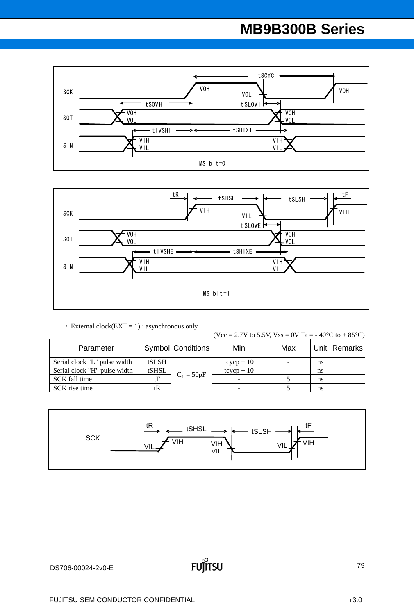



• External clock( $EXT = 1$ ) : asynchronous only

(Vcc = 2.7V to 5.5V, Vss = 0V Ta = -40°C to +85°C)

| Parameter                    |       | Symbol Conditions | Min          | Max                      |    | Unit   Remarks |
|------------------------------|-------|-------------------|--------------|--------------------------|----|----------------|
| Serial clock "L" pulse width | tSLSH |                   | $tcycp + 10$ | $\overline{\phantom{a}}$ | ns |                |
| Serial clock "H" pulse width | tSHSL |                   | $tcycp + 10$ | $\overline{\phantom{a}}$ | ns |                |
| SCK fall time                | tF    | $C_L = 50pF$      |              |                          | ns |                |
| SCK rise time                | tR    |                   |              |                          | ns |                |

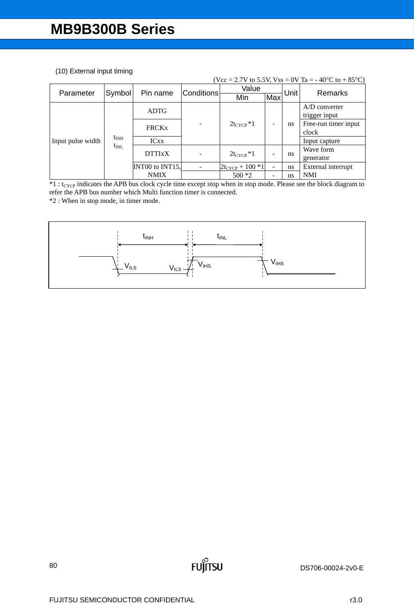### (10) External input timing

| (Vcc = 2.7V to 5.5V, Vss = 0V Ta = -40 °C to +85 °C) |               |                 |                   |                      |     |             |                      |  |  |  |  |
|------------------------------------------------------|---------------|-----------------|-------------------|----------------------|-----|-------------|----------------------|--|--|--|--|
| Parameter                                            | Symbol        | Pin name        | <b>Conditions</b> | Value                |     | <b>Unit</b> | Remarks              |  |  |  |  |
|                                                      |               |                 |                   | Min                  | Max |             |                      |  |  |  |  |
|                                                      |               | <b>ADTG</b>     |                   |                      |     |             | $A/D$ converter      |  |  |  |  |
|                                                      |               |                 |                   | $2t_{\rm CYCP}*1$    |     | ns          | trigger input        |  |  |  |  |
|                                                      |               | <b>FRCKx</b>    |                   |                      |     |             | Free-run timer input |  |  |  |  |
|                                                      |               |                 |                   |                      |     |             | clock                |  |  |  |  |
| Input pulse width                                    | $t_{\rm INH}$ | <b>ICxx</b>     |                   |                      |     |             | Input capture        |  |  |  |  |
|                                                      | $t_{\rm INL}$ | <b>DTTIxX</b>   |                   | $2t_{CYCP}*1$        |     | ns          | Wave form            |  |  |  |  |
|                                                      |               |                 |                   |                      |     |             | generator            |  |  |  |  |
|                                                      |               | INT00 to INT15, |                   | $2t_{CYCP} + 100 *1$ |     | ns          | External interrupt   |  |  |  |  |
|                                                      |               | <b>NMIX</b>     |                   | $500*2$              |     | ns          | <b>NMI</b>           |  |  |  |  |

 $*1:$  t<sub>CYCP</sub> indicates the APB bus clock cycle time except stop when in stop mode. Please see the block diagram to refer the APB bus number which Multi function timer is connected.

\*2 : When in stop mode, in timer mode.



**FUJITSU**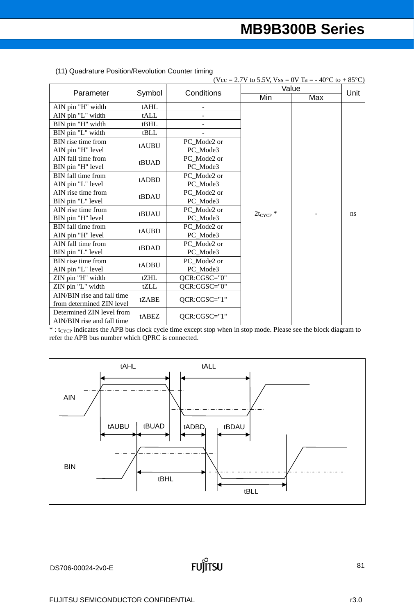| (Vcc = 2.7V to 5.5V, Vss = 0V Ta = - 40°C to + 85°C) |        |              |               |     |      |  |  |  |  |
|------------------------------------------------------|--------|--------------|---------------|-----|------|--|--|--|--|
| Parameter                                            | Symbol | Conditions   | Value         |     | Unit |  |  |  |  |
|                                                      |        |              | Min           | Max |      |  |  |  |  |
| AIN pin "H" width                                    | tAHL   |              |               |     |      |  |  |  |  |
| AIN pin "L" width                                    | tALL   |              |               |     |      |  |  |  |  |
| BIN pin "H" width                                    | tBHL   |              |               |     |      |  |  |  |  |
| BIN pin "L" width                                    | tBLL   |              |               |     |      |  |  |  |  |
| BIN rise time from                                   | tAUBU  | PC Mode2 or  |               |     |      |  |  |  |  |
| AIN pin "H" level                                    |        | PC_Mode3     |               |     |      |  |  |  |  |
| AIN fall time from                                   | tBUAD  | PC Mode2 or  |               |     |      |  |  |  |  |
| BIN pin "H" level                                    |        | PC Mode3     |               |     |      |  |  |  |  |
| BIN fall time from                                   | tADBD  | PC_Mode2 or  |               |     |      |  |  |  |  |
| AIN pin "L" level                                    |        | PC_Mode3     |               |     |      |  |  |  |  |
| AIN rise time from                                   | tBDAU  | PC Mode2 or  |               |     |      |  |  |  |  |
| BIN pin "L" level                                    |        | PC_Mode3     |               |     | ns   |  |  |  |  |
| AIN rise time from                                   | tBUAU  | PC_Mode2 or  | $2t_{CYCP}$ * |     |      |  |  |  |  |
| BIN pin "H" level                                    |        | PC Mode3     |               |     |      |  |  |  |  |
| BIN fall time from                                   | tAUBD  | PC Mode2 or  |               |     |      |  |  |  |  |
| AIN pin "H" level                                    |        | PC Mode3     |               |     |      |  |  |  |  |
| AIN fall time from                                   | tBDAD  | PC Mode2 or  |               |     |      |  |  |  |  |
| BIN pin "L" level                                    |        | PC_Mode3     |               |     |      |  |  |  |  |
| BIN rise time from                                   | tADBU  | PC Mode2 or  |               |     |      |  |  |  |  |
| AIN pin "L" level                                    |        | PC Mode3     |               |     |      |  |  |  |  |
| ZIN pin "H" width                                    | tZHL   | QCR:CGSC="0" |               |     |      |  |  |  |  |
| ZIN pin "L" width                                    | tZLL   | QCR:CGSC="0" |               |     |      |  |  |  |  |
| AIN/BIN rise and fall time                           | tZABE  | QCR:CGSC="1" |               |     |      |  |  |  |  |
| from determined ZIN level                            |        |              |               |     |      |  |  |  |  |
| Determined ZIN level from                            | tABEZ  | QCR:CGSC="1" |               |     |      |  |  |  |  |
| AIN/BIN rise and fall time                           |        |              |               |     |      |  |  |  |  |

| (11) Quadrature Position/Revolution Counter timing |  |
|----------------------------------------------------|--|
|----------------------------------------------------|--|

 $* : t_{CYCP}$  indicates the APB bus clock cycle time except stop when in stop mode. Please see the block diagram to refer the APB bus number which QPRC is connected.

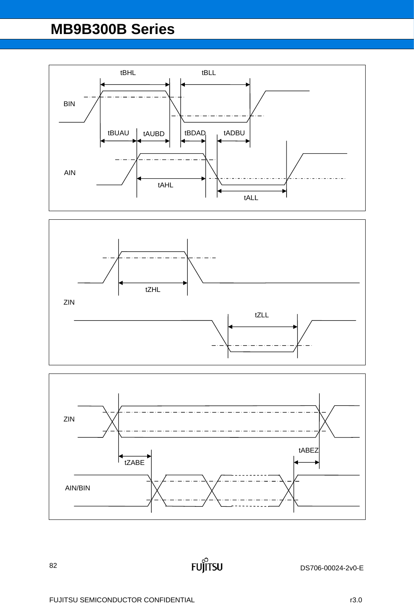





**FUJITSU**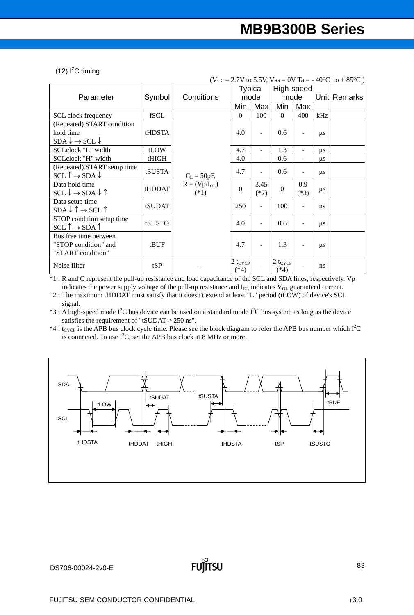#### $(12)$  I<sup>2</sup>C timing

| (Vcc = 2.7V to 5.5V, Vss = 0V Ta = -40°C to +85°C)   |        |                |              |                |              |                |         |              |  |
|------------------------------------------------------|--------|----------------|--------------|----------------|--------------|----------------|---------|--------------|--|
|                                                      |        |                |              | <b>Typical</b> | High-speed   |                |         |              |  |
| Parameter                                            | Symbol | Conditions     |              | mode           |              | mode           |         | Unit Remarks |  |
|                                                      |        |                | Min          | Max            | Min          | Max            |         |              |  |
| SCL clock frequency                                  | fSCL   |                | $\Omega$     | 100            | $\theta$     | 400            | kHz     |              |  |
| (Repeated) START condition                           |        |                |              |                |              |                |         |              |  |
| hold time                                            | tHDSTA |                | 4.0          | $\blacksquare$ | 0.6          |                | $\mu$ s |              |  |
| $SDA \downarrow \rightarrow SCL \downarrow$          |        |                |              |                |              |                |         |              |  |
| SCLclock "L" width                                   | tLOW   |                | 4.7          | ÷              | 1.3          | $\overline{a}$ | $\mu$ s |              |  |
| SCLclock "H" width                                   | tHIGH  |                | 4.0          |                | 0.6          |                | $\mu$ s |              |  |
| (Repeated) START setup time                          | tSUSTA |                | 4.7          | ۰              | 0.6          |                |         |              |  |
| $SCL \uparrow \rightarrow SDA \downarrow$            |        | $C_L = 50pF,$  |              |                |              |                | $\mu$ s |              |  |
| Data hold time                                       | tHDDAT | $R = (Vp/IOL)$ | $\Omega$     | 3.45           | $\Omega$     | 0.9            |         |              |  |
| $SCL \downarrow \rightarrow SDA \downarrow \uparrow$ |        | $(*1)$         |              | $(*2)$         |              | $(*3)$         | $\mu$ s |              |  |
| Data setup time                                      | tSUDAT |                | 250          | ÷.             | 100          |                | ns      |              |  |
| $SDA \downarrow \uparrow \rightarrow SCL \uparrow$   |        |                |              |                |              |                |         |              |  |
| STOP condition setup time                            | tSUSTO |                | 4.0          | ÷,             | 0.6          |                | $\mu$ s |              |  |
| $SCL \uparrow \rightarrow SDA \uparrow$              |        |                |              |                |              |                |         |              |  |
| Bus free time between                                |        |                |              |                |              |                |         |              |  |
| "STOP condition" and                                 | tBUF   |                | 4.7          |                | 1.3          |                | $\mu$ s |              |  |
| "START condition"                                    |        |                |              |                |              |                |         |              |  |
| Noise filter                                         | tSP    |                | $2 t_{CYCP}$ |                | $2 t_{CYCP}$ |                | ns      |              |  |
|                                                      |        |                | $(*4)$       |                | $(*4)$       |                |         |              |  |

\*1 : R and C represent the pull-up resistance and load capacitance of the SCL and SDA lines, respectively. Vp indicates the power supply voltage of the pull-up resistance and  $I_{OL}$  indicates  $V_{OL}$  guaranteed current.

\*2 : The maximum tHDDAT must satisfy that it doesn't extend at least "L" period (tLOW) of device's SCL signal.

 $*3$ : A high-speed mode I<sup>2</sup>C bus device can be used on a standard mode I<sup>2</sup>C bus system as long as the device satisfies the requirement of "tSUDAT  $\geq$  250 ns".

\*4 : t<sub>CYCP</sub> is the APB bus clock cycle time. Please see the block diagram to refer the APB bus number which  $I^2C$ is connected. To use  $I^2C$ , set the APB bus clock at 8 MHz or more.

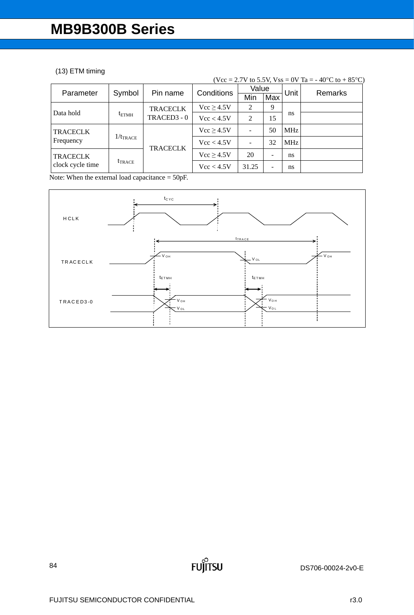### (13) ETM timing

|                                     |                      |                 |                |                |     |            | (Vcc = 2.7V to 5.5V, Vss = 0V Ta = -40 °C to +85 °C) |
|-------------------------------------|----------------------|-----------------|----------------|----------------|-----|------------|------------------------------------------------------|
| Parameter                           | Symbol               | Pin name        | Conditions     | Value          |     | Unit       | <b>Remarks</b>                                       |
|                                     |                      |                 |                | Min            | Max |            |                                                      |
|                                     |                      | <b>TRACECLK</b> | $Vcc \ge 4.5V$ | 2              | 9   |            |                                                      |
| Data hold                           | $t_{ETMH}$           | TRACED3 - 0     | Vcc < 4.5V     | $\overline{2}$ | 15  | ns         |                                                      |
| <b>TRACECLK</b>                     |                      |                 | $Vcc \ge 4.5V$ | ÷              | 50  | <b>MHz</b> |                                                      |
| Frequency                           | $1/t_{\text{TRACE}}$ |                 | Vcc < 4.5V     |                | 32  | <b>MHz</b> |                                                      |
| <b>TRACECLK</b><br>clock cycle time |                      | <b>TRACECLK</b> | Vcc > 4.5V     | 20             |     | ns         |                                                      |
|                                     | $t_{\text{TRACE}}$   |                 | Vcc < 4.5V     | 31.25          |     | ns         |                                                      |

Note: When the external load capacitance  $= 50pF$ .



**FUJITSU**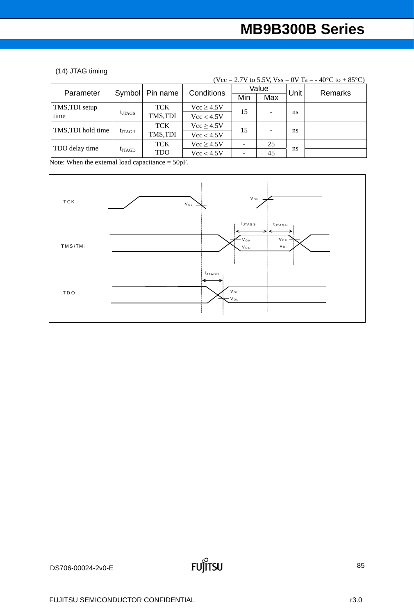#### (14) JTAG timing

|                    |                 |                   |                |     | $\cdots$ $\cdots$ $\cdots$ $\cdots$ $\cdots$ $\cdots$ $\cdots$ $\cdots$<br>Value |      | $10 \times 10 + 00 \times 11$ |  |
|--------------------|-----------------|-------------------|----------------|-----|----------------------------------------------------------------------------------|------|-------------------------------|--|
| Parameter          |                 | Symbol   Pin name | Conditions     | Min | Max                                                                              | Unit | <b>Remarks</b>                |  |
| TMS, TDI setup     |                 | <b>TCK</b>        | $Vcc \ge 4.5V$ |     |                                                                                  |      |                               |  |
| time               | $t_{\rm JTAGS}$ | TMS,TDI           | Vcc < 4.5V     | 15  |                                                                                  | ns   |                               |  |
| TMS, TDI hold time |                 | <b>TCK</b>        | $Vcc \ge 4.5V$ | 15  |                                                                                  |      |                               |  |
|                    | $t_{\rm JTAGH}$ | TMS,TDI           | Vcc < 4.5V     |     |                                                                                  | ns   |                               |  |
| TDO delay time     |                 | <b>TCK</b>        | Vcc > 4.5V     |     | 25                                                                               |      |                               |  |
|                    | $t_{\rm JTAGD}$ | <b>TDO</b>        | Vcc < 4.5V     |     | 45                                                                               | ns   |                               |  |

(Vcc = 2.7V to 5.5V, Vss = 0V Ta = - 40<sup>o</sup>C to + 85<sup>o</sup>C)

Note: When the external load capacitance = 50pF.

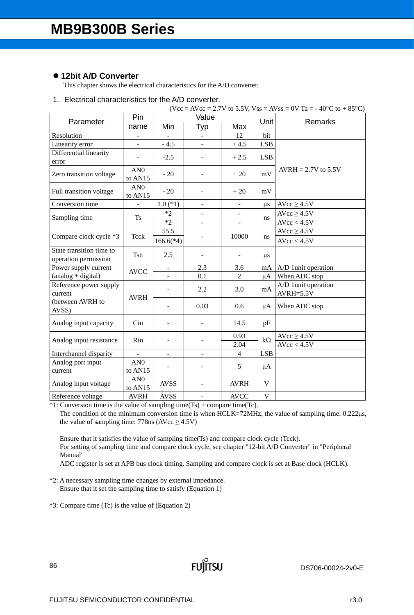### **12bit A/D Converter**

This chapter shows the electrical characteristics for the A/D converter.

### 1. Electrical characteristics for the A/D converter.

|                                                  |                                        |                          |                |                          |              | $(Vcc = AVec = 2.7V$ to 5.5V, $Vss = AVss = 0V$ Ta = -40°C to +85°C) |
|--------------------------------------------------|----------------------------------------|--------------------------|----------------|--------------------------|--------------|----------------------------------------------------------------------|
| Parameter                                        | Pin                                    |                          | Value          |                          | Unit         | Remarks                                                              |
|                                                  | name                                   | Min                      | <b>Typ</b>     | Max                      |              |                                                                      |
| Resolution                                       |                                        |                          |                | 12                       | bit          |                                                                      |
| Linearity error                                  |                                        | $-4.5$                   |                | $+4.5$                   | <b>LSB</b>   |                                                                      |
| Differential linearity<br>error                  |                                        | $-2.5$                   |                | $+2.5$                   | <b>LSB</b>   |                                                                      |
| Zero transition voltage                          | AN <sub>0</sub><br>to AN <sub>15</sub> | $-20$                    |                | $+20$                    | mV           | $AVRH = 2.7V$ to 5.5V                                                |
| Full transition voltage                          | AN0<br>to AN15                         | $-20$                    |                | $+20$                    | mV           |                                                                      |
| Conversion time                                  |                                        | $1.0$ (*1)               | $\blacksquare$ | $\blacksquare$           | $\mu$ s      | $AVcc \ge 4.5V$                                                      |
| Sampling time                                    | <b>Ts</b>                              | $*2$                     |                |                          |              | $AVcc \ge 4.5V$                                                      |
|                                                  |                                        | $*2$                     |                |                          | ns           | AVcc < 4.5V                                                          |
| Compare clock cycle *3                           | Teck                                   | 55.5                     |                |                          |              | $AVcc \ge 4.5V$                                                      |
|                                                  |                                        | $166.6(*4)$              |                | 10000                    | ns           | AVcc < 4.5V                                                          |
| State transition time to<br>operation permission | <b>Tstt</b>                            | 2.5                      |                | $\overline{\phantom{a}}$ | $\mu s$      |                                                                      |
| Power supply current                             | <b>AVCC</b>                            |                          | 2.3            | 3.6                      | mA           | A/D 1unit operation                                                  |
| $(analog + digital)$                             |                                        | $\blacksquare$           | 0.1            | $\overline{2}$           | μA           | When ADC stop                                                        |
| Reference power supply<br>current                | <b>AVRH</b>                            |                          | 2.2            | 3.0                      | mA           | A/D 1unit operation<br>$AVRH = 5.5V$                                 |
| (between AVRH to<br>AVSS)                        |                                        |                          | 0.03           | 0.6                      | μA           | When ADC stop                                                        |
| Analog input capacity                            | Cin                                    |                          |                | 14.5                     | pF           |                                                                      |
| Analog input resistance                          | Rin                                    |                          |                | 0.93                     | $k\Omega$    | $AVcc \geq 4.5V$                                                     |
|                                                  |                                        |                          |                | 2.04                     |              | AVcc < 4.5V                                                          |
| Interchannel disparity                           |                                        | $\overline{\phantom{0}}$ | -              | $\overline{4}$           | <b>LSB</b>   |                                                                      |
| Analog port input<br>current                     | AN0<br>to AN15                         |                          |                | 5                        | $\mu A$      |                                                                      |
| Analog input voltage                             | AN0<br>to AN15                         | <b>AVSS</b>              |                | <b>AVRH</b>              | $\mathbf{V}$ |                                                                      |
| Reference voltage                                | <b>AVRH</b>                            | <b>AVSS</b>              |                | <b>AVCC</b>              | V            |                                                                      |

 $*1$ : Conversion time is the value of sampling time(Ts) + compare time(Tc).

The condition of the minimum conversion time is when HCLK=72MHz, the value of sampling time: 0.222μs, the value of sampling time:  $778$ ns (AVcc  $\geq 4.5$ V)

Ensure that it satisfies the value of sampling time(Ts) and compare clock cycle (Tcck). For setting of sampling time and compare clock cycle, see chapter "12-bit A/D Converter" in "Peripheral Manual"

ADC register is set at APB bus clock timing. Sampling and compare clock is set at Base clock (HCLK).

**FUJITSU** 

\*2: A necessary sampling time changes by external impedance. Ensure that it set the sampling time to satisfy (Equation 1)

\*3: Compare time (Tc) is the value of (Equation 2)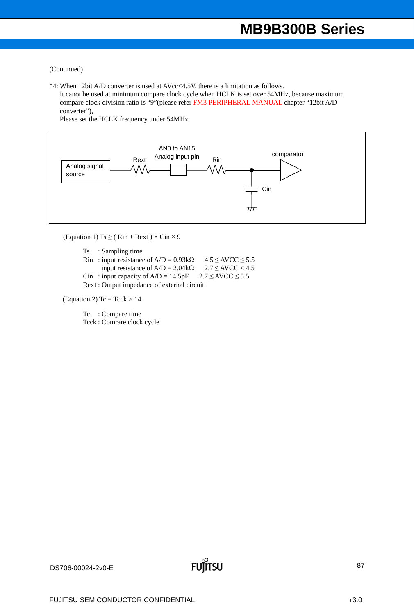#### (Continued)

\*4: When 12bit A/D converter is used at AVcc<4.5V, there is a limitation as follows.

 It canot be used at minimum compare clock cycle when HCLK is set over 54MHz, because maximum compare clock division ratio is "9"(please refer FM3 PERIPHERAL MANUAL chapter "12bit A/D converter"),

Please set the HCLK frequency under 54MHz.



(Equation 1) Ts  $\geq$  (Rin + Rext)  $\times$  Cin  $\times$  9

Ts : Sampling time

Rin : input resistance of A/D =  $0.93k\Omega$  4.5 ≤ AVCC ≤ 5.5<br>input resistance of A/D =  $2.04k\Omega$  2.7 ≤ AVCC < 4.5 input resistance of  $A/D = 2.04k\Omega$ Cin : input capacity of  $A/D = 14.5pF$   $2.7 \leq AVCC \leq 5.5$ Rext : Output impedance of external circuit

(Equation 2) Tc = Tcck  $\times$  14

Tc : Compare time Tcck : Comrare clock cycle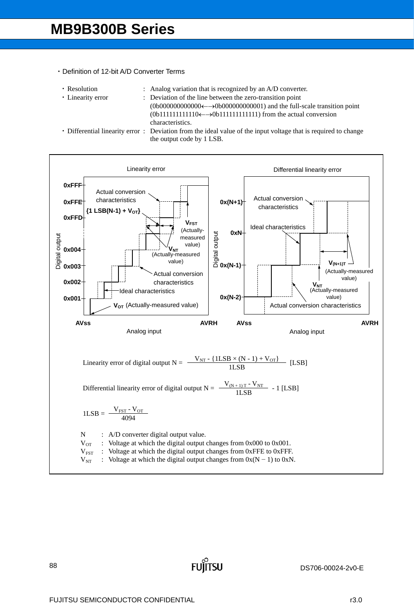#### ・Definition of 12-bit A/D Converter Terms

- 
- 
- Resolution : Analog variation that is recognized by an A/D converter.
- Linearity error : Deviation of the line between the zero-transition point  $(0b000000000000\leftarrow \rightarrow 0b000000000001)$  and the full-scale transition point  $(0b11111111110 \leftarrow \rightarrow 0b11111111111)$  from the actual conversion characteristics.
- 

・ Differential linearity error : Deviation from the ideal value of the input voltage that is required to change the output code by 1 LSB.

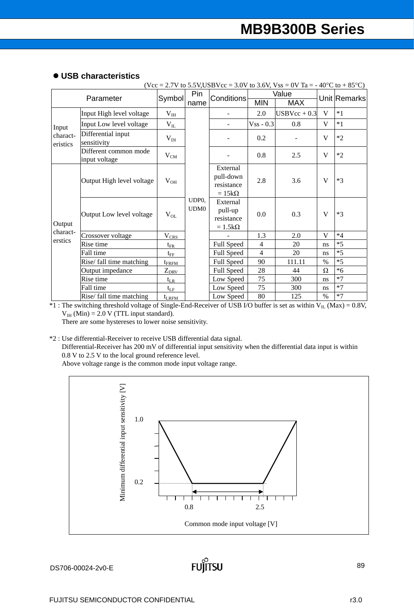|  | • USB characteristics |
|--|-----------------------|
|--|-----------------------|

|                      |                                        |                |                                      |                                                     |                | $(Vcc = 2.7V$ to 5.5V, USBVcc = 3.0V to 3.6V, Vss = 0V Ta = -40°C to +85°C) |      |              |
|----------------------|----------------------------------------|----------------|--------------------------------------|-----------------------------------------------------|----------------|-----------------------------------------------------------------------------|------|--------------|
|                      |                                        |                | Pin                                  |                                                     |                | Value                                                                       |      |              |
| Parameter            |                                        | Symbol         | name                                 | <b>Conditions</b>                                   | <b>MIN</b>     | <b>MAX</b>                                                                  |      | Unit Remarks |
|                      | Input High level voltage               | $V_{IH}$       |                                      |                                                     | 2.0            | $USBVec + 0.3$                                                              | V    | $*1$         |
| Input                | Input Low level voltage                | $V_{IL}$       |                                      |                                                     | $Vss - 0.3$    | 0.8                                                                         | V    | $*1$         |
| charact-<br>eristics | Differential input<br>sensitivity      | $V_{DI}$       |                                      |                                                     | 0.2            |                                                                             | V    | $*2$         |
|                      | Different common mode<br>input voltage | $V_{CM}$       |                                      |                                                     | 0.8            | 2.5                                                                         | V    | $*2$         |
| Output               | Output High level voltage              | $V_{OH}$       |                                      | External<br>pull-down<br>resistance<br>$=15k\Omega$ | 2.8            | 3.6                                                                         | V    | $*3$         |
|                      | Output Low level voltage               | $V_{OL}$       | UDP <sub>0</sub><br>UDM <sub>0</sub> | External<br>pull-up<br>resistance<br>$=1.5k\Omega$  | 0.0            | 0.3                                                                         | V    | $*3$         |
| charact-             | Crossover voltage                      | $V_{CRS}$      |                                      |                                                     | 1.3            | 2.0                                                                         | V    | $*4$         |
| erstics              | Rise time                              | $t_{\rm FR}$   |                                      | Full Speed                                          | $\overline{4}$ | 20                                                                          | ns   | $*5$         |
|                      | Fall time                              | $t_{\rm FF}$   |                                      | Full Speed                                          | $\overline{4}$ | 20                                                                          | ns   | $*5$         |
|                      | Rise/ fall time matching               | $t_{\rm FRFM}$ |                                      | Full Speed                                          | 90             | 111.11                                                                      | $\%$ | $*5$         |
|                      | Output impedance                       | $Z_{DRV}$      |                                      | Full Speed                                          | 28             | 44                                                                          | Ω    | $*6$         |
|                      | Rise time                              | $t_{LR}$       |                                      | Low Speed                                           | 75             | 300                                                                         | ns   | $*7$         |
|                      | Fall time                              | $t_{LF}$       |                                      | Low Speed                                           | 75             | 300                                                                         | ns   | $*7$         |
|                      | Rise/ fall time matching               | $t_{LRFM}$     |                                      | Low Speed                                           | 80             | 125                                                                         | $\%$ | $*7$         |

\*1 : The switching threshold voltage of Single-End-Receiver of USB I/O buffer is set as within  $V_{IL}$  (Max) = 0.8V,  $V_{IH}$  (Min) = 2.0 V (TTL input standard).

There are some hystereses to lower noise sensitivity.

\*2 : Use differential-Receiver to receive USB differential data signal.

Differential-Receiver has 200 mV of differential input sensitivity when the differential data input is within 0.8 V to 2.5 V to the local ground reference level.

Above voltage range is the common mode input voltage range.

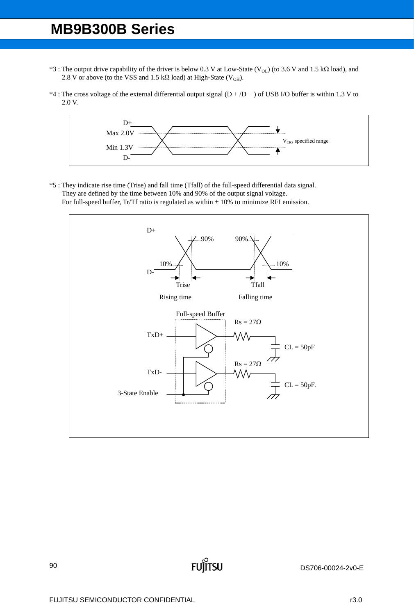- \*3 : The output drive capability of the driver is below 0.3 V at Low-State (V<sub>OL</sub>) (to 3.6 V and 1.5 kΩ load), and 2.8 V or above (to the VSS and 1.5 k $\Omega$  load) at High-State (V<sub>OH</sub>).
- \*4 : The cross voltage of the external differential output signal (D + /D − ) of USB I/O buffer is within 1.3 V to 2.0 V.



\*5 : They indicate rise time (Trise) and fall time (Tfall) of the full-speed differential data signal. They are defined by the time between 10% and 90% of the output signal voltage. For full-speed buffer, Tr/Tf ratio is regulated as within  $\pm$  10% to minimize RFI emission.



**FUJITSU**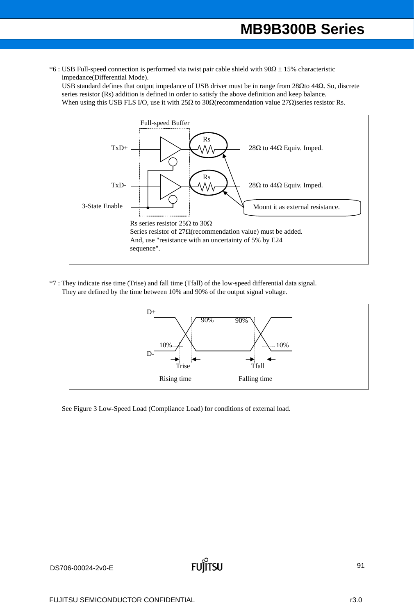\*6 : USB Full-speed connection is performed via twist pair cable shield with  $90\Omega \pm 15$ % characteristic impedance(Differential Mode).

USB standard defines that output impedance of USB driver must be in range from 28Ωto 44Ω. So, discrete series resistor (Rs) addition is defined in order to satisfy the above definition and keep balance. When using this USB FLS I/O, use it with 25Ω to 30Ω(recommendation value 27Ω)series resistor Rs.



\*7 : They indicate rise time (Trise) and fall time (Tfall) of the low-speed differential data signal. They are defined by the time between 10% and 90% of the output signal voltage.



See [Figure 3 Low-Speed Load \(Compliance Load\)](#page-91-0) for conditions of external load.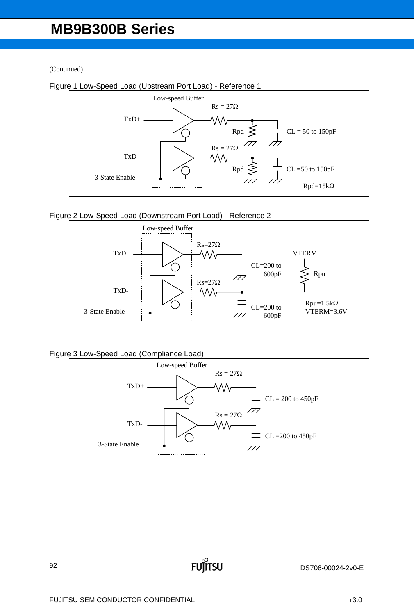(Continued)



Figure 1 Low-Speed Load (Upstream Port Load) - Reference 1





<span id="page-91-0"></span>Figure 3 Low-Speed Load (Compliance Load)



**FU** 

Íitsu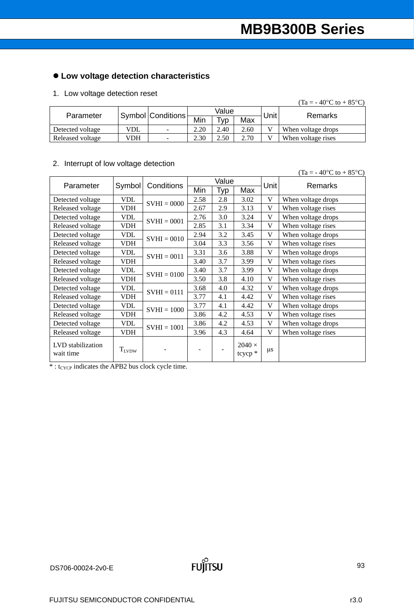# **Low voltage detection characteristics**

### 1. Low voltage detection reset

|                  |            |                          |       |                 |      |                   | $(Ta = -40^{\circ}C \text{ to } +85^{\circ}C)$ |
|------------------|------------|--------------------------|-------|-----------------|------|-------------------|------------------------------------------------|
| Parameter        |            | Symbol Conditions        | Value |                 |      | Unit <sup>1</sup> | Remarks                                        |
|                  |            |                          | Min   | T <sub>VP</sub> | Max  |                   |                                                |
| Detected voltage | <b>VDL</b> | $\overline{\phantom{a}}$ | 2.20  | 2.40            | 2.60 |                   | When voltage drops                             |
| Released voltage | VDH        | $\sim$                   | 2.30  | 2.50            | 2.70 | TТ                | When voltage rises                             |

### 2. Interrupt of low voltage detection

|                                |            |               |                          |     |                          |             | $(Ta = -40^{\circ}C \text{ to } +85^{\circ}C)$ |
|--------------------------------|------------|---------------|--------------------------|-----|--------------------------|-------------|------------------------------------------------|
| Parameter                      | Symbol     | Conditions    | Value                    |     |                          | Unit        | <b>Remarks</b>                                 |
|                                |            |               | Min                      | Typ | Max                      |             |                                                |
| Detected voltage               | <b>VDL</b> | $SVHI = 0000$ | 2.58                     | 2.8 | 3.02                     | V           | When voltage drops                             |
| Released voltage               | <b>VDH</b> |               | 2.67                     | 2.9 | 3.13                     | V           | When voltage rises                             |
| Detected voltage               | VDL        | $SVHI = 0001$ | 2.76                     | 3.0 | 3.24                     | $\mathbf V$ | When voltage drops                             |
| Released voltage               | <b>VDH</b> |               | 2.85                     | 3.1 | 3.34                     | V           | When voltage rises                             |
| Detected voltage               | <b>VDL</b> | $SVHI = 0010$ | 2.94                     | 3.2 | 3.45                     | V           | When voltage drops                             |
| Released voltage               | VDH        |               | 3.04                     | 3.3 | 3.56                     | V           | When voltage rises                             |
| Detected voltage               | <b>VDL</b> | $SVHI = 0011$ | 3.31                     | 3.6 | 3.88                     | V           | When voltage drops                             |
| Released voltage               | <b>VDH</b> |               | 3.40                     | 3.7 | 3.99                     | V           | When voltage rises                             |
| Detected voltage               | <b>VDL</b> | $SVHI = 0100$ | 3.40                     | 3.7 | 3.99                     | V           | When voltage drops                             |
| Released voltage               | VDH        |               | 3.50                     | 3.8 | 4.10                     | V           | When voltage rises                             |
| Detected voltage               | <b>VDL</b> | $SVHI = 0111$ | 3.68                     | 4.0 | 4.32                     | V           | When voltage drops                             |
| Released voltage               | <b>VDH</b> |               | 3.77                     | 4.1 | 4.42                     | V           | When voltage rises                             |
| Detected voltage               | <b>VDL</b> | $SVHI = 1000$ | 3.77                     | 4.1 | 4.42                     | V           | When voltage drops                             |
| Released voltage               | <b>VDH</b> |               | 3.86                     | 4.2 | 4.53                     | V           | When voltage rises                             |
| Detected voltage               | VDL        | $SVHI = 1001$ | 3.86                     | 4.2 | 4.53                     | V           | When voltage drops                             |
| Released voltage               | VDH        |               | 3.96                     | 4.3 | 4.64                     | V           | When voltage rises                             |
| LVD stabilization<br>wait time | $T_{LVDW}$ |               | $\overline{\phantom{a}}$ |     | $2040 \times$<br>tcycp * | $\mu$ s     |                                                |

 $*$ : t<sub>CYCP</sub> indicates the APB2 bus clock cycle time.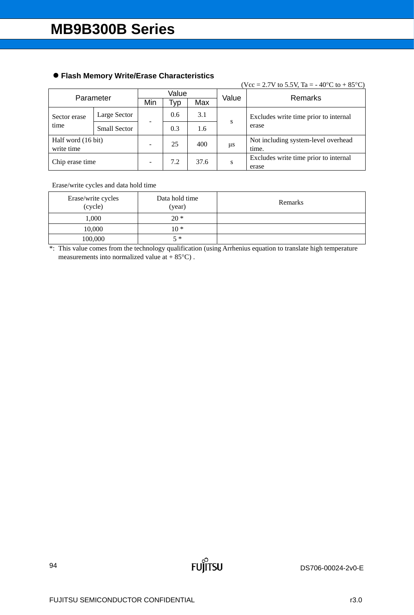|                                  |                     |     |     |       |         | (Vcc = 2.7V to 5.5V, Ta = -40°C to +85°C)      |  |
|----------------------------------|---------------------|-----|-----|-------|---------|------------------------------------------------|--|
|                                  | Value               |     |     | Value | Remarks |                                                |  |
| Parameter                        |                     | Min | тур | Max   |         |                                                |  |
| Sector erase                     | Large Sector        |     | 0.6 | 3.1   | S       | Excludes write time prior to internal          |  |
| time                             | <b>Small Sector</b> |     | 0.3 | 1.6   |         | erase                                          |  |
| Half word (16 bit)<br>write time |                     |     | 25  | 400   | μs      | Not including system-level overhead<br>time.   |  |
| Chip erase time                  |                     |     | 7.2 | 37.6  | S       | Excludes write time prior to internal<br>erase |  |

## **Flash Memory Write/Erase Characteristics**

Erase/write cycles and data hold time

| Erase/write cycles<br>(cycle) | Data hold time<br>(year) | Remarks |
|-------------------------------|--------------------------|---------|
| 1,000                         | $20*$                    |         |
| 10,000                        | $10*$                    |         |
| 100,000                       | $5 *$                    |         |

\*: This value comes from the technology qualification (using Arrhenius equation to translate high temperature measurements into normalized value at  $+85^{\circ}$ C).

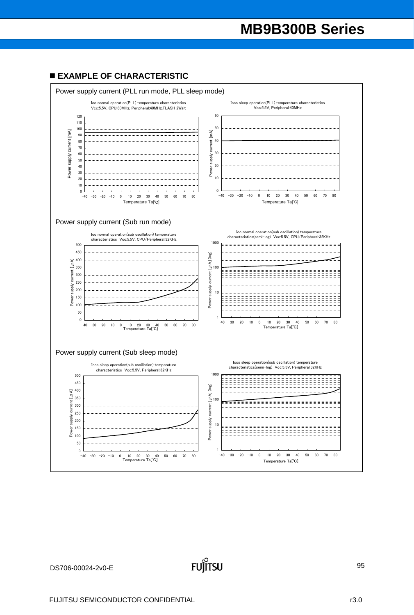### **EXAMPLE OF CHARACTERISTIC**

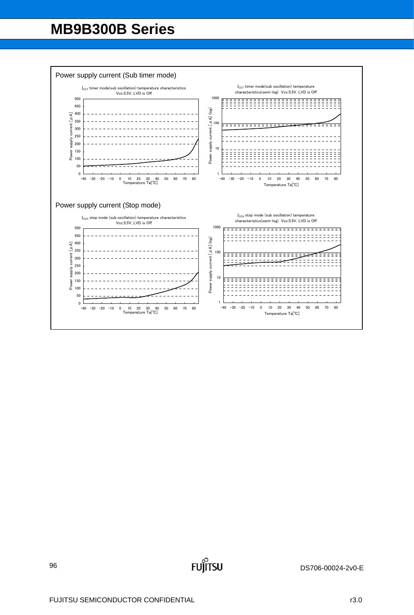

**FUJITSU**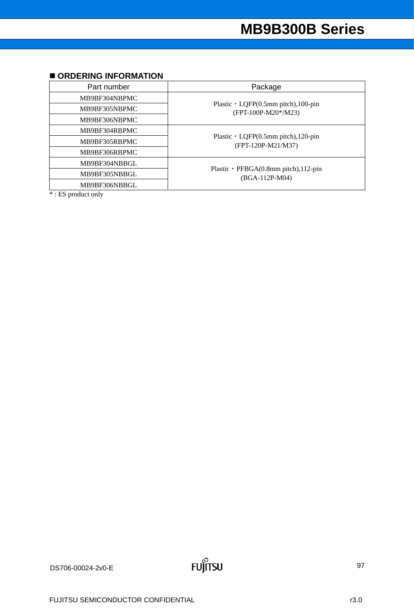### $\blacksquare$  **ORDERING INFORMATION**

| Part number   | Package                                                           |
|---------------|-------------------------------------------------------------------|
| MB9BF304NBPMC |                                                                   |
| MB9BF305NBPMC | Plastic $\cdot$ LQFP(0.5mm pitch), 100-pin<br>(FPT-100P-M20*/M23) |
| MB9BF306NBPMC |                                                                   |
| MB9BF304RBPMC |                                                                   |
| MB9BF305RBPMC | Plastic $\cdot$ LQFP(0.5mm pitch), 120-pin<br>(FPT-120P-M21/M37)  |
| MB9BF306RBPMC |                                                                   |
| MB9BF304NBBGL |                                                                   |
| MB9BF305NBBGL | Plastic $\cdot$ PFBGA(0.8mm pitch), 112-pin<br>(BGA-112P-M04)     |
| MB9BF306NBBGL |                                                                   |

\* : ES product only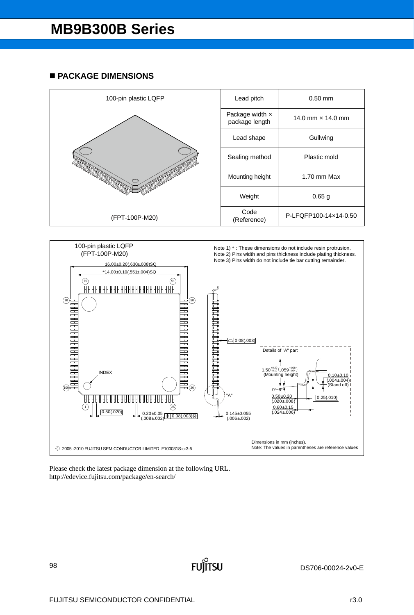### **PACKAGE DIMENSIONS**





**FUILTSU**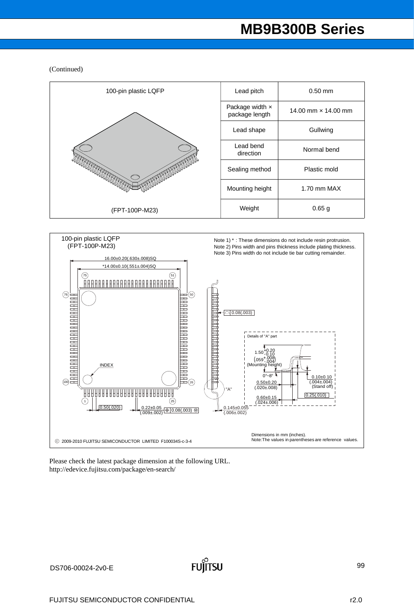#### (Continued)



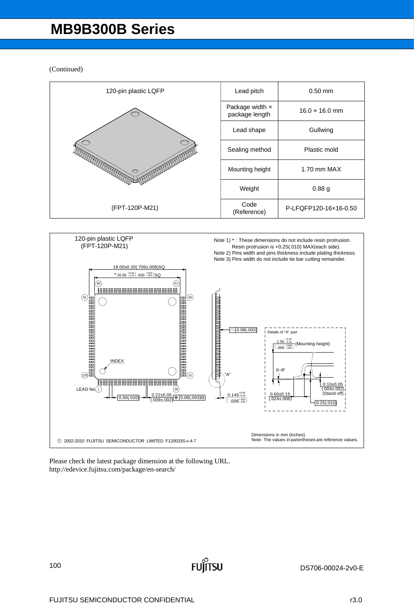(Continued)





**FUILTSU**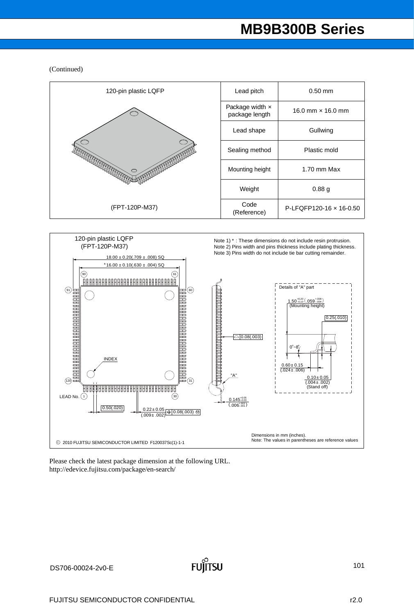(Continued)



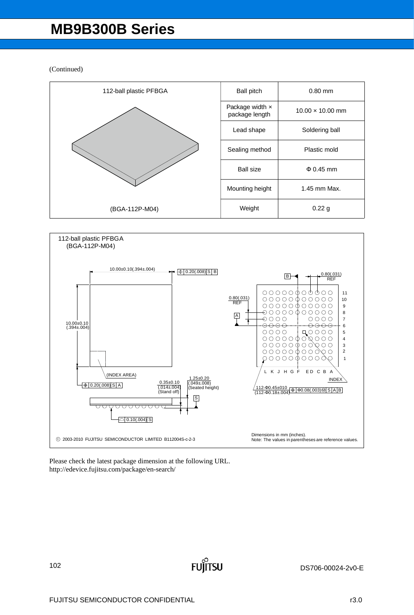(Continued)





**FUJITSU**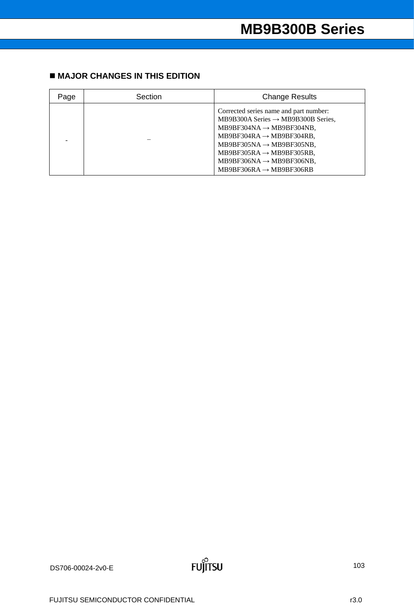# **MAJOR CHANGES IN THIS EDITION**

| Page | Section | <b>Change Results</b>                                                                                                                                                                                                                                                                                                                       |
|------|---------|---------------------------------------------------------------------------------------------------------------------------------------------------------------------------------------------------------------------------------------------------------------------------------------------------------------------------------------------|
|      |         | Corrected series name and part number:<br>MB9B300A Series $\rightarrow$ MB9B300B Series,<br>MB9BF304NA $\rightarrow$ MB9BF304NB,<br>$MB9BF304RA \rightarrow MB9BF304RB$ ,<br>$MB9BF305NA \rightarrow MB9BF305NB$ ,<br>$MB9BF305RA \rightarrow MB9BF305RB$ ,<br>$MB9BF306NA \rightarrow MB9BF306NB$ ,<br>$MB9BF306RA \rightarrow MB9BF306RB$ |